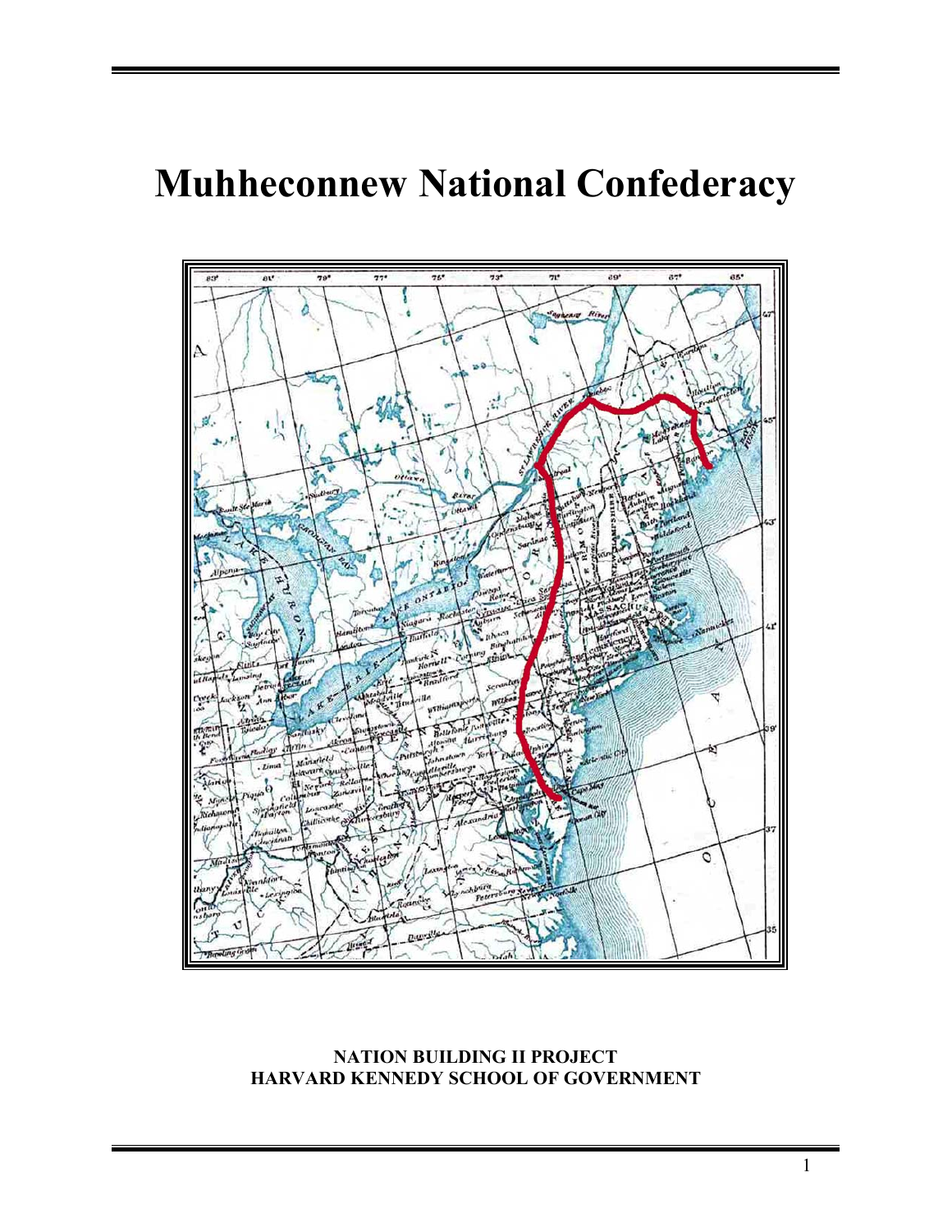# **Muhheconnew National Confederacy**



# **NATION BUILDING II PROJECT HARVARD KENNEDY SCHOOL OF GOVERNMENT**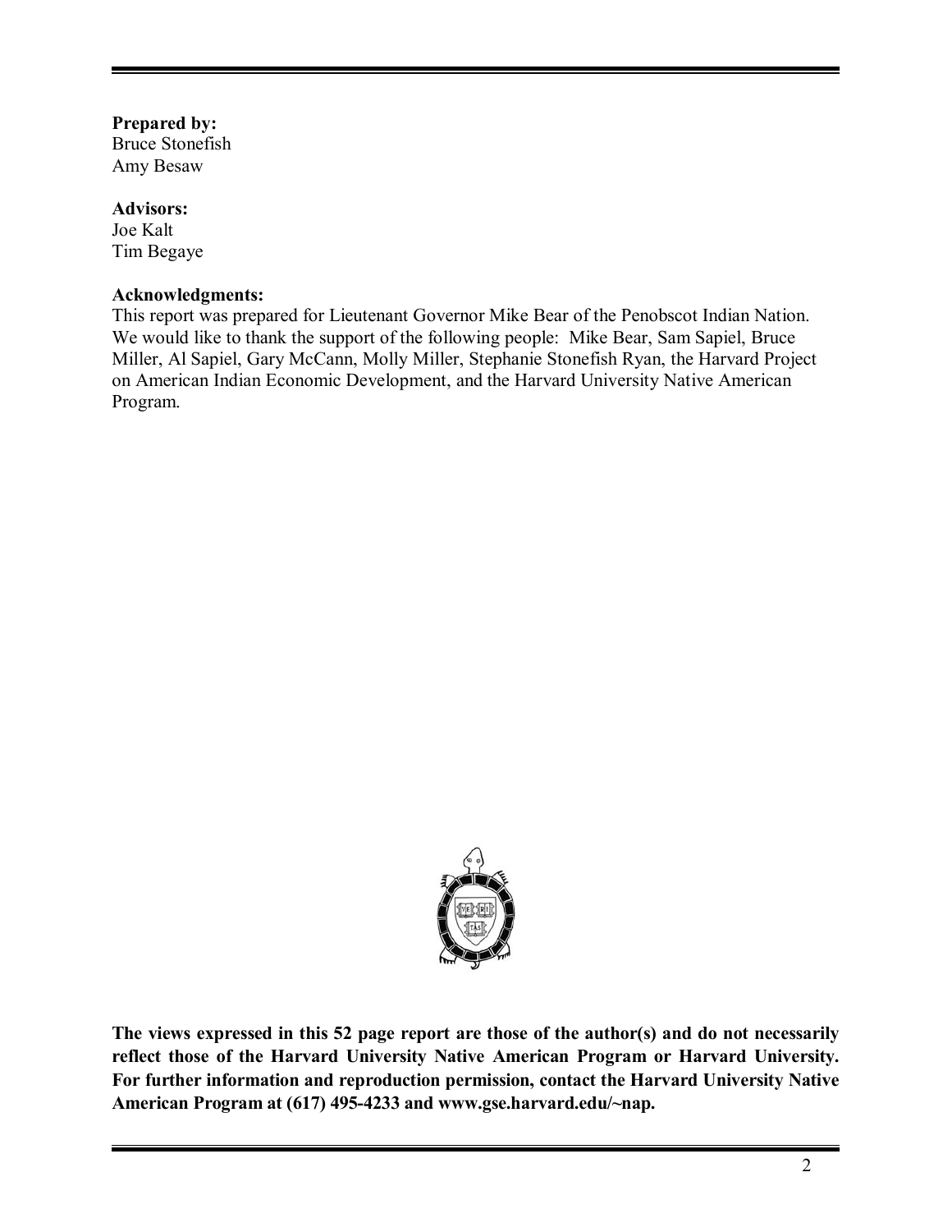# **Prepared by:**

Bruce Stonefish Amy Besaw

# **Advisors:**

Joe Kalt Tim Begaye

# **Acknowledgments:**

This report was prepared for Lieutenant Governor Mike Bear of the Penobscot Indian Nation. We would like to thank the support of the following people: Mike Bear, Sam Sapiel, Bruce Miller, Al Sapiel, Gary McCann, Molly Miller, Stephanie Stonefish Ryan, the Harvard Project on American Indian Economic Development, and the Harvard University Native American Program.



**The views expressed in this 52 page report are those of the author(s) and do not necessarily reflect those of the Harvard University Native American Program or Harvard University. For further information and reproduction permission, contact the Harvard University Native American Program at (617) 495-4233 and www.gse.harvard.edu/~nap.**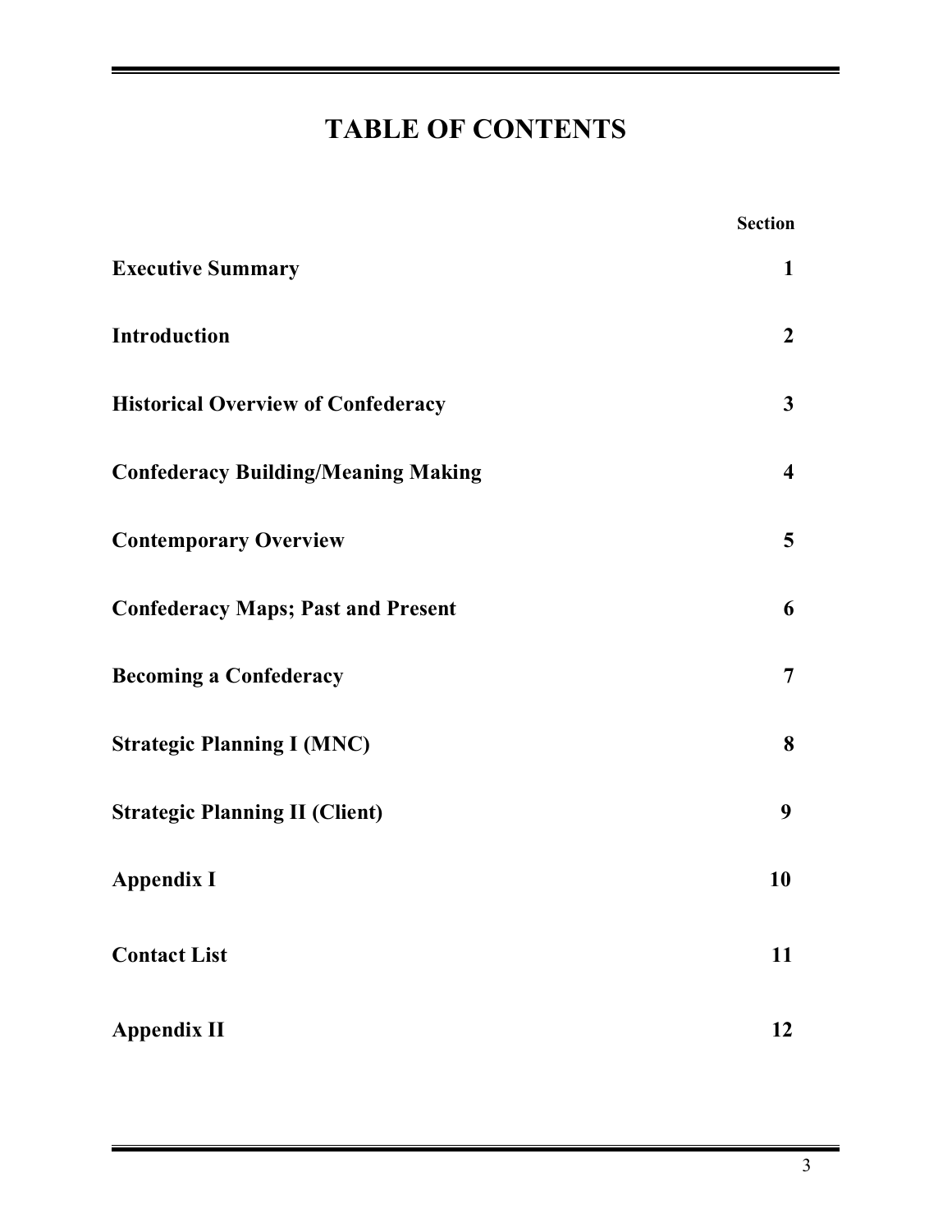# **TABLE OF CONTENTS**

|                                            | <b>Section</b>          |
|--------------------------------------------|-------------------------|
| <b>Executive Summary</b>                   | $\mathbf{1}$            |
| Introduction                               | $\overline{2}$          |
| <b>Historical Overview of Confederacy</b>  | $\mathbf{3}$            |
| <b>Confederacy Building/Meaning Making</b> | $\overline{\mathbf{4}}$ |
| <b>Contemporary Overview</b>               | 5 <sup>5</sup>          |
| <b>Confederacy Maps; Past and Present</b>  | 6                       |
| <b>Becoming a Confederacy</b>              | $\overline{7}$          |
| <b>Strategic Planning I (MNC)</b>          | 8                       |
| <b>Strategic Planning II (Client)</b>      | 9                       |
| <b>Appendix I</b>                          | 10                      |
| <b>Contact List</b>                        | 11                      |
| <b>Appendix II</b>                         | 12                      |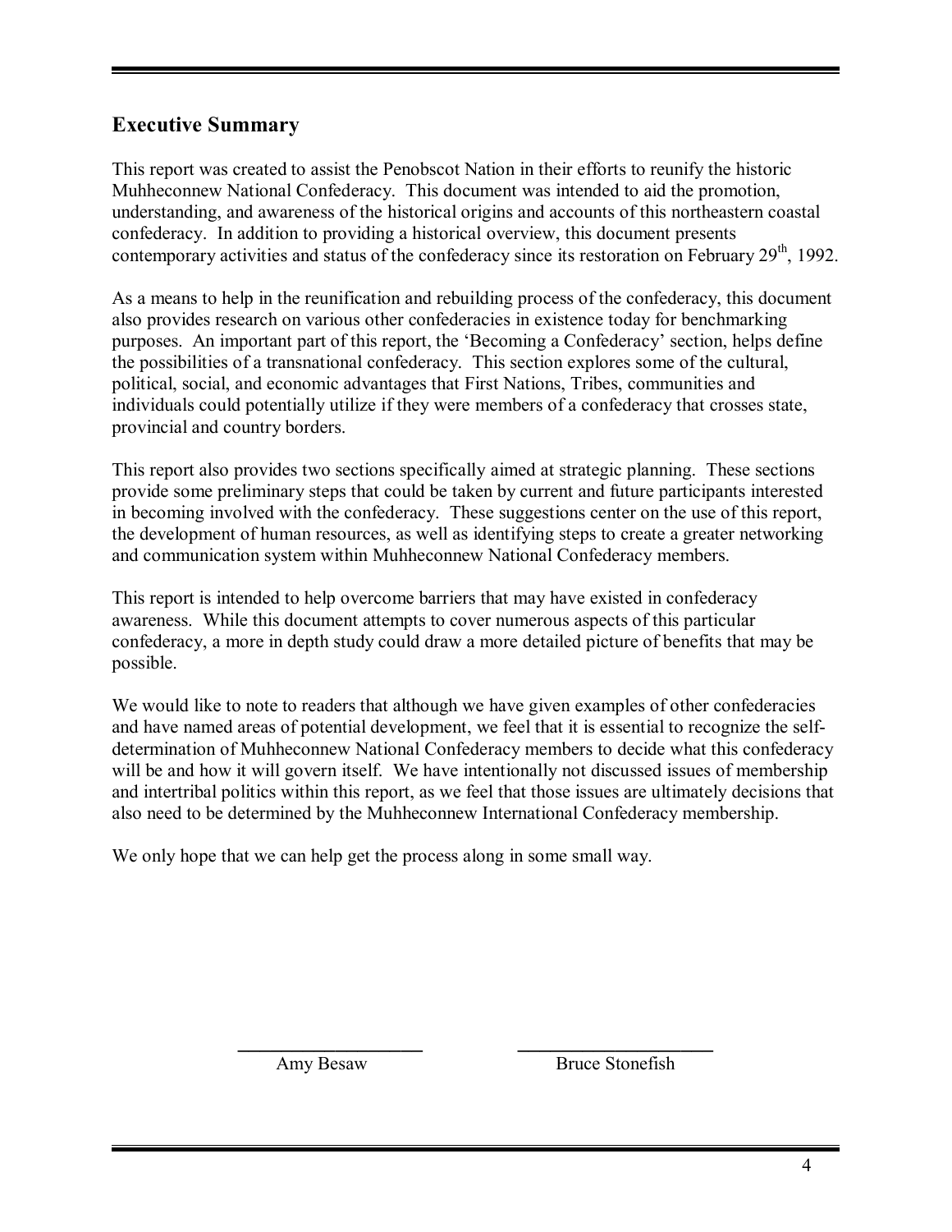# **Executive Summary**

This report was created to assist the Penobscot Nation in their efforts to reunify the historic Muhheconnew National Confederacy. This document was intended to aid the promotion, understanding, and awareness of the historical origins and accounts of this northeastern coastal confederacy. In addition to providing a historical overview, this document presents contemporary activities and status of the confederacy since its restoration on February 29<sup>th</sup>, 1992.

As a means to help in the reunification and rebuilding process of the confederacy, this document also provides research on various other confederacies in existence today for benchmarking purposes. An important part of this report, the 'Becoming a Confederacy' section, helps define the possibilities of a transnational confederacy. This section explores some of the cultural, political, social, and economic advantages that First Nations, Tribes, communities and individuals could potentially utilize if they were members of a confederacy that crosses state, provincial and country borders.

This report also provides two sections specifically aimed at strategic planning. These sections provide some preliminary steps that could be taken by current and future participants interested in becoming involved with the confederacy. These suggestions center on the use of this report, the development of human resources, as well as identifying steps to create a greater networking and communication system within Muhheconnew National Confederacy members.

This report is intended to help overcome barriers that may have existed in confederacy awareness. While this document attempts to cover numerous aspects of this particular confederacy, a more in depth study could draw a more detailed picture of benefits that may be possible.

We would like to note to readers that although we have given examples of other confederacies and have named areas of potential development, we feel that it is essential to recognize the selfdetermination of Muhheconnew National Confederacy members to decide what this confederacy will be and how it will govern itself. We have intentionally not discussed issues of membership and intertribal politics within this report, as we feel that those issues are ultimately decisions that also need to be determined by the Muhheconnew International Confederacy membership.

**\_\_\_\_\_\_\_\_\_\_\_\_\_\_\_\_\_ \_\_\_\_\_\_\_\_\_\_\_\_\_\_\_\_\_\_** 

We only hope that we can help get the process along in some small way.

Amy BesawBruce Stonefish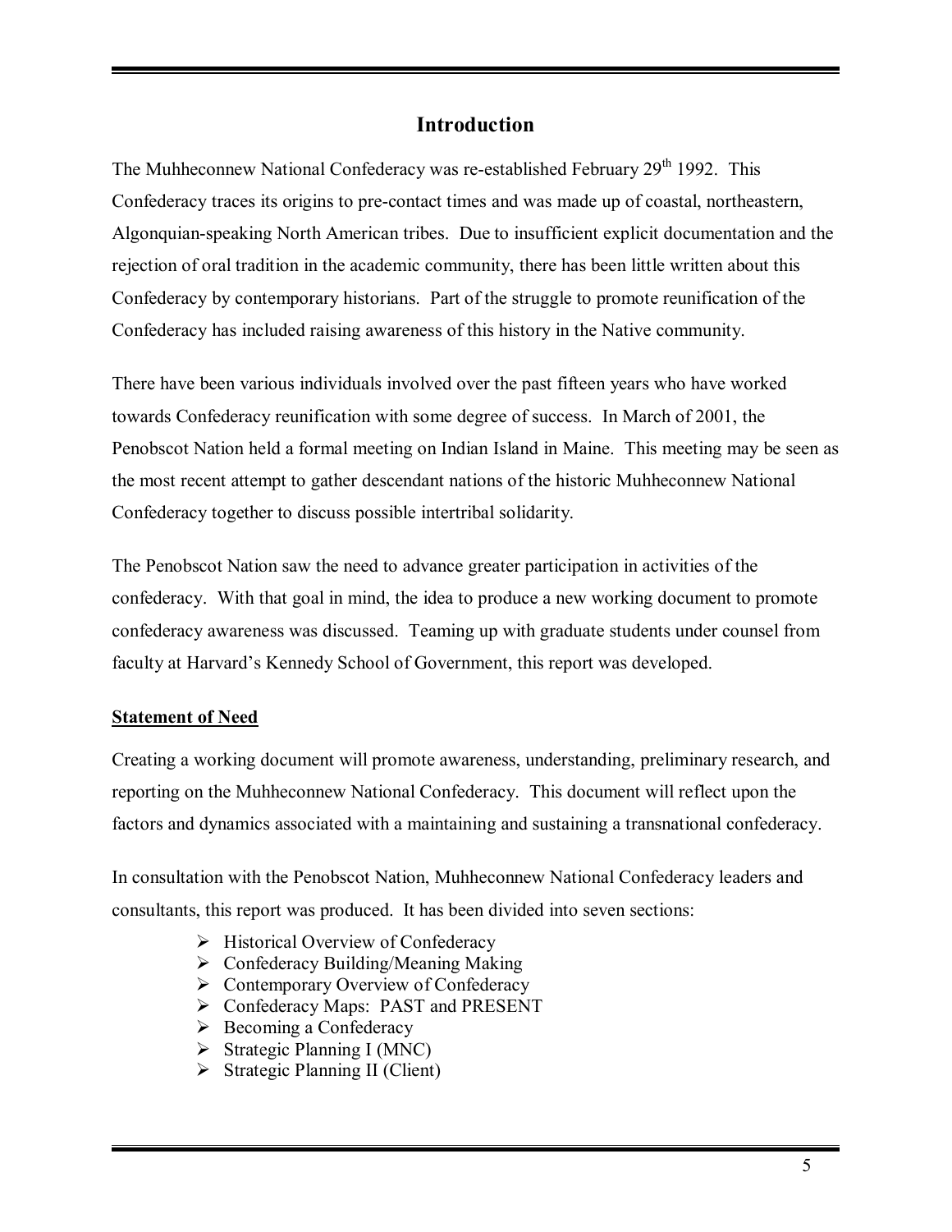# **Introduction**

The Muhheconnew National Confederacy was re-established February 29<sup>th</sup> 1992. This Confederacy traces its origins to pre-contact times and was made up of coastal, northeastern, Algonquian-speaking North American tribes. Due to insufficient explicit documentation and the rejection of oral tradition in the academic community, there has been little written about this Confederacy by contemporary historians. Part of the struggle to promote reunification of the Confederacy has included raising awareness of this history in the Native community.

There have been various individuals involved over the past fifteen years who have worked towards Confederacy reunification with some degree of success. In March of 2001, the Penobscot Nation held a formal meeting on Indian Island in Maine. This meeting may be seen as the most recent attempt to gather descendant nations of the historic Muhheconnew National Confederacy together to discuss possible intertribal solidarity.

The Penobscot Nation saw the need to advance greater participation in activities of the confederacy. With that goal in mind, the idea to produce a new working document to promote confederacy awareness was discussed. Teaming up with graduate students under counsel from faculty at Harvard's Kennedy School of Government, this report was developed.

# **Statement of Need**

Creating a working document will promote awareness, understanding, preliminary research, and reporting on the Muhheconnew National Confederacy. This document will reflect upon the factors and dynamics associated with a maintaining and sustaining a transnational confederacy.

In consultation with the Penobscot Nation, Muhheconnew National Confederacy leaders and consultants, this report was produced. It has been divided into seven sections:

- $\triangleright$  Historical Overview of Confederacy
- $\triangleright$  Confederacy Building/Meaning Making
- $\triangleright$  Contemporary Overview of Confederacy
- ▶ Confederacy Maps: PAST and PRESENT
- $\triangleright$  Becoming a Confederacy
- $\triangleright$  Strategic Planning I (MNC)
- $\triangleright$  Strategic Planning II (Client)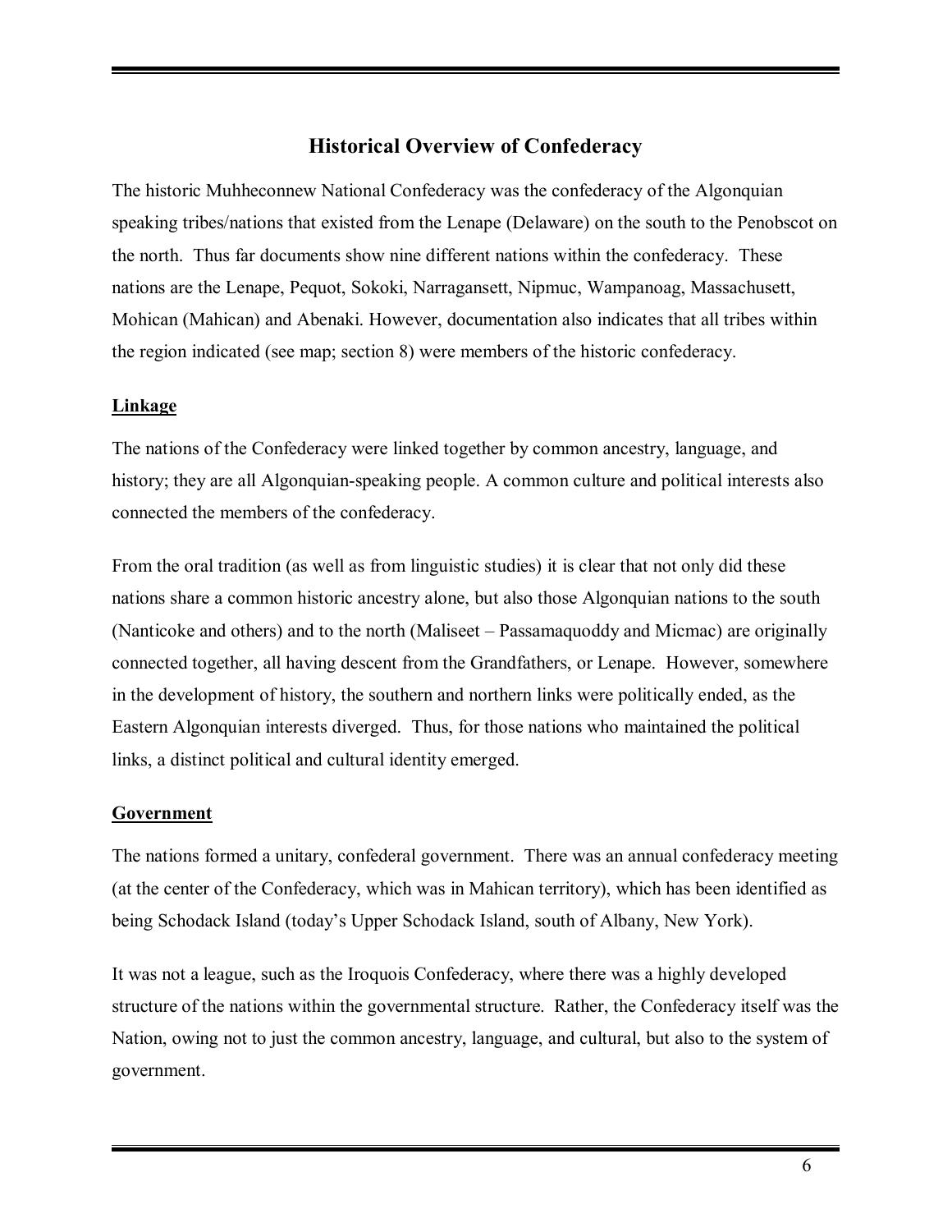# **Historical Overview of Confederacy**

The historic Muhheconnew National Confederacy was the confederacy of the Algonquian speaking tribes/nations that existed from the Lenape (Delaware) on the south to the Penobscot on the north. Thus far documents show nine different nations within the confederacy. These nations are the Lenape, Pequot, Sokoki, Narragansett, Nipmuc, Wampanoag, Massachusett, Mohican (Mahican) and Abenaki. However, documentation also indicates that all tribes within the region indicated (see map; section 8) were members of the historic confederacy.

#### **Linkage**

The nations of the Confederacy were linked together by common ancestry, language, and history; they are all Algonquian-speaking people. A common culture and political interests also connected the members of the confederacy.

From the oral tradition (as well as from linguistic studies) it is clear that not only did these nations share a common historic ancestry alone, but also those Algonquian nations to the south (Nanticoke and others) and to the north (Maliseet  $-$  Passamaguoddy and Micmac) are originally connected together, all having descent from the Grandfathers, or Lenape. However, somewhere in the development of history, the southern and northern links were politically ended, as the Eastern Algonquian interests diverged. Thus, for those nations who maintained the political links, a distinct political and cultural identity emerged.

#### **Government**

The nations formed a unitary, confederal government. There was an annual confederacy meeting (at the center of the Confederacy, which was in Mahican territory), which has been identified as being Schodack Island (today's Upper Schodack Island, south of Albany, New York).

It was not a league, such as the Iroquois Confederacy, where there was a highly developed structure of the nations within the governmental structure. Rather, the Confederacy itself was the Nation, owing not to just the common ancestry, language, and cultural, but also to the system of government.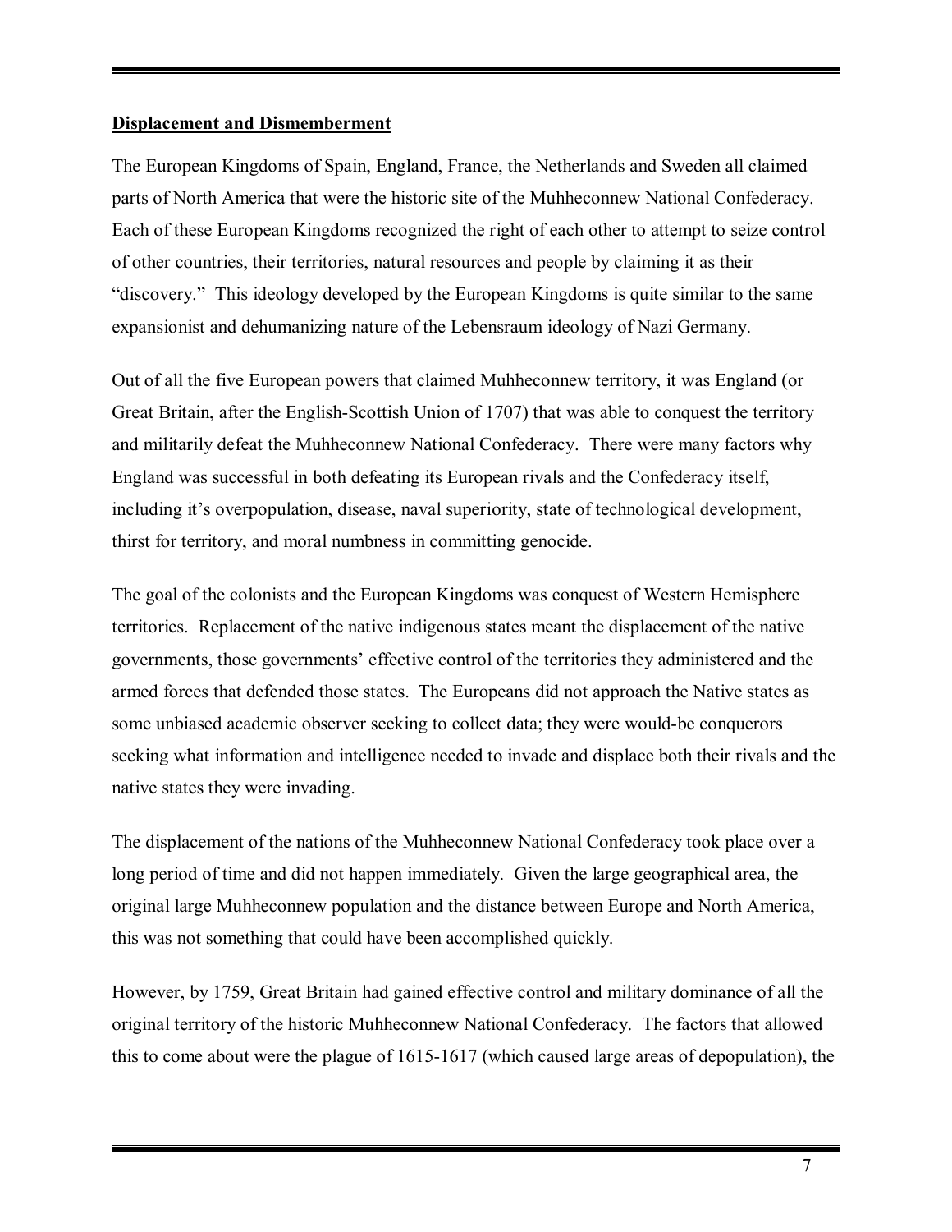#### **Displacement and Dismemberment**

The European Kingdoms of Spain, England, France, the Netherlands and Sweden all claimed parts of North America that were the historic site of the Muhheconnew National Confederacy. Each of these European Kingdoms recognized the right of each other to attempt to seize control of other countries, their territories, natural resources and people by claiming it as their ìdiscovery.î This ideology developed by the European Kingdoms is quite similar to the same expansionist and dehumanizing nature of the Lebensraum ideology of Nazi Germany.

Out of all the five European powers that claimed Muhheconnew territory, it was England (or Great Britain, after the English-Scottish Union of 1707) that was able to conquest the territory and militarily defeat the Muhheconnew National Confederacy. There were many factors why England was successful in both defeating its European rivals and the Confederacy itself, including it's overpopulation, disease, naval superiority, state of technological development, thirst for territory, and moral numbness in committing genocide.

The goal of the colonists and the European Kingdoms was conquest of Western Hemisphere territories. Replacement of the native indigenous states meant the displacement of the native governments, those governments' effective control of the territories they administered and the armed forces that defended those states. The Europeans did not approach the Native states as some unbiased academic observer seeking to collect data; they were would-be conquerors seeking what information and intelligence needed to invade and displace both their rivals and the native states they were invading.

The displacement of the nations of the Muhheconnew National Confederacy took place over a long period of time and did not happen immediately. Given the large geographical area, the original large Muhheconnew population and the distance between Europe and North America, this was not something that could have been accomplished quickly.

However, by 1759, Great Britain had gained effective control and military dominance of all the original territory of the historic Muhheconnew National Confederacy. The factors that allowed this to come about were the plague of 1615-1617 (which caused large areas of depopulation), the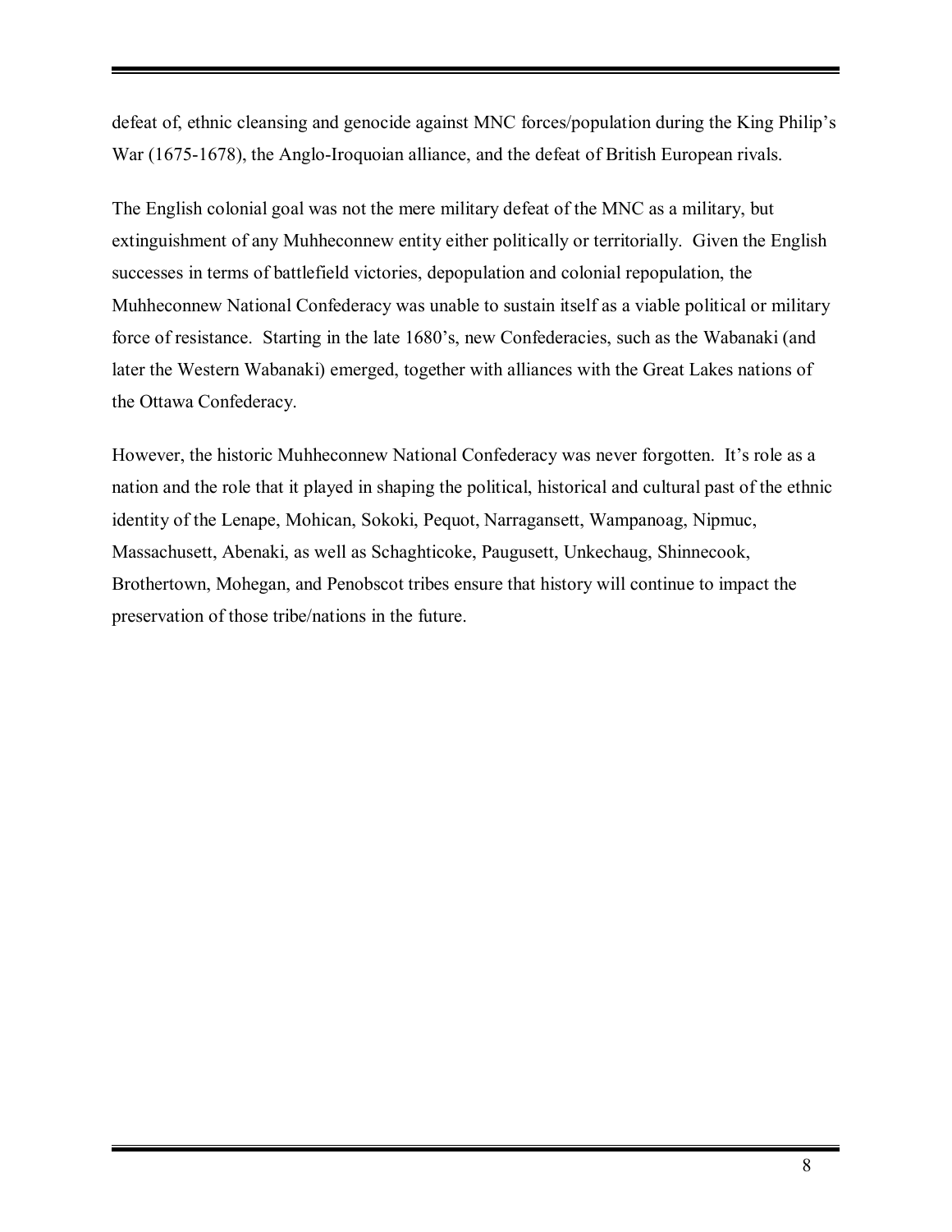defeat of, ethnic cleansing and genocide against MNC forces/population during the King Philip's War (1675-1678), the Anglo-Iroquoian alliance, and the defeat of British European rivals.

The English colonial goal was not the mere military defeat of the MNC as a military, but extinguishment of any Muhheconnew entity either politically or territorially. Given the English successes in terms of battlefield victories, depopulation and colonial repopulation, the Muhheconnew National Confederacy was unable to sustain itself as a viable political or military force of resistance. Starting in the late 1680's, new Confederacies, such as the Wabanaki (and later the Western Wabanaki) emerged, together with alliances with the Great Lakes nations of the Ottawa Confederacy.

However, the historic Muhheconnew National Confederacy was never forgotten. It's role as a nation and the role that it played in shaping the political, historical and cultural past of the ethnic identity of the Lenape, Mohican, Sokoki, Pequot, Narragansett, Wampanoag, Nipmuc, Massachusett, Abenaki, as well as Schaghticoke, Paugusett, Unkechaug, Shinnecook, Brothertown, Mohegan, and Penobscot tribes ensure that history will continue to impact the preservation of those tribe/nations in the future.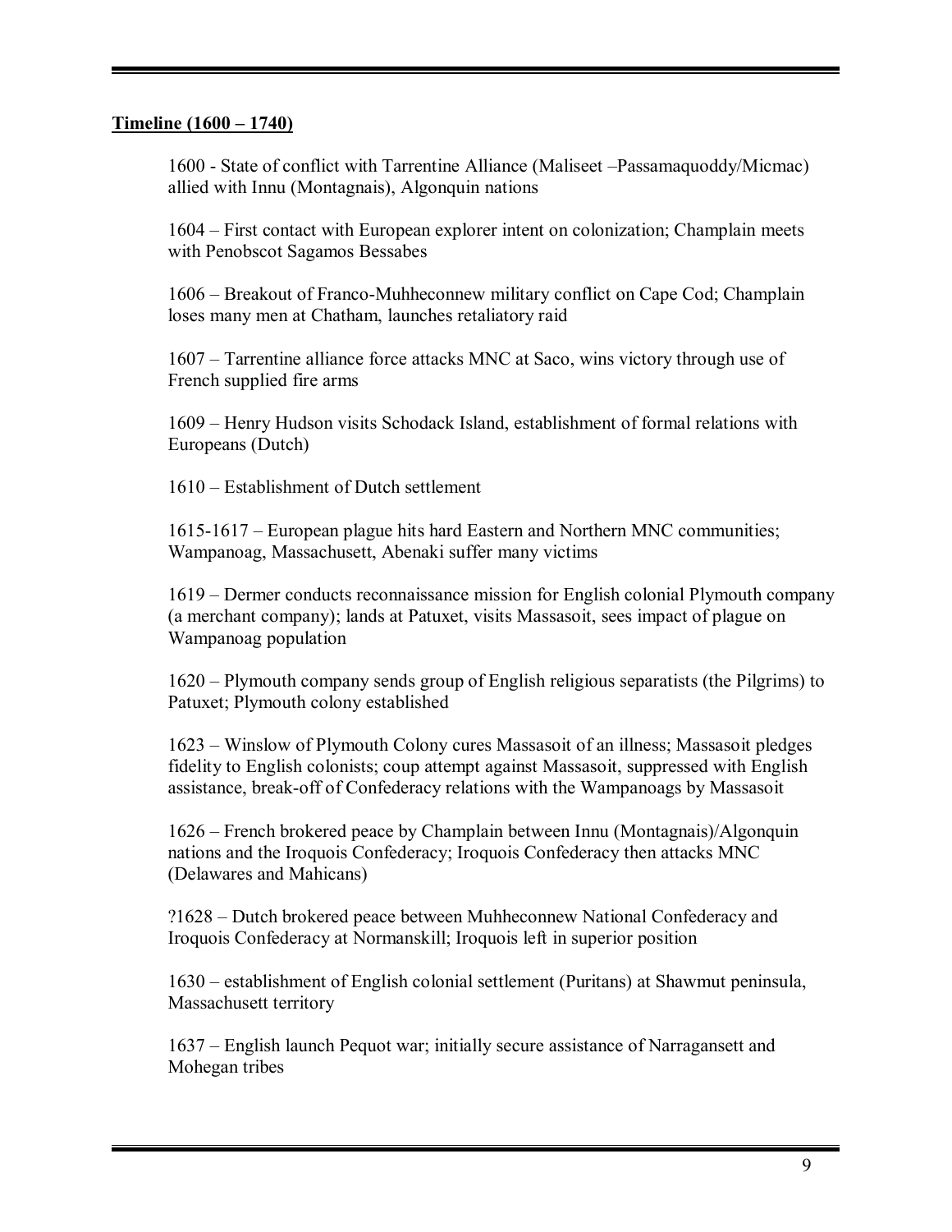#### **Timeline (1600 – 1740)**

1600 - State of conflict with Tarrentine Alliance (Maliseet – Passamaquoddy/Micmac) allied with Innu (Montagnais), Algonquin nations

1604 – First contact with European explorer intent on colonization; Champlain meets with Penobscot Sagamos Bessabes

1606 – Breakout of Franco-Muhheconnew military conflict on Cape Cod; Champlain loses many men at Chatham, launches retaliatory raid

1607 – Tarrentine alliance force attacks MNC at Saco, wins victory through use of French supplied fire arms

1609 – Henry Hudson visits Schodack Island, establishment of formal relations with Europeans (Dutch)

1610 – Establishment of Dutch settlement

1615-1617 – European plague hits hard Eastern and Northern MNC communities; Wampanoag, Massachusett, Abenaki suffer many victims

1619 – Dermer conducts reconnaissance mission for English colonial Plymouth company (a merchant company); lands at Patuxet, visits Massasoit, sees impact of plague on Wampanoag population

1620 – Plymouth company sends group of English religious separatists (the Pilgrims) to Patuxet; Plymouth colony established

1623 – Winslow of Plymouth Colony cures Massasoit of an illness; Massasoit pledges fidelity to English colonists; coup attempt against Massasoit, suppressed with English assistance, break-off of Confederacy relations with the Wampanoags by Massasoit

1626 ñ French brokered peace by Champlain between Innu (Montagnais)/Algonquin nations and the Iroquois Confederacy; Iroquois Confederacy then attacks MNC (Delawares and Mahicans)

?1628 – Dutch brokered peace between Muhheconnew National Confederacy and Iroquois Confederacy at Normanskill; Iroquois left in superior position

1630 ñ establishment of English colonial settlement (Puritans) at Shawmut peninsula, Massachusett territory

1637 – English launch Pequot war; initially secure assistance of Narragansett and Mohegan tribes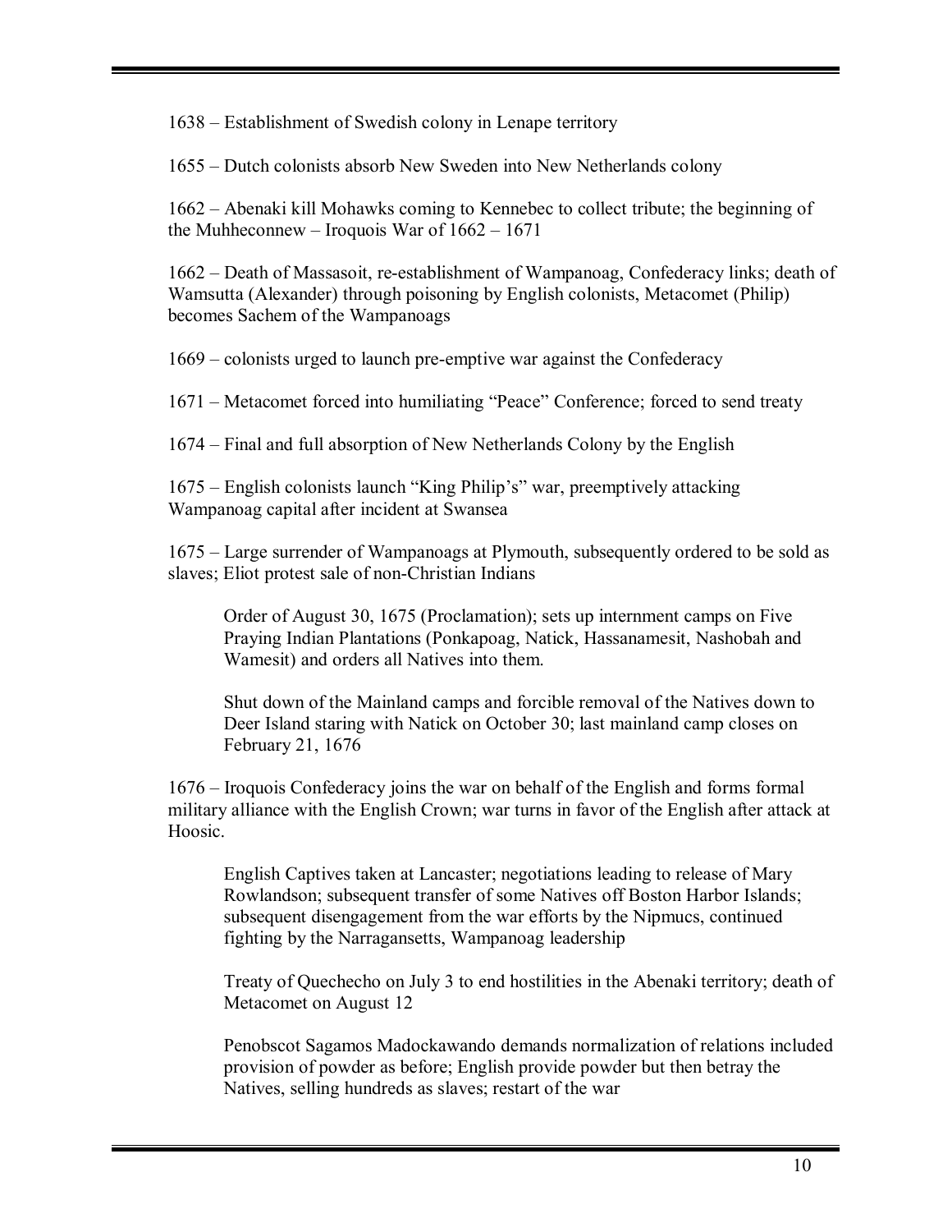1638 – Establishment of Swedish colony in Lenape territory

1655 – Dutch colonists absorb New Sweden into New Netherlands colony

 $1662$  – Abenaki kill Mohawks coming to Kennebec to collect tribute; the beginning of the Muhheconnew – Iroquois War of  $1662 - 1671$ 

1662 – Death of Massasoit, re-establishment of Wampanoag, Confederacy links; death of Wamsutta (Alexander) through poisoning by English colonists, Metacomet (Philip) becomes Sachem of the Wampanoags

1669 – colonists urged to launch pre-emptive war against the Confederacy

1671 – Metacomet forced into humiliating "Peace" Conference; forced to send treaty

1674 – Final and full absorption of New Netherlands Colony by the English

1675 – English colonists launch "King Philip's" war, preemptively attacking Wampanoag capital after incident at Swansea

1675 – Large surrender of Wampanoags at Plymouth, subsequently ordered to be sold as slaves; Eliot protest sale of non-Christian Indians

Order of August 30, 1675 (Proclamation); sets up internment camps on Five Praying Indian Plantations (Ponkapoag, Natick, Hassanamesit, Nashobah and Wamesit) and orders all Natives into them.

Shut down of the Mainland camps and forcible removal of the Natives down to Deer Island staring with Natick on October 30; last mainland camp closes on February 21, 1676

1676 – Iroquois Confederacy joins the war on behalf of the English and forms formal military alliance with the English Crown; war turns in favor of the English after attack at Hoosic.

English Captives taken at Lancaster; negotiations leading to release of Mary Rowlandson; subsequent transfer of some Natives off Boston Harbor Islands; subsequent disengagement from the war efforts by the Nipmucs, continued fighting by the Narragansetts, Wampanoag leadership

Treaty of Quechecho on July 3 to end hostilities in the Abenaki territory; death of Metacomet on August 12

Penobscot Sagamos Madockawando demands normalization of relations included provision of powder as before; English provide powder but then betray the Natives, selling hundreds as slaves; restart of the war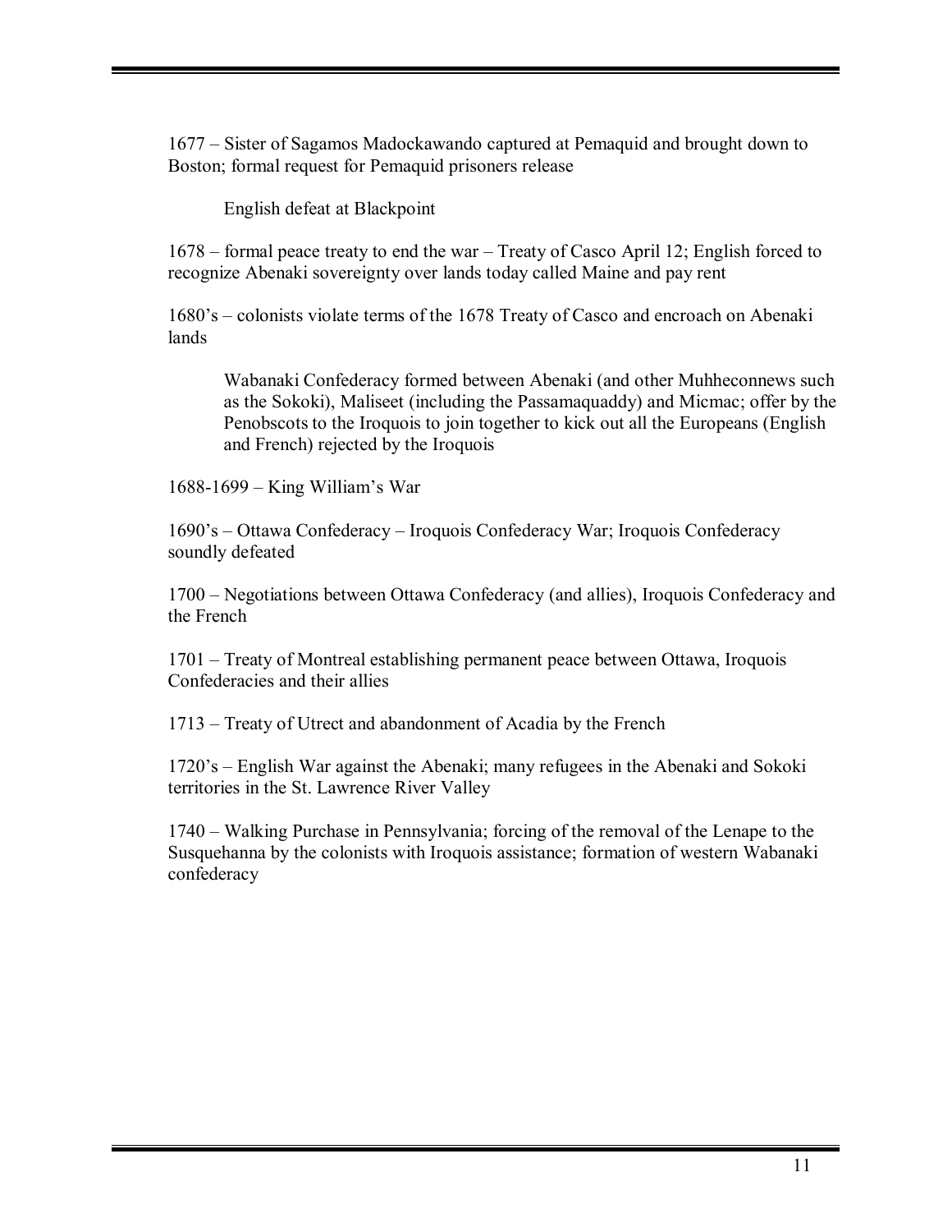1677 – Sister of Sagamos Madockawando captured at Pemaquid and brought down to Boston; formal request for Pemaquid prisoners release

English defeat at Blackpoint

 $1678$  – formal peace treaty to end the war – Treaty of Casco April 12; English forced to recognize Abenaki sovereignty over lands today called Maine and pay rent

1680's – colonists violate terms of the 1678 Treaty of Casco and encroach on Abenaki lands

Wabanaki Confederacy formed between Abenaki (and other Muhheconnews such as the Sokoki), Maliseet (including the Passamaquaddy) and Micmac; offer by the Penobscots to the Iroquois to join together to kick out all the Europeans (English and French) rejected by the Iroquois

 $1688-1699$  – King William's War

1690's – Ottawa Confederacy – Iroquois Confederacy War; Iroquois Confederacy soundly defeated

1700 – Negotiations between Ottawa Confederacy (and allies), Iroquois Confederacy and the French

1701 – Treaty of Montreal establishing permanent peace between Ottawa, Iroquois Confederacies and their allies

1713 – Treaty of Utrect and abandonment of Acadia by the French

1720's – English War against the Abenaki; many refugees in the Abenaki and Sokoki territories in the St. Lawrence River Valley

1740 – Walking Purchase in Pennsylvania; forcing of the removal of the Lenape to the Susquehanna by the colonists with Iroquois assistance; formation of western Wabanaki confederacy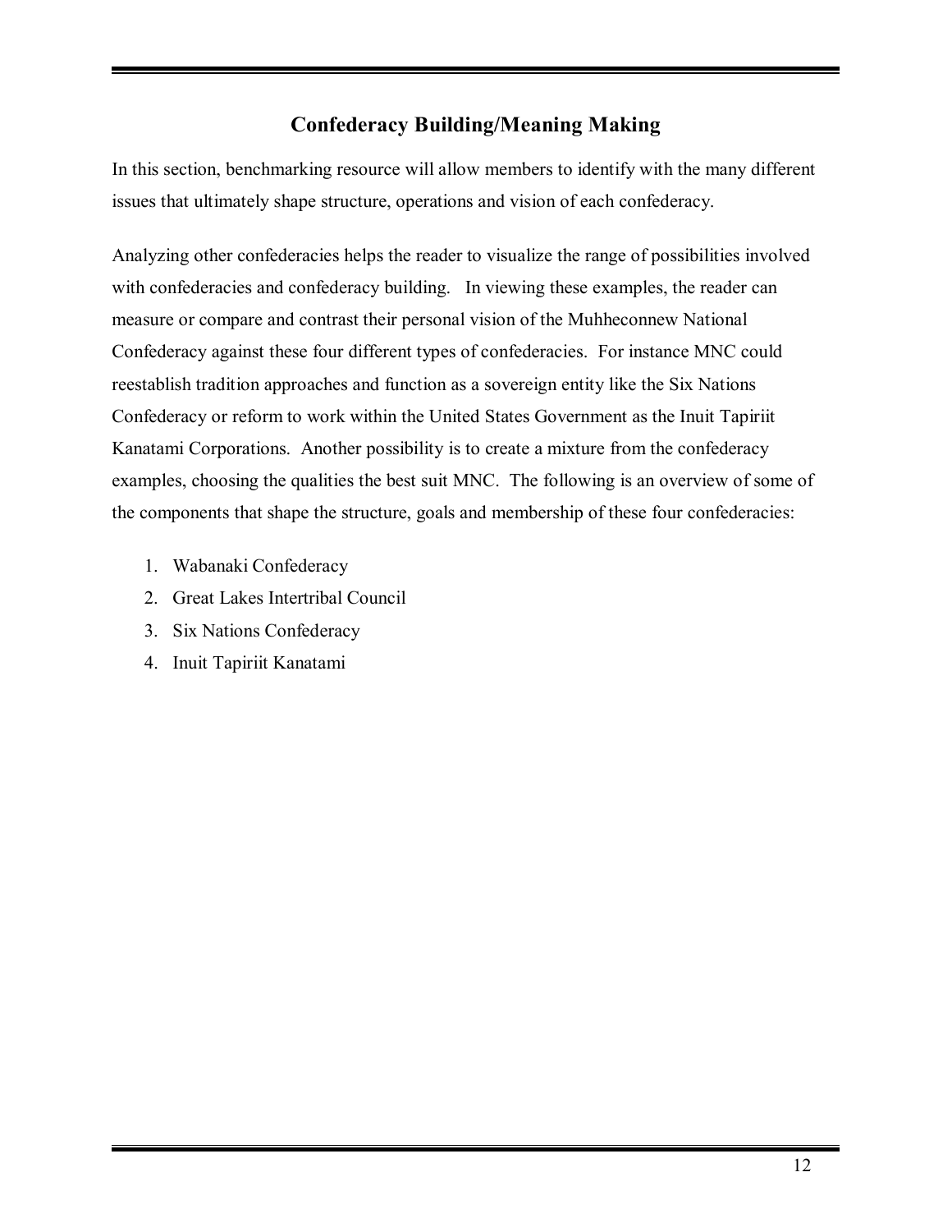# **Confederacy Building/Meaning Making**

In this section, benchmarking resource will allow members to identify with the many different issues that ultimately shape structure, operations and vision of each confederacy.

Analyzing other confederacies helps the reader to visualize the range of possibilities involved with confederacies and confederacy building. In viewing these examples, the reader can measure or compare and contrast their personal vision of the Muhheconnew National Confederacy against these four different types of confederacies. For instance MNC could reestablish tradition approaches and function as a sovereign entity like the Six Nations Confederacy or reform to work within the United States Government as the Inuit Tapiriit Kanatami Corporations. Another possibility is to create a mixture from the confederacy examples, choosing the qualities the best suit MNC. The following is an overview of some of the components that shape the structure, goals and membership of these four confederacies:

- 1. Wabanaki Confederacy
- 2. Great Lakes Intertribal Council
- 3. Six Nations Confederacy
- 4. Inuit Tapiriit Kanatami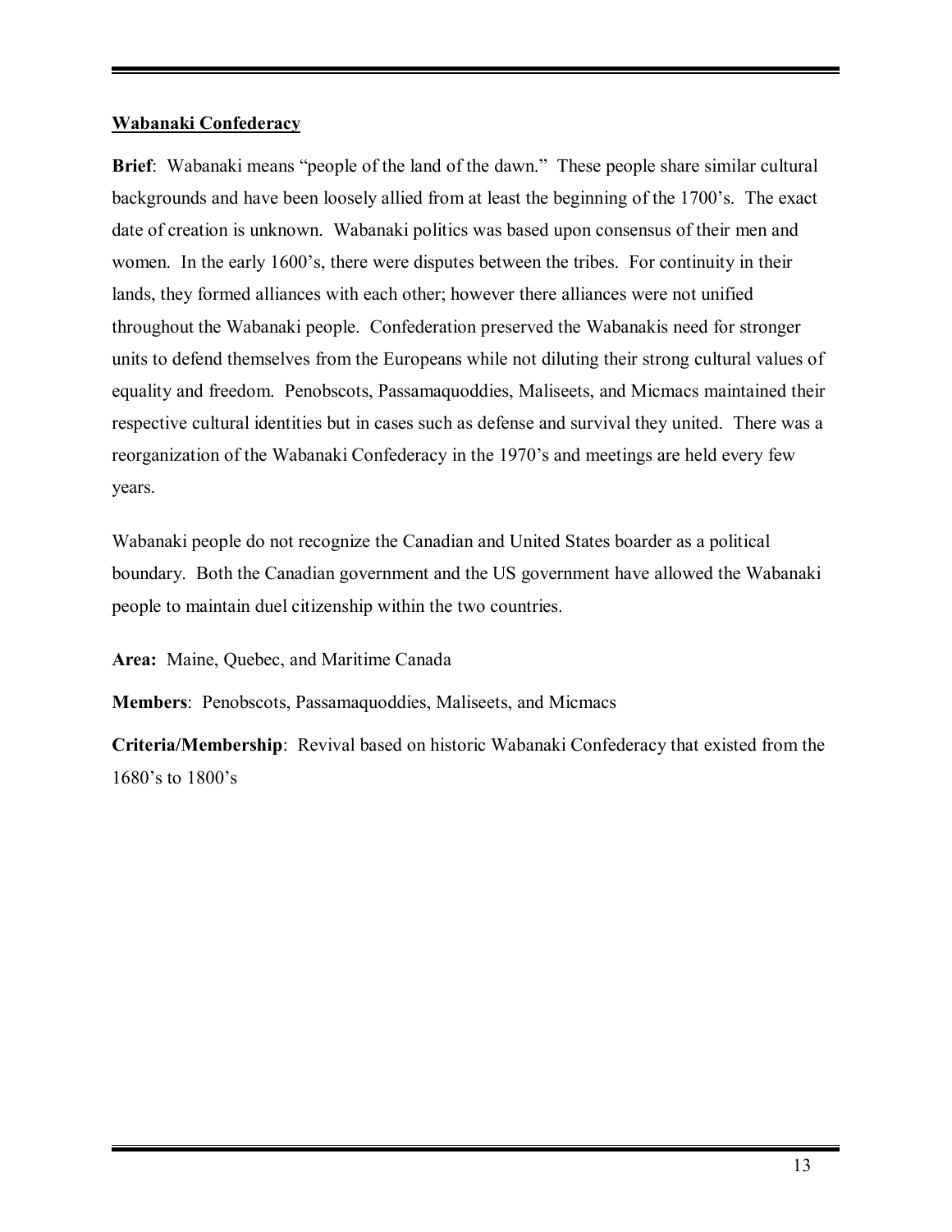#### **Wabanaki Confederacy**

**Brief**: Wabanaki means "people of the land of the dawn." These people share similar cultural backgrounds and have been loosely allied from at least the beginning of the 1700's. The exact date of creation is unknown. Wabanaki politics was based upon consensus of their men and women. In the early 1600's, there were disputes between the tribes. For continuity in their lands, they formed alliances with each other; however there alliances were not unified throughout the Wabanaki people. Confederation preserved the Wabanakis need for stronger units to defend themselves from the Europeans while not diluting their strong cultural values of equality and freedom. Penobscots, Passamaquoddies, Maliseets, and Micmacs maintained their respective cultural identities but in cases such as defense and survival they united. There was a reorganization of the Wabanaki Confederacy in the 1970's and meetings are held every few years.

Wabanaki people do not recognize the Canadian and United States boarder as a political boundary. Both the Canadian government and the US government have allowed the Wabanaki people to maintain duel citizenship within the two countries.

**Area:** Maine, Quebec, and Maritime Canada

**Members**: Penobscots, Passamaquoddies, Maliseets, and Micmacs

**Criteria/Membership**: Revival based on historic Wabanaki Confederacy that existed from the 1680's to  $1800$ 's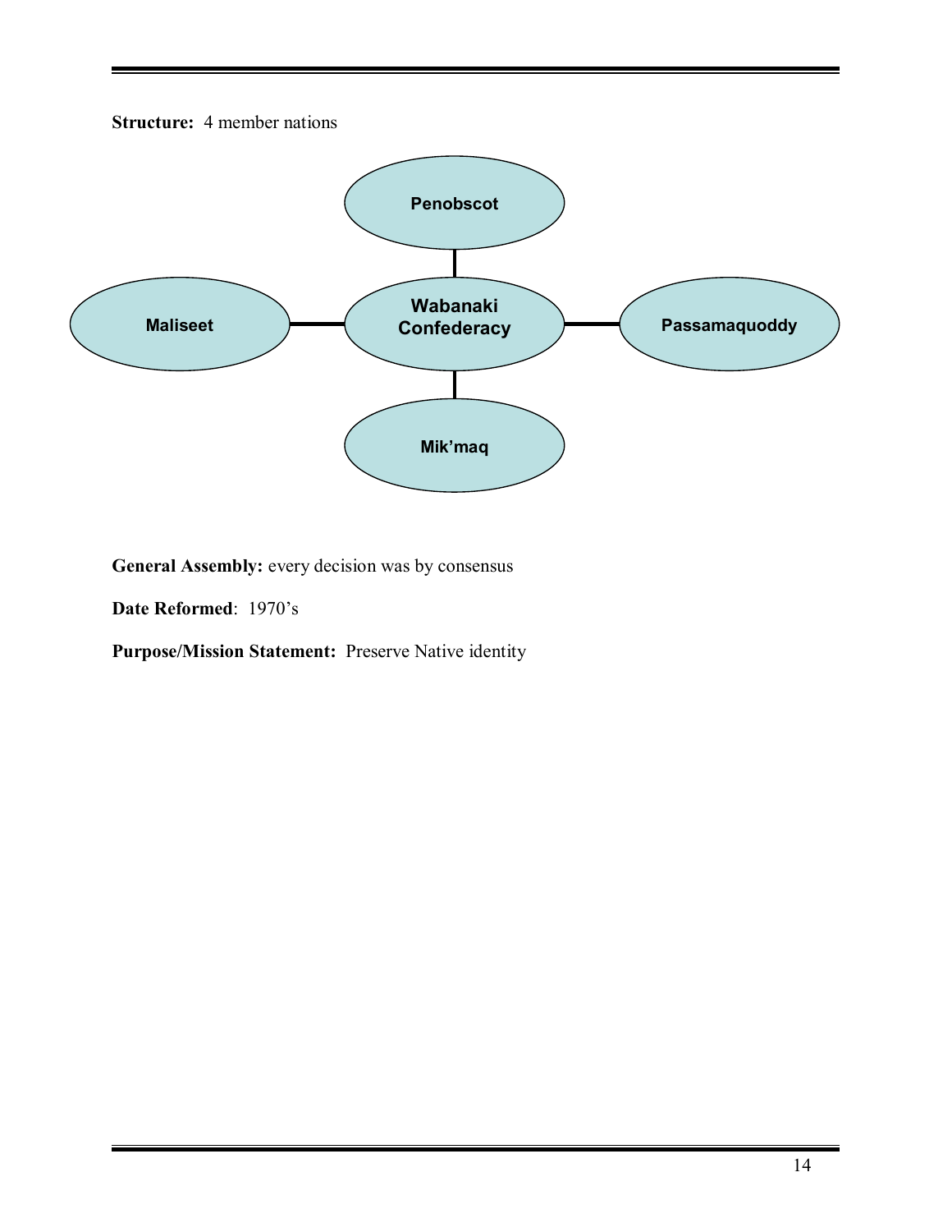



General Assembly: every decision was by consensus

**Date Reformed: 1970's** 

**Purpose/Mission Statement:** Preserve Native identity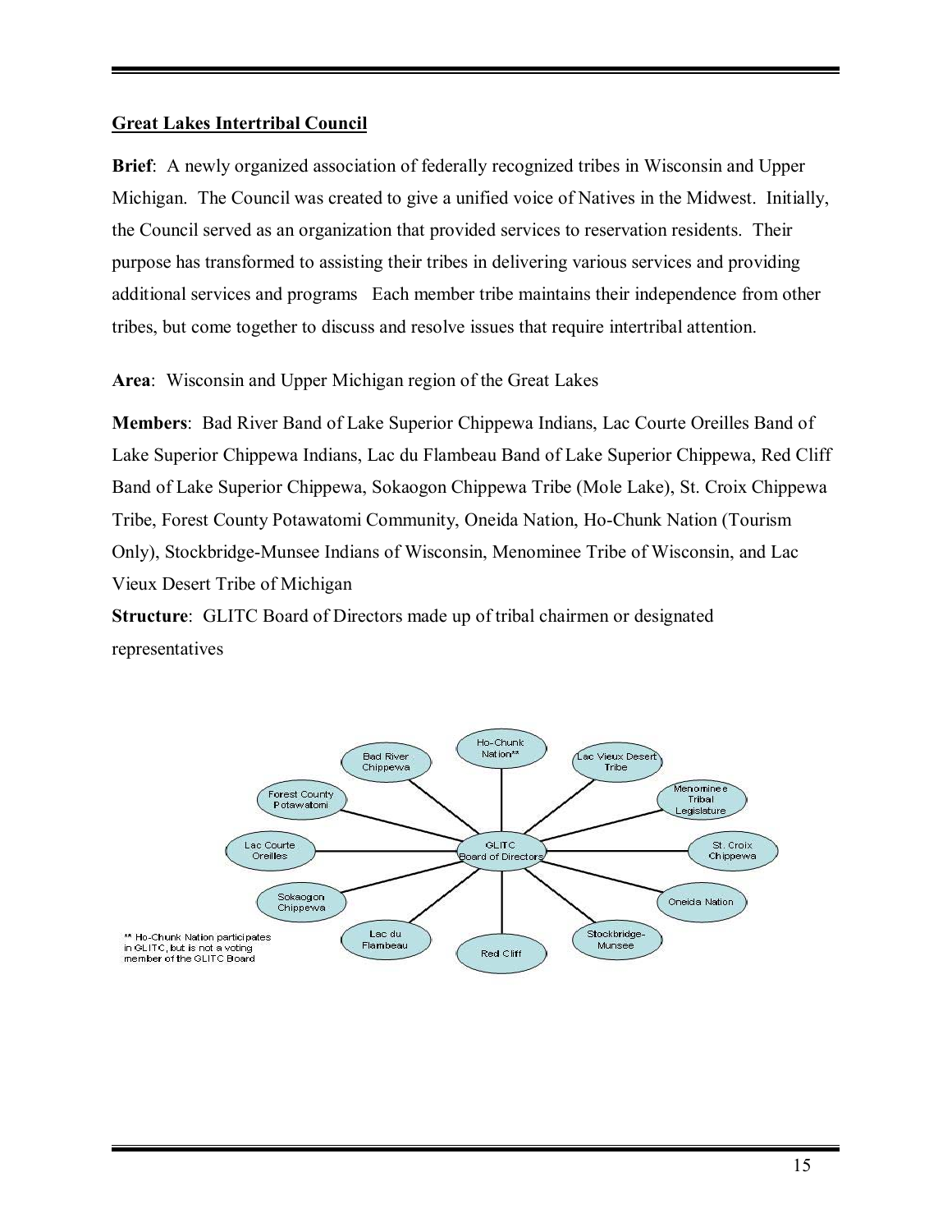#### **Great Lakes Intertribal Council**

**Brief**: A newly organized association of federally recognized tribes in Wisconsin and Upper Michigan. The Council was created to give a unified voice of Natives in the Midwest. Initially, the Council served as an organization that provided services to reservation residents. Their purpose has transformed to assisting their tribes in delivering various services and providing additional services and programs Each member tribe maintains their independence from other tribes, but come together to discuss and resolve issues that require intertribal attention.

**Area**: Wisconsin and Upper Michigan region of the Great Lakes

**Members**: Bad River Band of Lake Superior Chippewa Indians, Lac Courte Oreilles Band of Lake Superior Chippewa Indians, Lac du Flambeau Band of Lake Superior Chippewa, Red Cliff Band of Lake Superior Chippewa, Sokaogon Chippewa Tribe (Mole Lake), St. Croix Chippewa Tribe, Forest County Potawatomi Community, Oneida Nation, Ho-Chunk Nation (Tourism Only), Stockbridge-Munsee Indians of Wisconsin, Menominee Tribe of Wisconsin, and Lac Vieux Desert Tribe of Michigan

**Structure**: GLITC Board of Directors made up of tribal chairmen or designated representatives

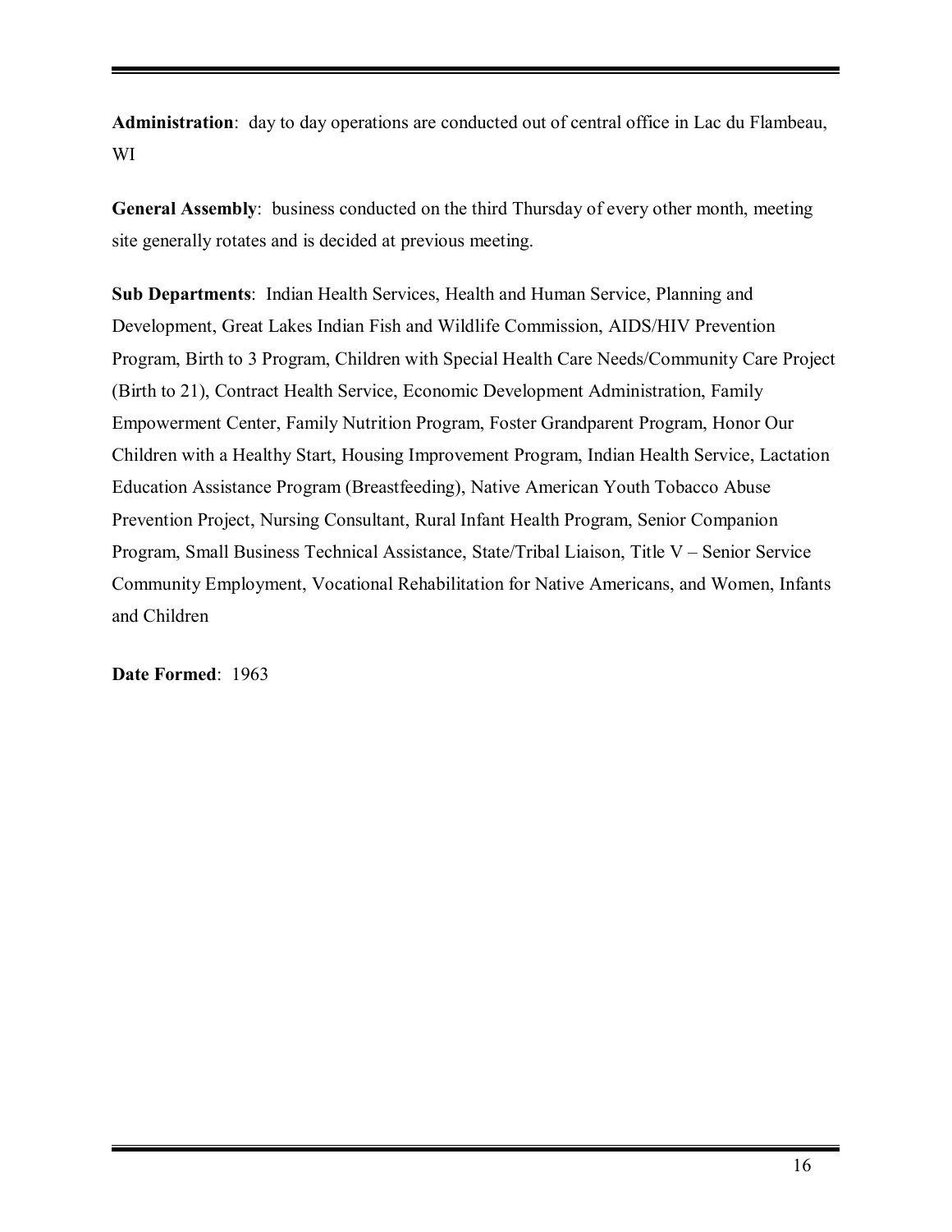**Administration**: day to day operations are conducted out of central office in Lac du Flambeau, WI

**General Assembly**: business conducted on the third Thursday of every other month, meeting site generally rotates and is decided at previous meeting.

**Sub Departments**: Indian Health Services, Health and Human Service, Planning and Development, Great Lakes Indian Fish and Wildlife Commission, AIDS/HIV Prevention Program, Birth to 3 Program, Children with Special Health Care Needs/Community Care Project (Birth to 21), Contract Health Service, Economic Development Administration, Family Empowerment Center, Family Nutrition Program, Foster Grandparent Program, Honor Our Children with a Healthy Start, Housing Improvement Program, Indian Health Service, Lactation Education Assistance Program (Breastfeeding), Native American Youth Tobacco Abuse Prevention Project, Nursing Consultant, Rural Infant Health Program, Senior Companion Program, Small Business Technical Assistance, State/Tribal Liaison, Title V – Senior Service Community Employment, Vocational Rehabilitation for Native Americans, and Women, Infants and Children

**Date Formed**: 1963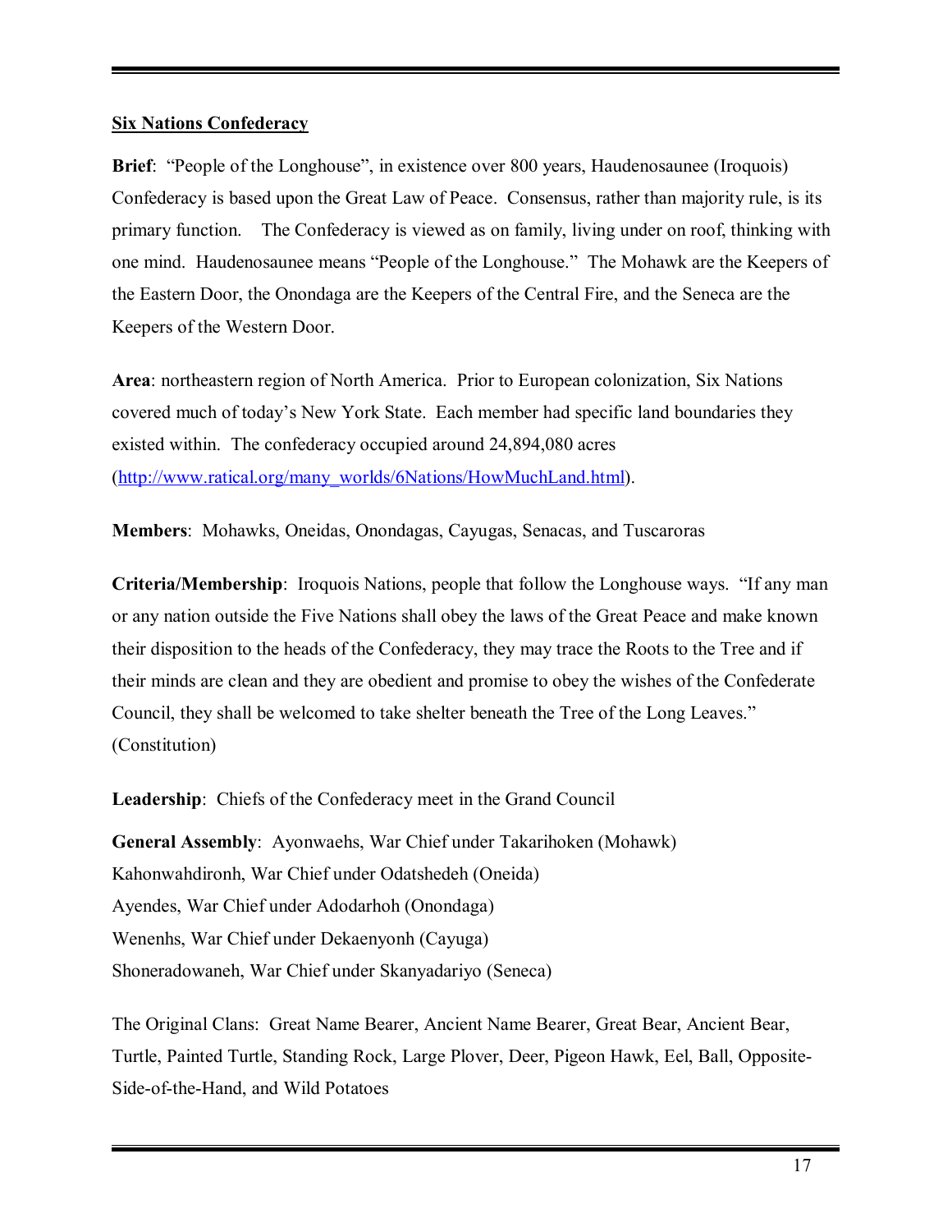#### **Six Nations Confederacy**

**Brief:** "People of the Longhouse", in existence over 800 years, Haudenosaunee (Iroquois) Confederacy is based upon the Great Law of Peace. Consensus, rather than majority rule, is its primary function. The Confederacy is viewed as on family, living under on roof, thinking with one mind. Haudenosaunee means "People of the Longhouse." The Mohawk are the Keepers of the Eastern Door, the Onondaga are the Keepers of the Central Fire, and the Seneca are the Keepers of the Western Door.

**Area**: northeastern region of North America. Prior to European colonization, Six Nations covered much of today's New York State. Each member had specific land boundaries they existed within. The confederacy occupied around 24,894,080 acres (http://www.ratical.org/many\_worlds/6Nations/HowMuchLand.html).

**Members**: Mohawks, Oneidas, Onondagas, Cayugas, Senacas, and Tuscaroras

**Criteria/Membership**: Iroquois Nations, people that follow the Longhouse ways. "If any man or any nation outside the Five Nations shall obey the laws of the Great Peace and make known their disposition to the heads of the Confederacy, they may trace the Roots to the Tree and if their minds are clean and they are obedient and promise to obey the wishes of the Confederate Council, they shall be welcomed to take shelter beneath the Tree of the Long Leaves." (Constitution)

**Leadership**: Chiefs of the Confederacy meet in the Grand Council

**General Assembly**: Ayonwaehs, War Chief under Takarihoken (Mohawk) Kahonwahdironh, War Chief under Odatshedeh (Oneida) Ayendes, War Chief under Adodarhoh (Onondaga) Wenenhs, War Chief under Dekaenyonh (Cayuga) Shoneradowaneh, War Chief under Skanyadariyo (Seneca)

The Original Clans: Great Name Bearer, Ancient Name Bearer, Great Bear, Ancient Bear, Turtle, Painted Turtle, Standing Rock, Large Plover, Deer, Pigeon Hawk, Eel, Ball, Opposite-Side-of-the-Hand, and Wild Potatoes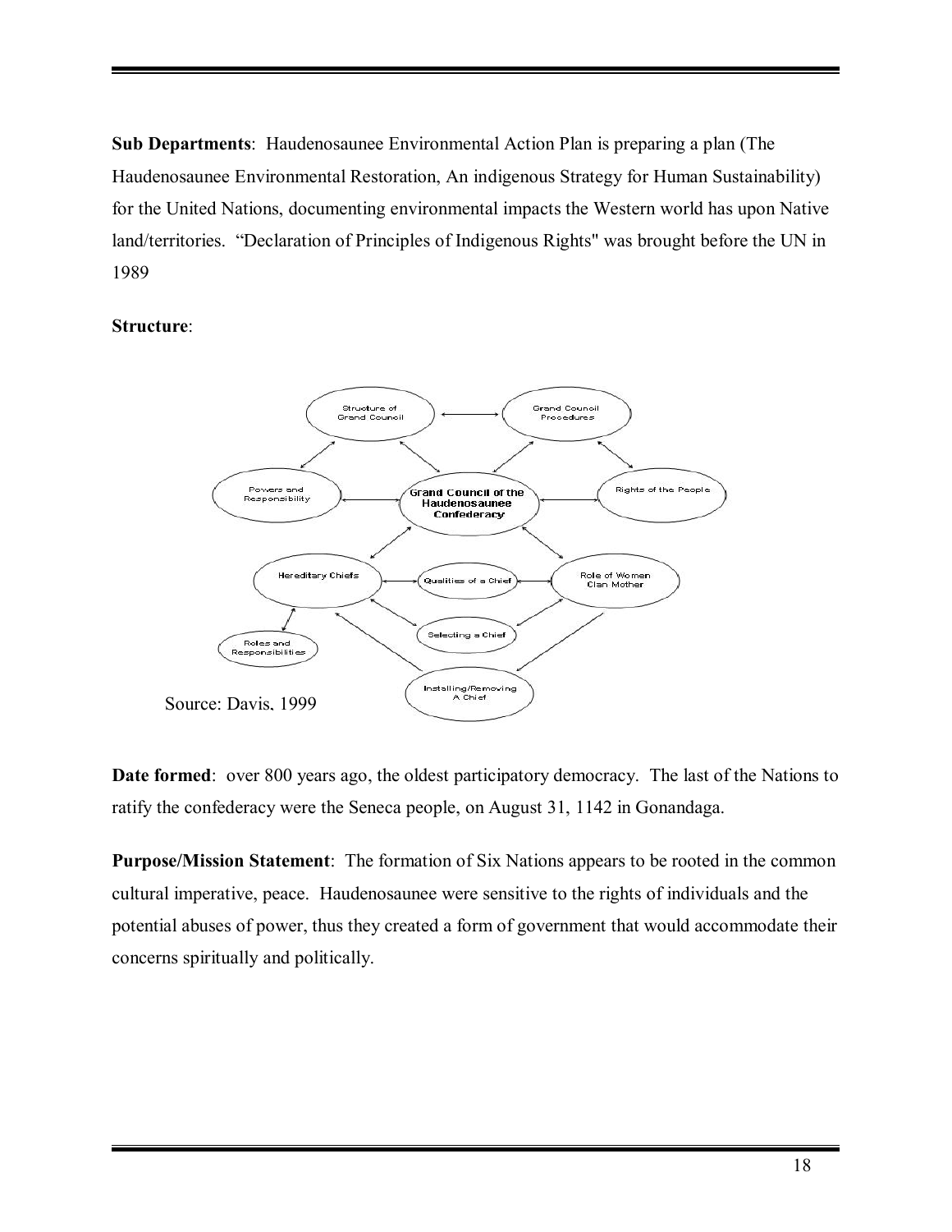**Sub Departments**: Haudenosaunee Environmental Action Plan is preparing a plan (The Haudenosaunee Environmental Restoration, An indigenous Strategy for Human Sustainability) for the United Nations, documenting environmental impacts the Western world has upon Native land/territories. "Declaration of Principles of Indigenous Rights" was brought before the UN in 1989

#### **Structure**:



**Date formed**: over 800 years ago, the oldest participatory democracy. The last of the Nations to ratify the confederacy were the Seneca people, on August 31, 1142 in Gonandaga.

**Purpose/Mission Statement**: The formation of Six Nations appears to be rooted in the common cultural imperative, peace. Haudenosaunee were sensitive to the rights of individuals and the potential abuses of power, thus they created a form of government that would accommodate their concerns spiritually and politically.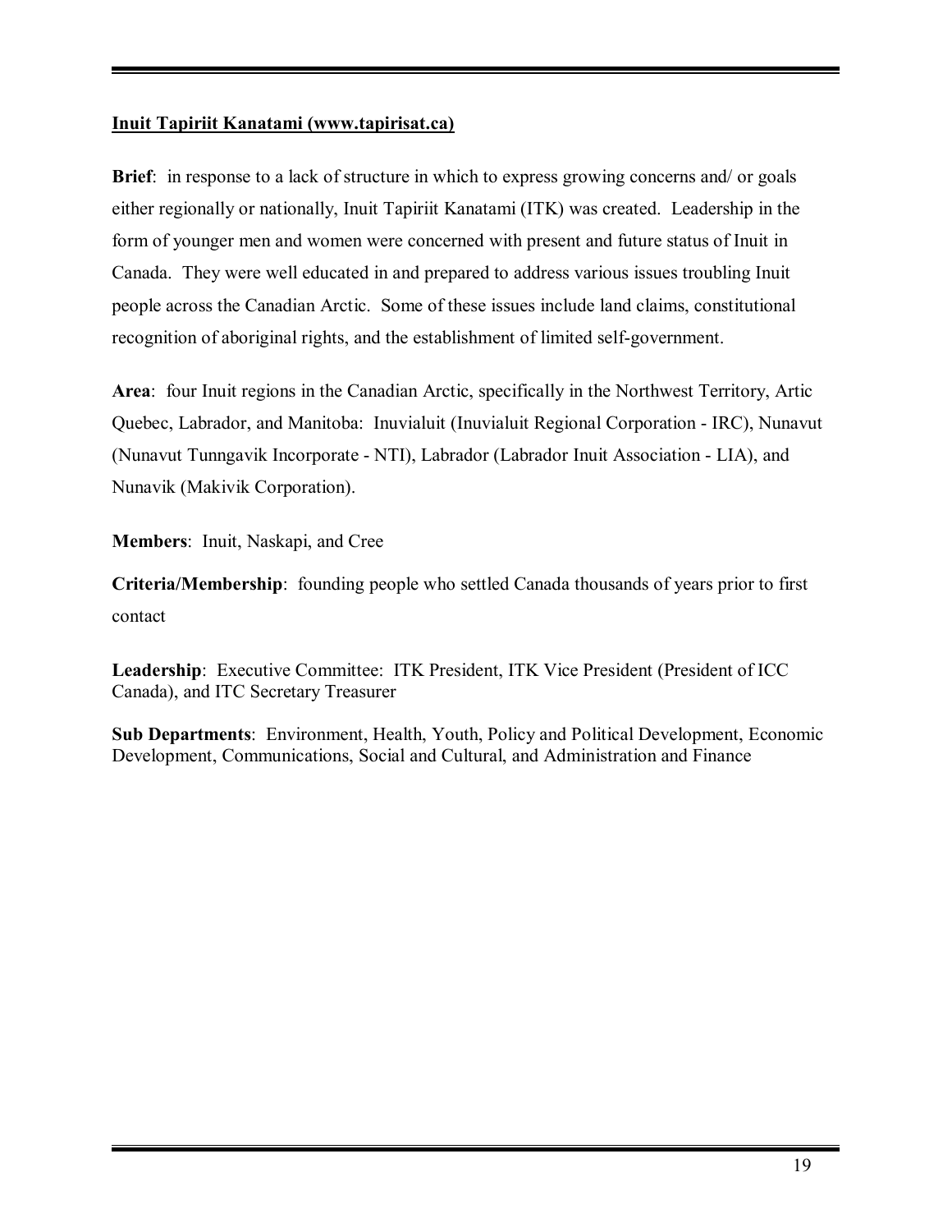# **Inuit Tapiriit Kanatami (www.tapirisat.ca)**

**Brief**: in response to a lack of structure in which to express growing concerns and/ or goals either regionally or nationally, Inuit Tapiriit Kanatami (ITK) was created. Leadership in the form of younger men and women were concerned with present and future status of Inuit in Canada. They were well educated in and prepared to address various issues troubling Inuit people across the Canadian Arctic. Some of these issues include land claims, constitutional recognition of aboriginal rights, and the establishment of limited self-government.

**Area**: four Inuit regions in the Canadian Arctic, specifically in the Northwest Territory, Artic Quebec, Labrador, and Manitoba: Inuvialuit (Inuvialuit Regional Corporation - IRC), Nunavut (Nunavut Tunngavik Incorporate - NTI), Labrador (Labrador Inuit Association - LIA), and Nunavik (Makivik Corporation).

**Members**: Inuit, Naskapi, and Cree

**Criteria/Membership**: founding people who settled Canada thousands of years prior to first contact

**Leadership**: Executive Committee: ITK President, ITK Vice President (President of ICC Canada), and ITC Secretary Treasurer

**Sub Departments**: Environment, Health, Youth, Policy and Political Development, Economic Development, Communications, Social and Cultural, and Administration and Finance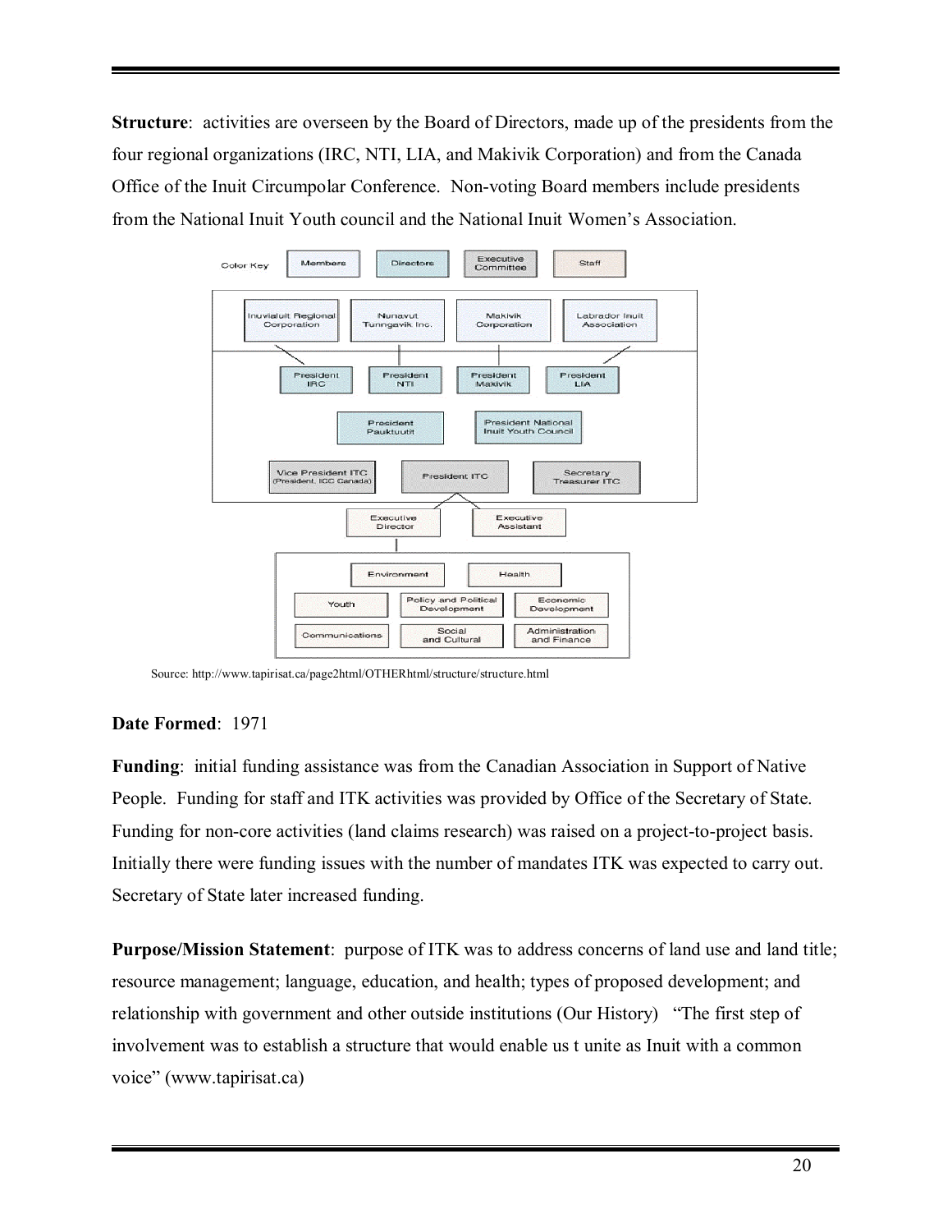**Structure**: activities are overseen by the Board of Directors, made up of the presidents from the four regional organizations (IRC, NTI, LIA, and Makivik Corporation) and from the Canada Office of the Inuit Circumpolar Conference. Non-voting Board members include presidents from the National Inuit Youth council and the National Inuit Women's Association.



Source: http://www.tapirisat.ca/page2html/OTHERhtml/structure/structure.html

# **Date Formed**: 1971

**Funding**: initial funding assistance was from the Canadian Association in Support of Native People. Funding for staff and ITK activities was provided by Office of the Secretary of State. Funding for non-core activities (land claims research) was raised on a project-to-project basis. Initially there were funding issues with the number of mandates ITK was expected to carry out. Secretary of State later increased funding.

**Purpose/Mission Statement**: purpose of ITK was to address concerns of land use and land title; resource management; language, education, and health; types of proposed development; and relationship with government and other outside institutions (Our History) "The first step of involvement was to establish a structure that would enable us t unite as Inuit with a common voice" (www.tapirisat.ca)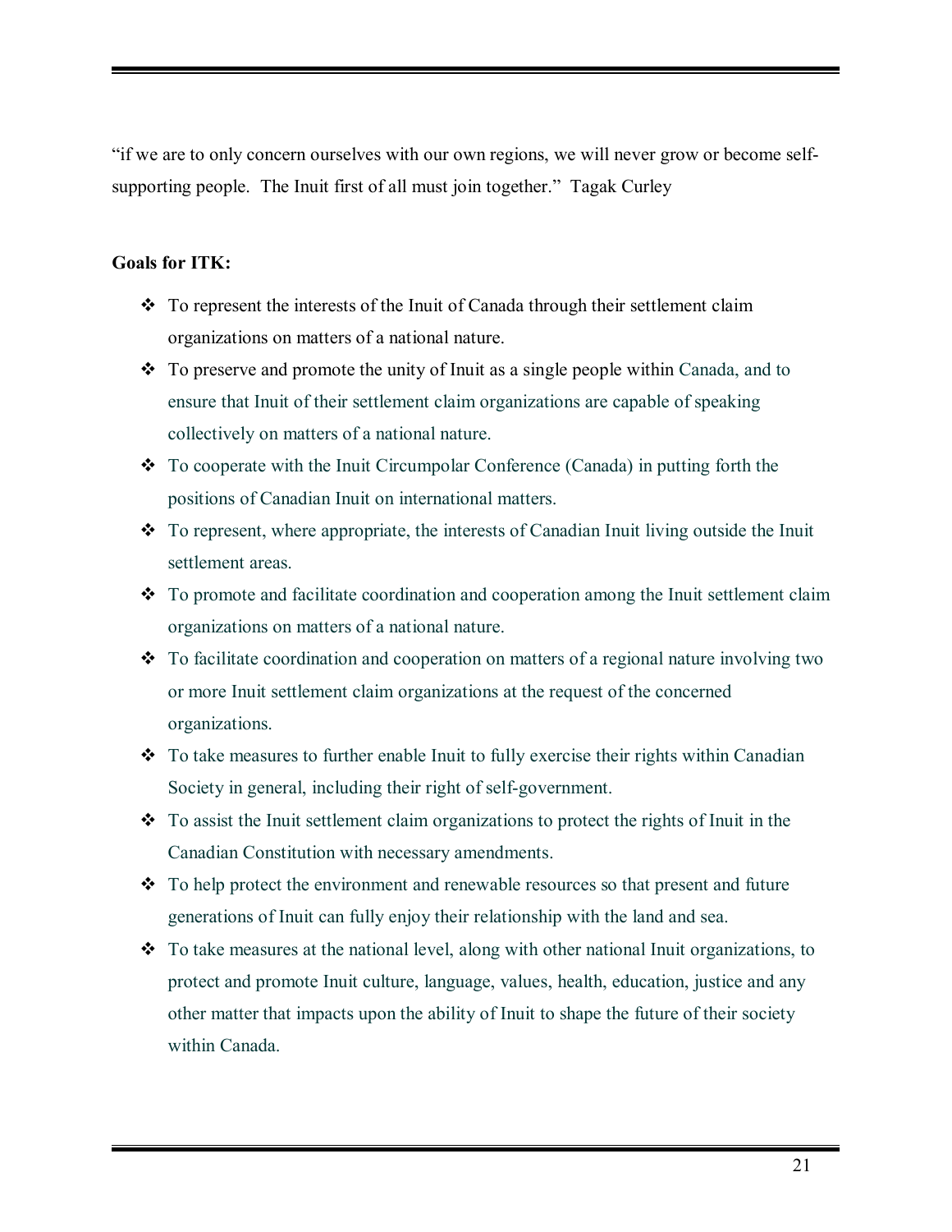ìif we are to only concern ourselves with our own regions, we will never grow or become selfsupporting people. The Inuit first of all must join together." Tagak Curley

#### **Goals for ITK:**

- $\cdot$  To represent the interests of the Inuit of Canada through their settlement claim organizations on matters of a national nature.
- $\bullet$  To preserve and promote the unity of Inuit as a single people within Canada, and to ensure that Inuit of their settlement claim organizations are capable of speaking collectively on matters of a national nature.
- $\bullet$  To cooperate with the Inuit Circumpolar Conference (Canada) in putting forth the positions of Canadian Inuit on international matters.
- $\bullet$  To represent, where appropriate, the interests of Canadian Inuit living outside the Inuit settlement areas.
- $\cdot \cdot$  To promote and facilitate coordination and cooperation among the Inuit settlement claim organizations on matters of a national nature.
- \* To facilitate coordination and cooperation on matters of a regional nature involving two or more Inuit settlement claim organizations at the request of the concerned organizations.
- $\cdot$  To take measures to further enable Inuit to fully exercise their rights within Canadian Society in general, including their right of self-government.
- $\cdot$  To assist the Inuit settlement claim organizations to protect the rights of Inuit in the Canadian Constitution with necessary amendments.
- $\div$  To help protect the environment and renewable resources so that present and future generations of Inuit can fully enjoy their relationship with the land and sea.
- $\cdot$  To take measures at the national level, along with other national Inuit organizations, to protect and promote Inuit culture, language, values, health, education, justice and any other matter that impacts upon the ability of Inuit to shape the future of their society within Canada.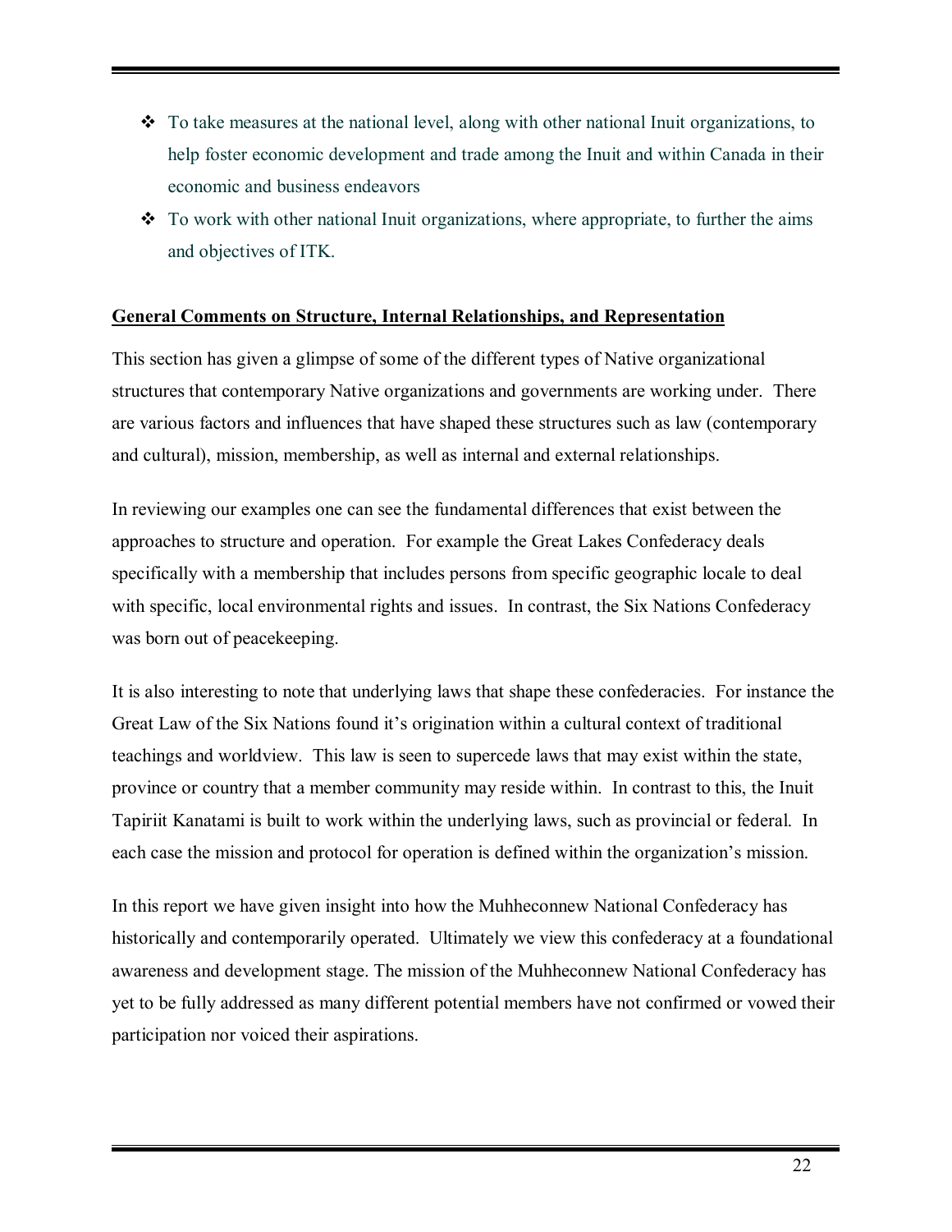- $\cdot \cdot$  To take measures at the national level, along with other national Inuit organizations, to help foster economic development and trade among the Inuit and within Canada in their economic and business endeavors
- $\cdot$  To work with other national Inuit organizations, where appropriate, to further the aims and objectives of ITK.

#### **General Comments on Structure, Internal Relationships, and Representation**

This section has given a glimpse of some of the different types of Native organizational structures that contemporary Native organizations and governments are working under. There are various factors and influences that have shaped these structures such as law (contemporary and cultural), mission, membership, as well as internal and external relationships.

In reviewing our examples one can see the fundamental differences that exist between the approaches to structure and operation. For example the Great Lakes Confederacy deals specifically with a membership that includes persons from specific geographic locale to deal with specific, local environmental rights and issues. In contrast, the Six Nations Confederacy was born out of peacekeeping.

It is also interesting to note that underlying laws that shape these confederacies. For instance the Great Law of the Six Nations found it's origination within a cultural context of traditional teachings and worldview. This law is seen to supercede laws that may exist within the state, province or country that a member community may reside within. In contrast to this, the Inuit Tapiriit Kanatami is built to work within the underlying laws, such as provincial or federal. In each case the mission and protocol for operation is defined within the organization's mission.

In this report we have given insight into how the Muhheconnew National Confederacy has historically and contemporarily operated. Ultimately we view this confederacy at a foundational awareness and development stage. The mission of the Muhheconnew National Confederacy has yet to be fully addressed as many different potential members have not confirmed or vowed their participation nor voiced their aspirations.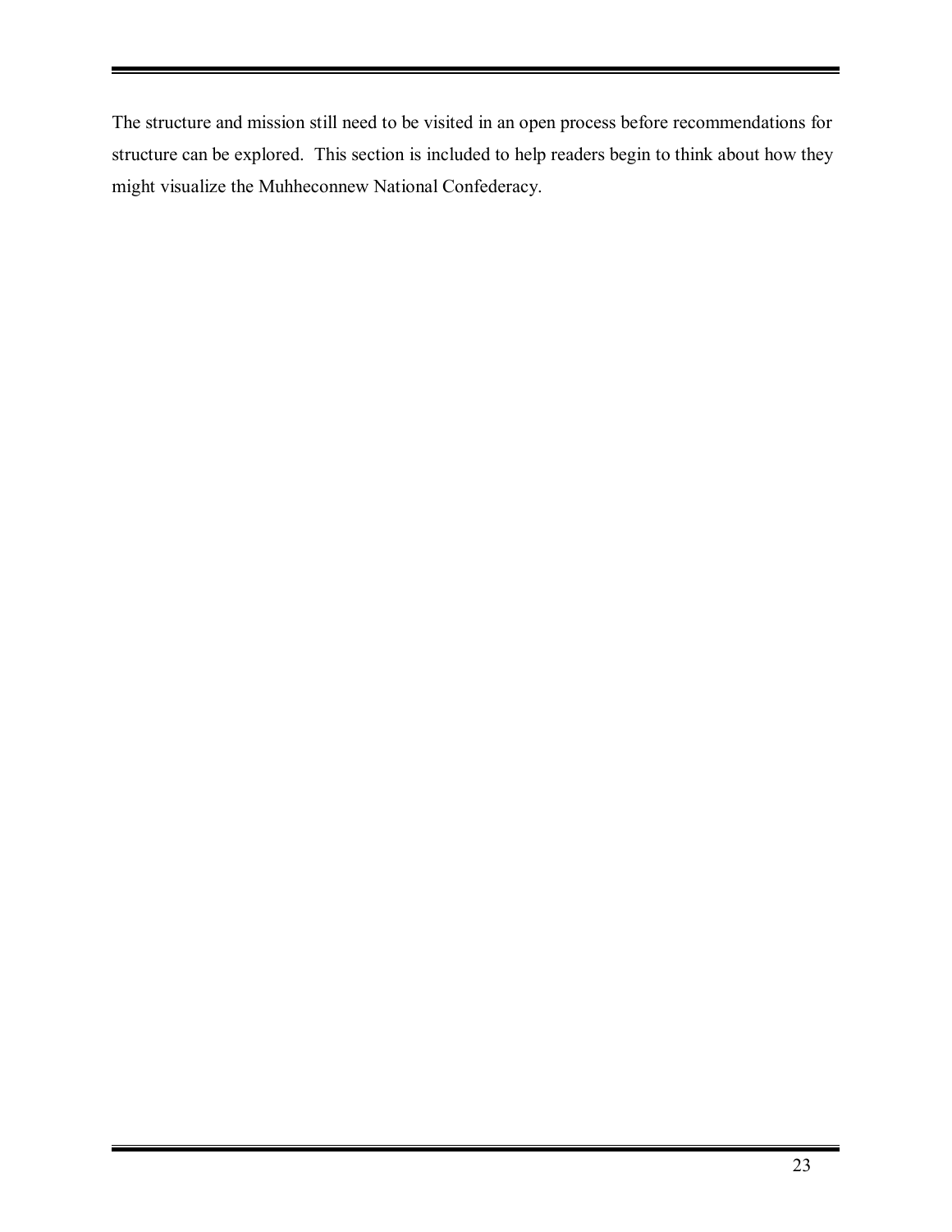The structure and mission still need to be visited in an open process before recommendations for structure can be explored. This section is included to help readers begin to think about how they might visualize the Muhheconnew National Confederacy.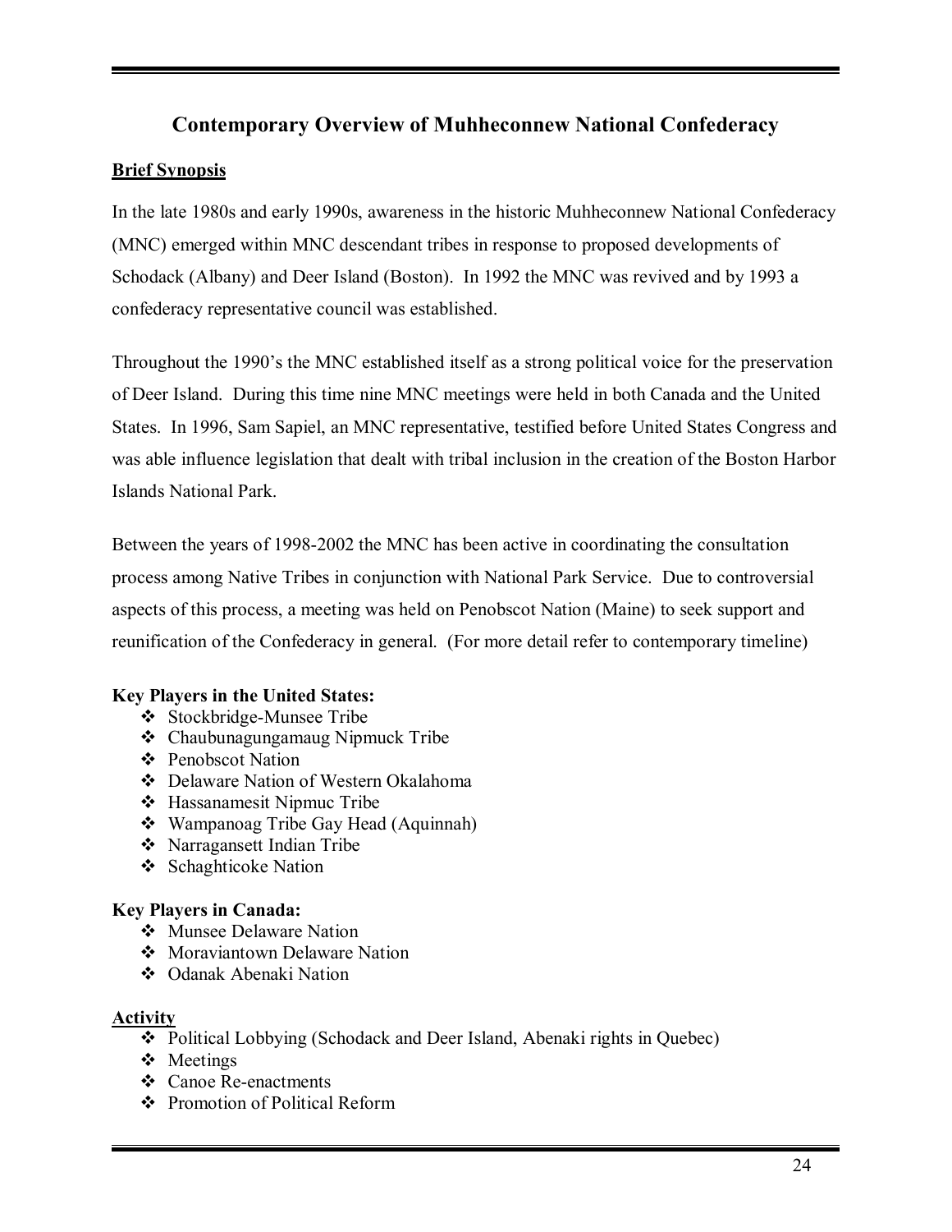# **Contemporary Overview of Muhheconnew National Confederacy**

# **Brief Synopsis**

In the late 1980s and early 1990s, awareness in the historic Muhheconnew National Confederacy (MNC) emerged within MNC descendant tribes in response to proposed developments of Schodack (Albany) and Deer Island (Boston). In 1992 the MNC was revived and by 1993 a confederacy representative council was established.

Throughout the 1990's the MNC established itself as a strong political voice for the preservation of Deer Island. During this time nine MNC meetings were held in both Canada and the United States. In 1996, Sam Sapiel, an MNC representative, testified before United States Congress and was able influence legislation that dealt with tribal inclusion in the creation of the Boston Harbor Islands National Park.

Between the years of 1998-2002 the MNC has been active in coordinating the consultation process among Native Tribes in conjunction with National Park Service. Due to controversial aspects of this process, a meeting was held on Penobscot Nation (Maine) to seek support and reunification of the Confederacy in general. (For more detail refer to contemporary timeline)

# **Key Players in the United States:**

- # Stockbridge-Munsee Tribe
- # Chaubunagungamaug Nipmuck Tribe
- ❖ Penobscot Nation
- # Delaware Nation of Western Okalahoma
- # Hassanamesit Nipmuc Tribe
- # Wampanoag Tribe Gay Head (Aquinnah)
- # Narragansett Indian Tribe
- ❖ Schaghticoke Nation

# **Key Players in Canada:**

- ❖ Munsee Delaware Nation
- ❖ Moraviantown Delaware Nation
- ❖ Odanak Abenaki Nation

# **Activity**

- # Political Lobbying (Schodack and Deer Island, Abenaki rights in Quebec)
- ❖ Meetings
- ❖ Canoe Re-enactments
- # Promotion of Political Reform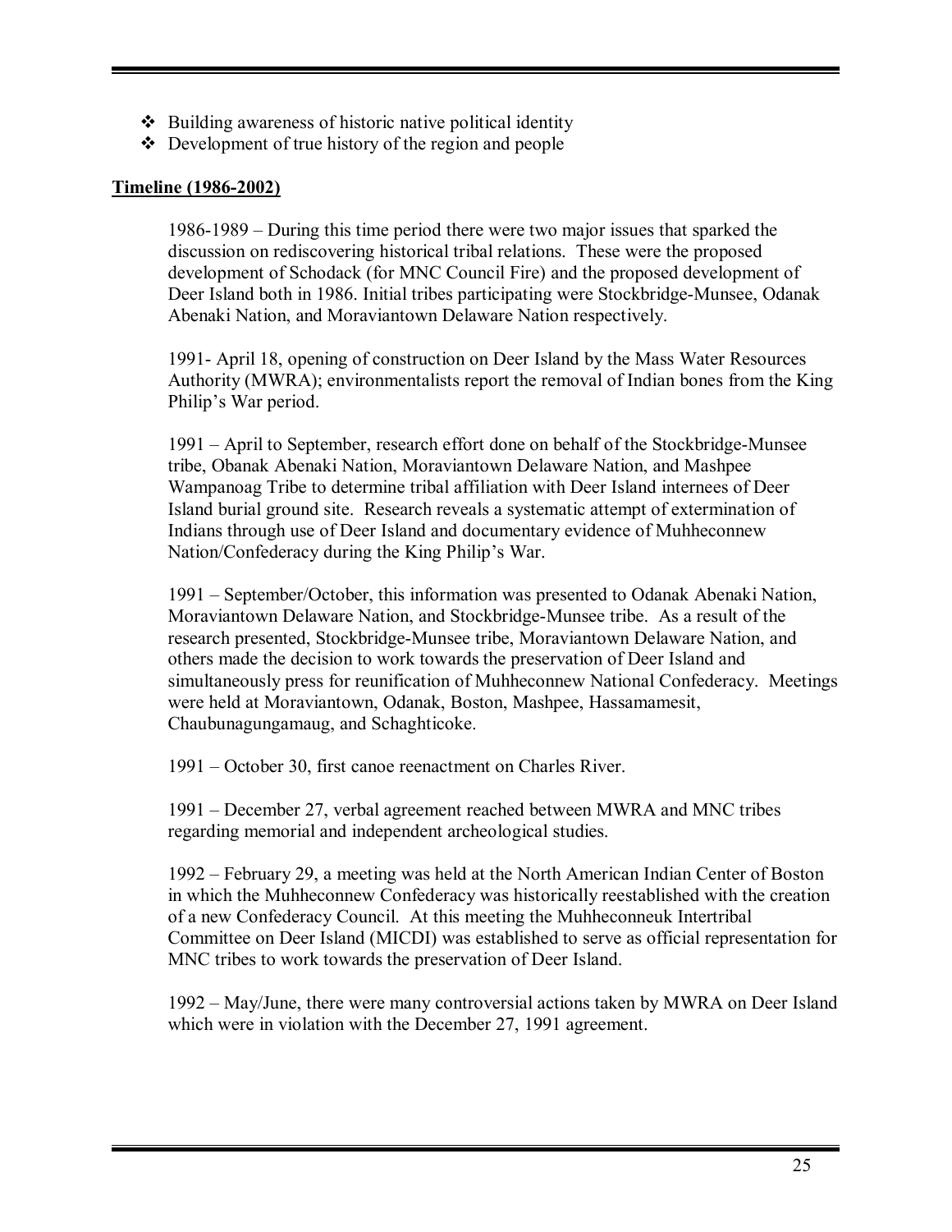- $\triangle$  Building awareness of historic native political identity
- $\triangle$  Development of true history of the region and people

# **Timeline (1986-2002)**

 $1986-1989$  – During this time period there were two major issues that sparked the discussion on rediscovering historical tribal relations. These were the proposed development of Schodack (for MNC Council Fire) and the proposed development of Deer Island both in 1986. Initial tribes participating were Stockbridge-Munsee, Odanak Abenaki Nation, and Moraviantown Delaware Nation respectively.

1991- April 18, opening of construction on Deer Island by the Mass Water Resources Authority (MWRA); environmentalists report the removal of Indian bones from the King Philip's War period.

1991 – April to September, research effort done on behalf of the Stockbridge-Munsee tribe, Obanak Abenaki Nation, Moraviantown Delaware Nation, and Mashpee Wampanoag Tribe to determine tribal affiliation with Deer Island internees of Deer Island burial ground site. Research reveals a systematic attempt of extermination of Indians through use of Deer Island and documentary evidence of Muhheconnew Nation/Confederacy during the King Philip's War.

1991 – September/October, this information was presented to Odanak Abenaki Nation, Moraviantown Delaware Nation, and Stockbridge-Munsee tribe. As a result of the research presented, Stockbridge-Munsee tribe, Moraviantown Delaware Nation, and others made the decision to work towards the preservation of Deer Island and simultaneously press for reunification of Muhheconnew National Confederacy. Meetings were held at Moraviantown, Odanak, Boston, Mashpee, Hassamamesit, Chaubunagungamaug, and Schaghticoke.

1991 – October 30, first canoe reenactment on Charles River.

1991 – December 27, verbal agreement reached between MWRA and MNC tribes regarding memorial and independent archeological studies.

1992 – February 29, a meeting was held at the North American Indian Center of Boston in which the Muhheconnew Confederacy was historically reestablished with the creation of a new Confederacy Council. At this meeting the Muhheconneuk Intertribal Committee on Deer Island (MICDI) was established to serve as official representation for MNC tribes to work towards the preservation of Deer Island.

1992 – May/June, there were many controversial actions taken by MWRA on Deer Island which were in violation with the December 27, 1991 agreement.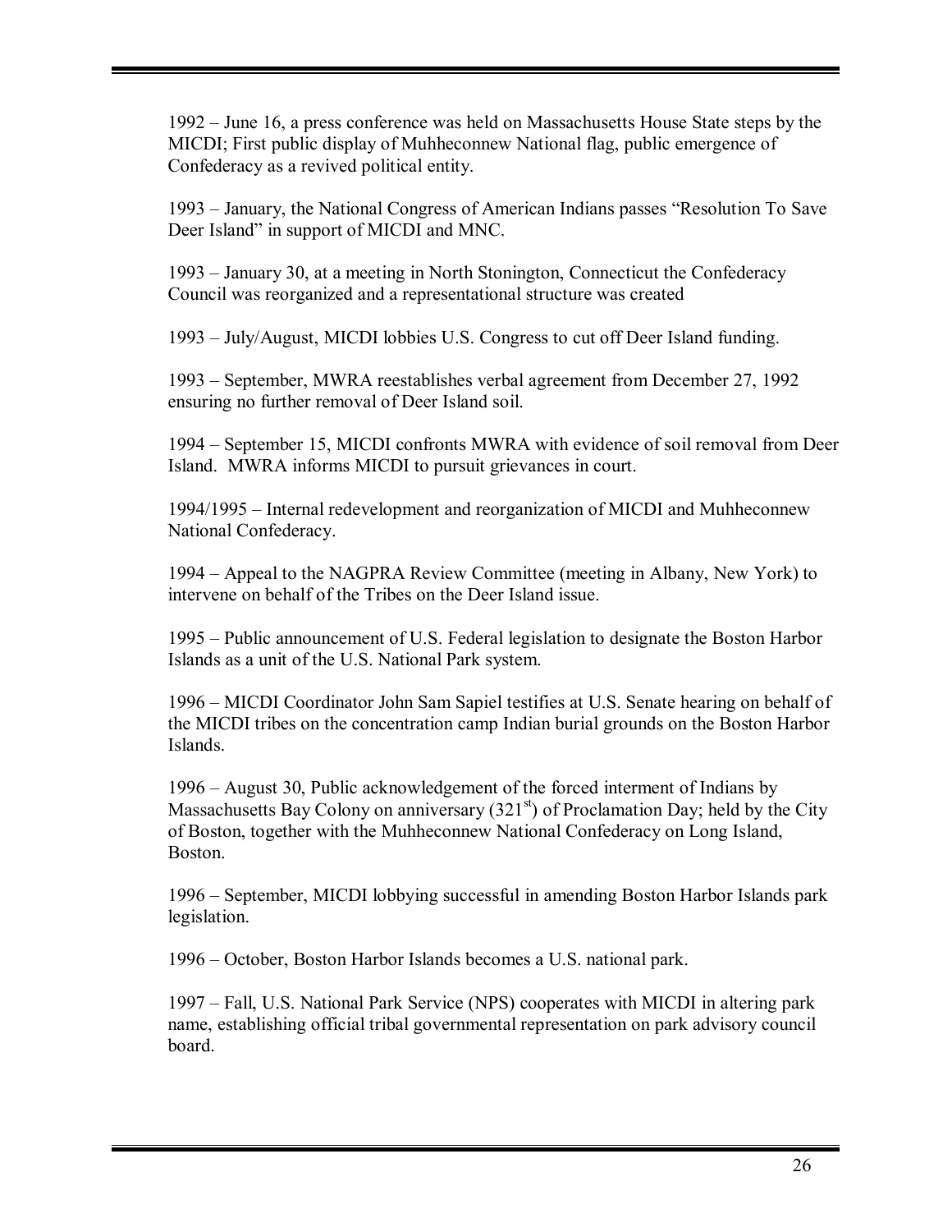1992 – June 16, a press conference was held on Massachusetts House State steps by the MICDI; First public display of Muhheconnew National flag, public emergence of Confederacy as a revived political entity.

1993 – January, the National Congress of American Indians passes "Resolution To Save Deer Island" in support of MICDI and MNC.

1993 – January 30, at a meeting in North Stonington, Connecticut the Confederacy Council was reorganized and a representational structure was created

 $1993 - \text{July/August}$ , MICDI lobbies U.S. Congress to cut off Deer Island funding.

1993 – September, MWRA reestablishes verbal agreement from December 27, 1992 ensuring no further removal of Deer Island soil.

1994 – September 15, MICDI confronts MWRA with evidence of soil removal from Deer Island. MWRA informs MICDI to pursuit grievances in court.

1994/1995 – Internal redevelopment and reorganization of MICDI and Muhheconnew National Confederacy.

1994 – Appeal to the NAGPRA Review Committee (meeting in Albany, New York) to intervene on behalf of the Tribes on the Deer Island issue.

1995 – Public announcement of U.S. Federal legislation to designate the Boston Harbor Islands as a unit of the U.S. National Park system.

1996 – MICDI Coordinator John Sam Sapiel testifies at U.S. Senate hearing on behalf of the MICDI tribes on the concentration camp Indian burial grounds on the Boston Harbor Islands.

1996 – August 30, Public acknowledgement of the forced interment of Indians by Massachusetts Bay Colony on anniversary  $(321<sup>st</sup>)$  of Proclamation Day; held by the City of Boston, together with the Muhheconnew National Confederacy on Long Island, Boston.

1996 – September, MICDI lobbying successful in amending Boston Harbor Islands park legislation.

1996 – October, Boston Harbor Islands becomes a U.S. national park.

1997 – Fall, U.S. National Park Service (NPS) cooperates with MICDI in altering park name, establishing official tribal governmental representation on park advisory council board.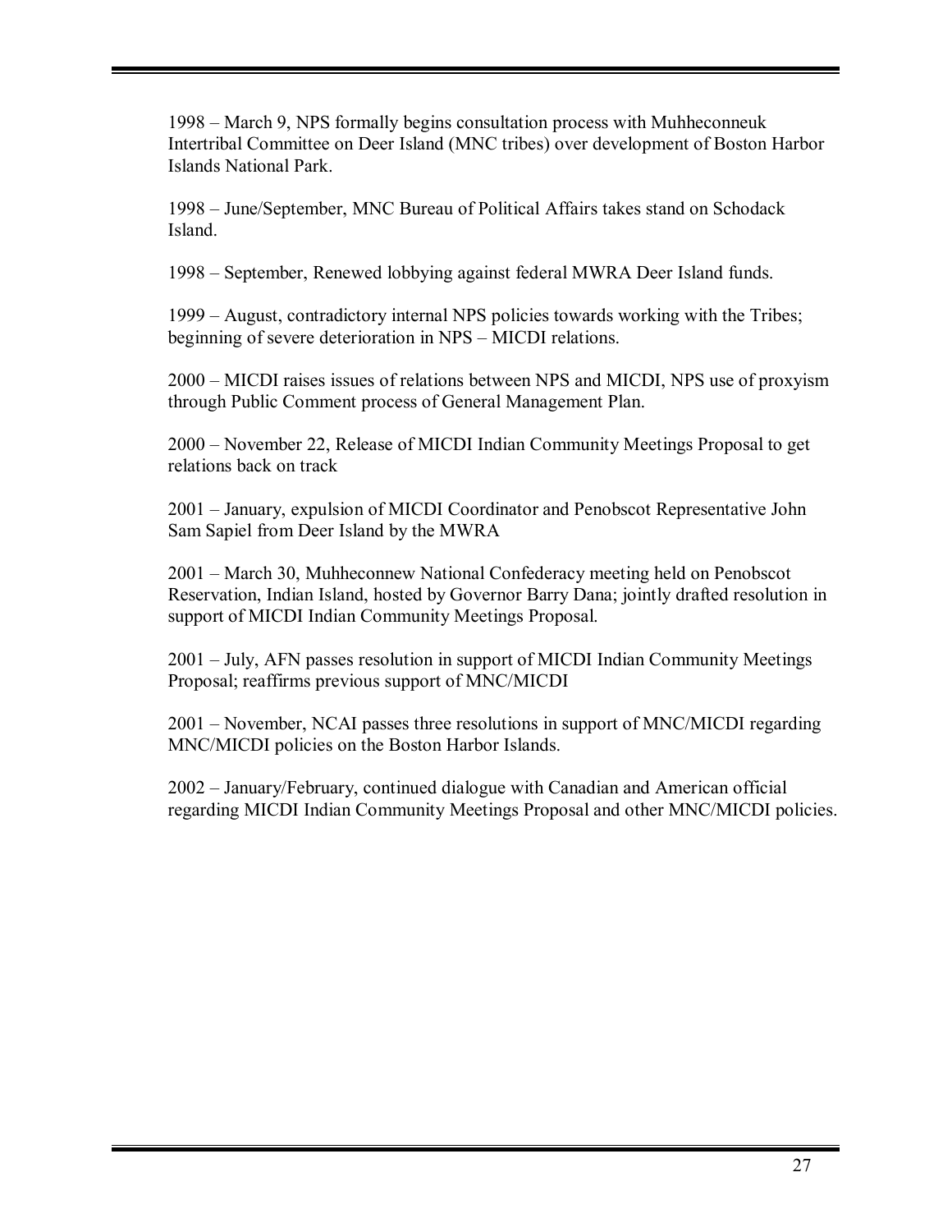1998 – March 9, NPS formally begins consultation process with Muhheconneuk Intertribal Committee on Deer Island (MNC tribes) over development of Boston Harbor Islands National Park.

1998 – June/September, MNC Bureau of Political Affairs takes stand on Schodack Island.

1998 – September, Renewed lobbying against federal MWRA Deer Island funds.

1999 – August, contradictory internal NPS policies towards working with the Tribes; beginning of severe deterioration in NPS – MICDI relations.

2000 – MICDI raises issues of relations between NPS and MICDI, NPS use of proxyism through Public Comment process of General Management Plan.

2000 – November 22, Release of MICDI Indian Community Meetings Proposal to get relations back on track

2001 – January, expulsion of MICDI Coordinator and Penobscot Representative John Sam Sapiel from Deer Island by the MWRA

2001 – March 30, Muhheconnew National Confederacy meeting held on Penobscot Reservation, Indian Island, hosted by Governor Barry Dana; jointly drafted resolution in support of MICDI Indian Community Meetings Proposal.

2001 – July, AFN passes resolution in support of MICDI Indian Community Meetings Proposal; reaffirms previous support of MNC/MICDI

 $2001$  – November, NCAI passes three resolutions in support of MNC/MICDI regarding MNC/MICDI policies on the Boston Harbor Islands.

 $2002 -$  January/February, continued dialogue with Canadian and American official regarding MICDI Indian Community Meetings Proposal and other MNC/MICDI policies.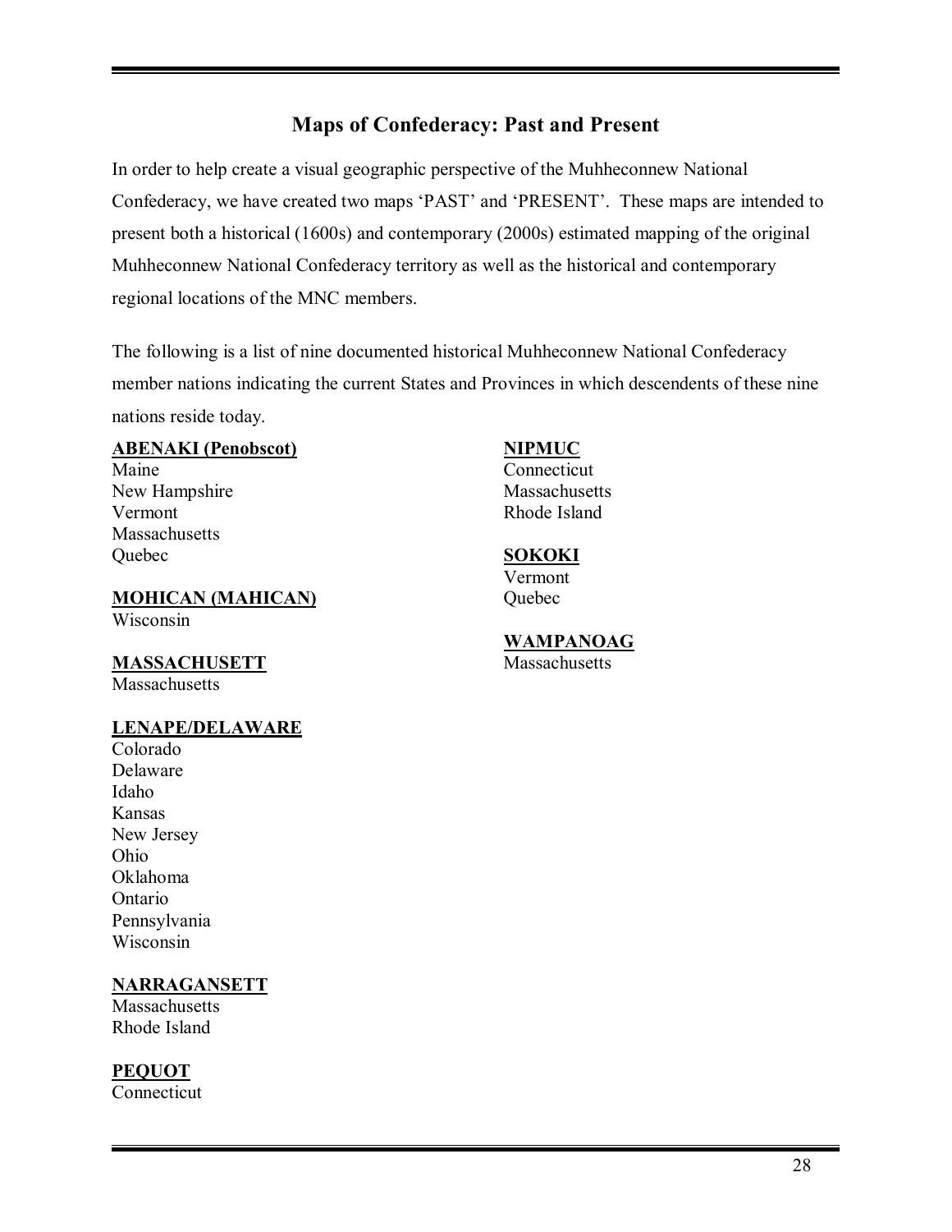# **Maps of Confederacy: Past and Present**

In order to help create a visual geographic perspective of the Muhheconnew National Confederacy, we have created two maps 'PAST' and 'PRESENT'. These maps are intended to present both a historical (1600s) and contemporary (2000s) estimated mapping of the original Muhheconnew National Confederacy territory as well as the historical and contemporary regional locations of the MNC members.

The following is a list of nine documented historical Muhheconnew National Confederacy member nations indicating the current States and Provinces in which descendents of these nine nations reside today.

#### **ABENAKI (Penobscot) NIPMUC**

Maine Connecticut New Hampshire Massachusetts Vermont Rhode Island **Massachusetts** Quebec **SOKOKI**

#### **MOHICAN (MAHICAN)** Quebec Wisconsin

**MASSACHUSETT** 

Massachusetts

#### **LENAPE/DELAWARE**

Colorado Delaware Idaho Kansas New Jersey Ohio Oklahoma Ontario Pennsylvania Wisconsin

# **NARRAGANSETT**

**Massachusetts** Rhode Island

# **PEQUOT**

Connecticut

Vermont

# **WAMPANOAG**<br>Massachusetts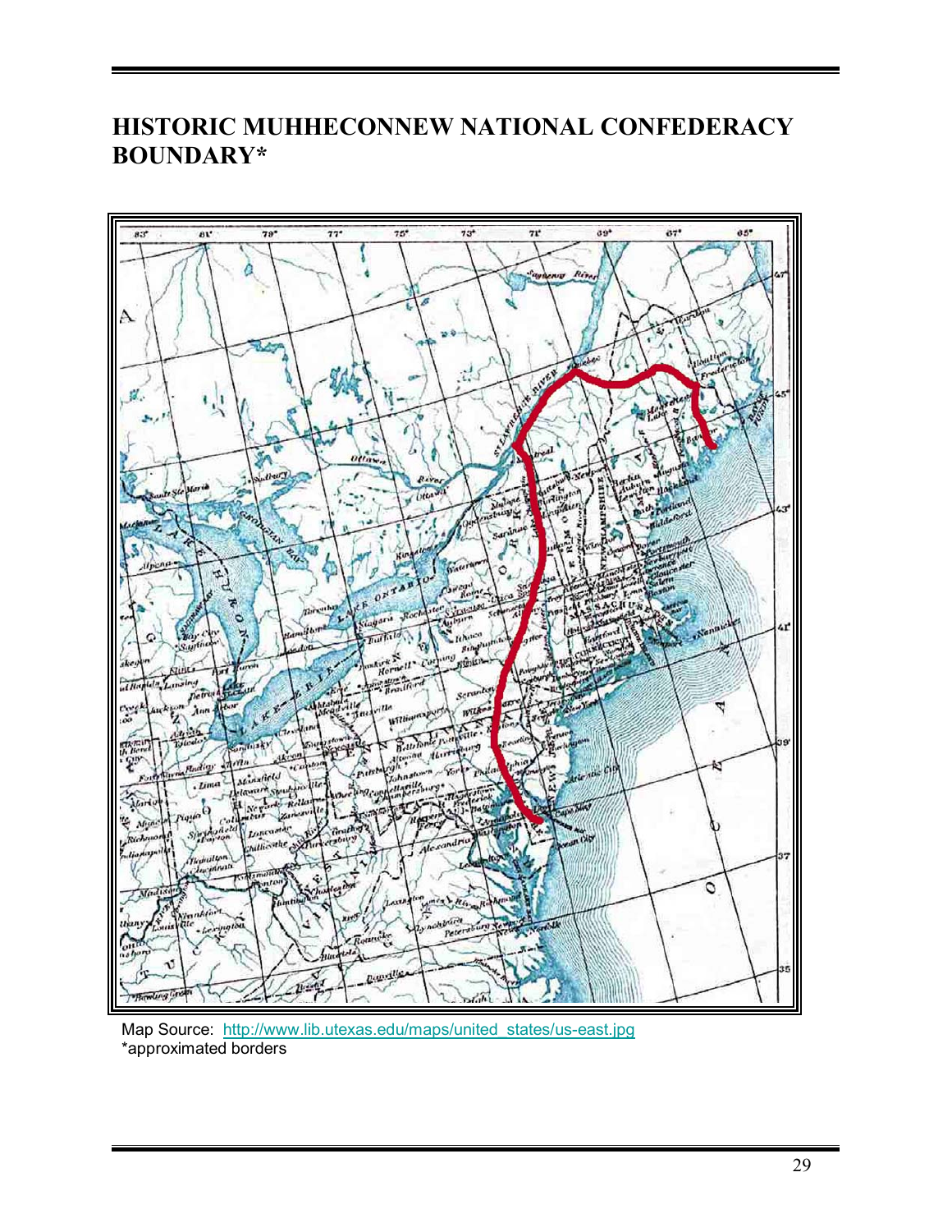# **HISTORIC MUHHECONNEW NATIONAL CONFEDERACY BOUNDARY\***



Map Source: http://www.lib.utexas.edu/maps/united\_states/us-east.jpg \*approximated borders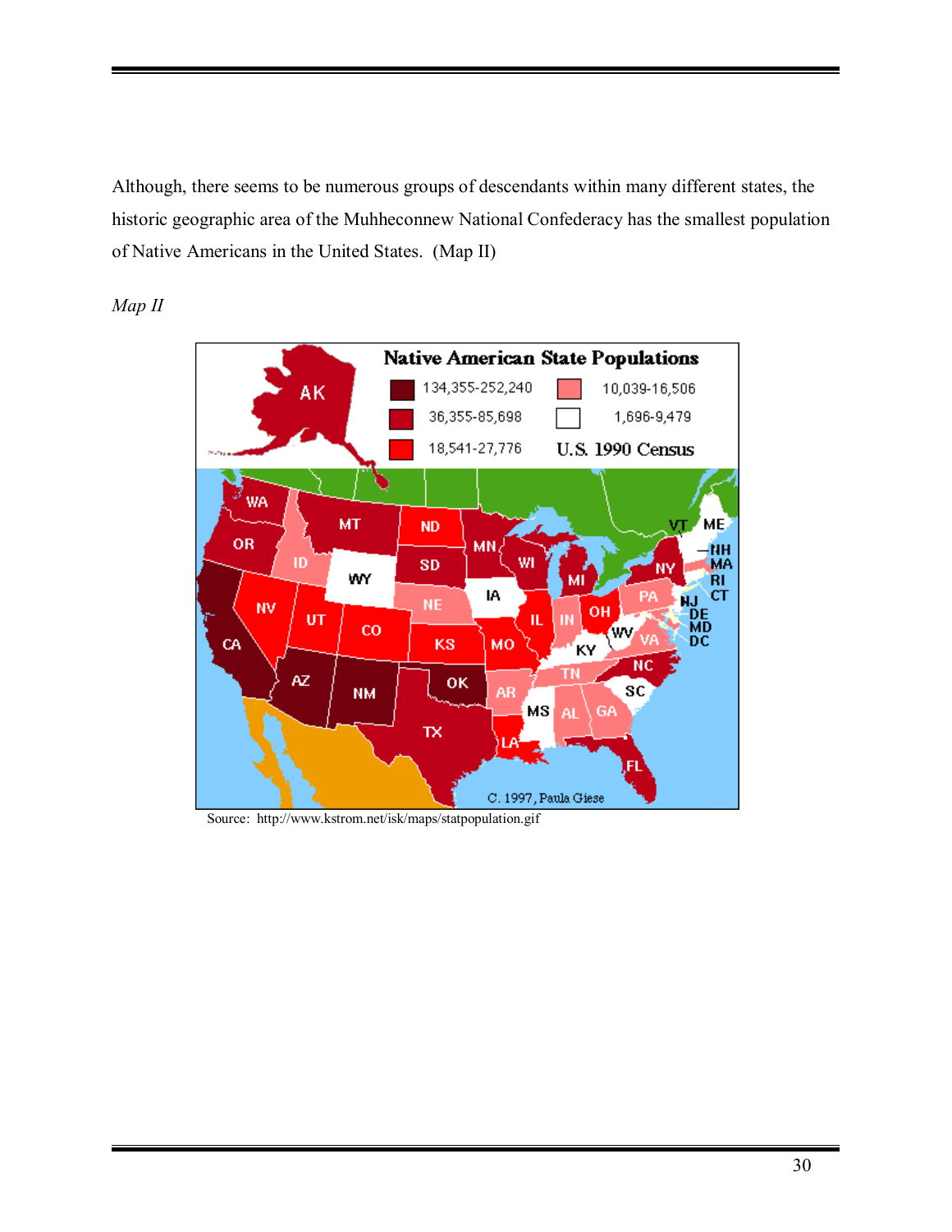Although, there seems to be numerous groups of descendants within many different states, the historic geographic area of the Muhheconnew National Confederacy has the smallest population of Native Americans in the United States. (Map II)





Source: http://www.kstrom.net/isk/maps/statpopulation.gif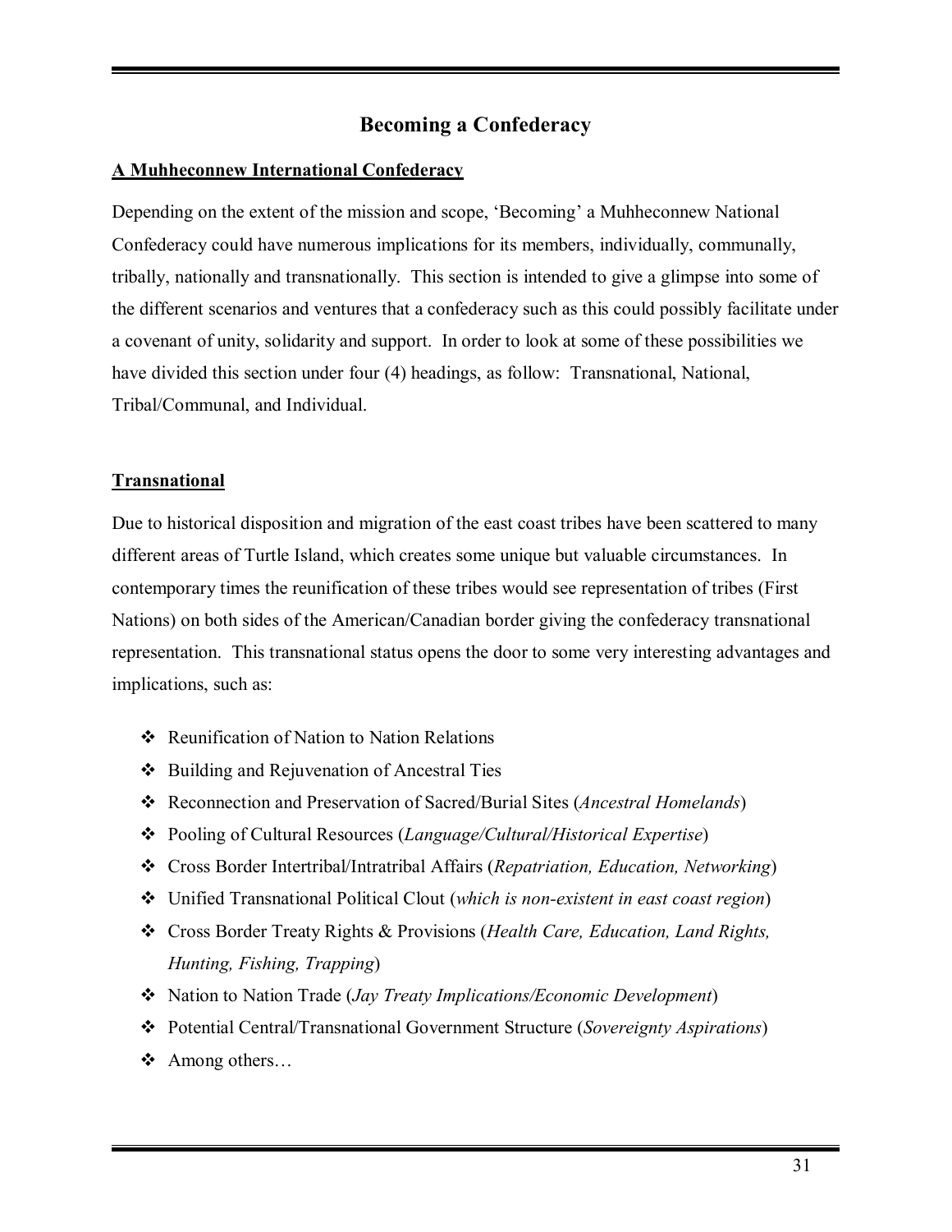# **Becoming a Confederacy**

# **A Muhheconnew International Confederacy**

Depending on the extent of the mission and scope, 'Becoming' a Muhheconnew National Confederacy could have numerous implications for its members, individually, communally, tribally, nationally and transnationally. This section is intended to give a glimpse into some of the different scenarios and ventures that a confederacy such as this could possibly facilitate under a covenant of unity, solidarity and support. In order to look at some of these possibilities we have divided this section under four (4) headings, as follow: Transnational, National, Tribal/Communal, and Individual.

# **Transnational**

Due to historical disposition and migration of the east coast tribes have been scattered to many different areas of Turtle Island, which creates some unique but valuable circumstances. In contemporary times the reunification of these tribes would see representation of tribes (First Nations) on both sides of the American/Canadian border giving the confederacy transnational representation. This transnational status opens the door to some very interesting advantages and implications, such as:

- ❖ Reunification of Nation to Nation Relations
- # Building and Rejuvenation of Ancestral Ties
- # Reconnection and Preservation of Sacred/Burial Sites (*Ancestral Homelands*)
- # Pooling of Cultural Resources (*Language/Cultural/Historical Expertise*)
- # Cross Border Intertribal/Intratribal Affairs (*Repatriation, Education, Networking*)
- # Unified Transnational Political Clout (*which is non-existent in east coast region*)
- # Cross Border Treaty Rights & Provisions (*Health Care, Education, Land Rights, Hunting, Fishing, Trapping*)
- # Nation to Nation Trade (*Jay Treaty Implications/Economic Development*)
- # Potential Central/Transnational Government Structure (*Sovereignty Aspirations*)
- $\triangleleft$  Among others...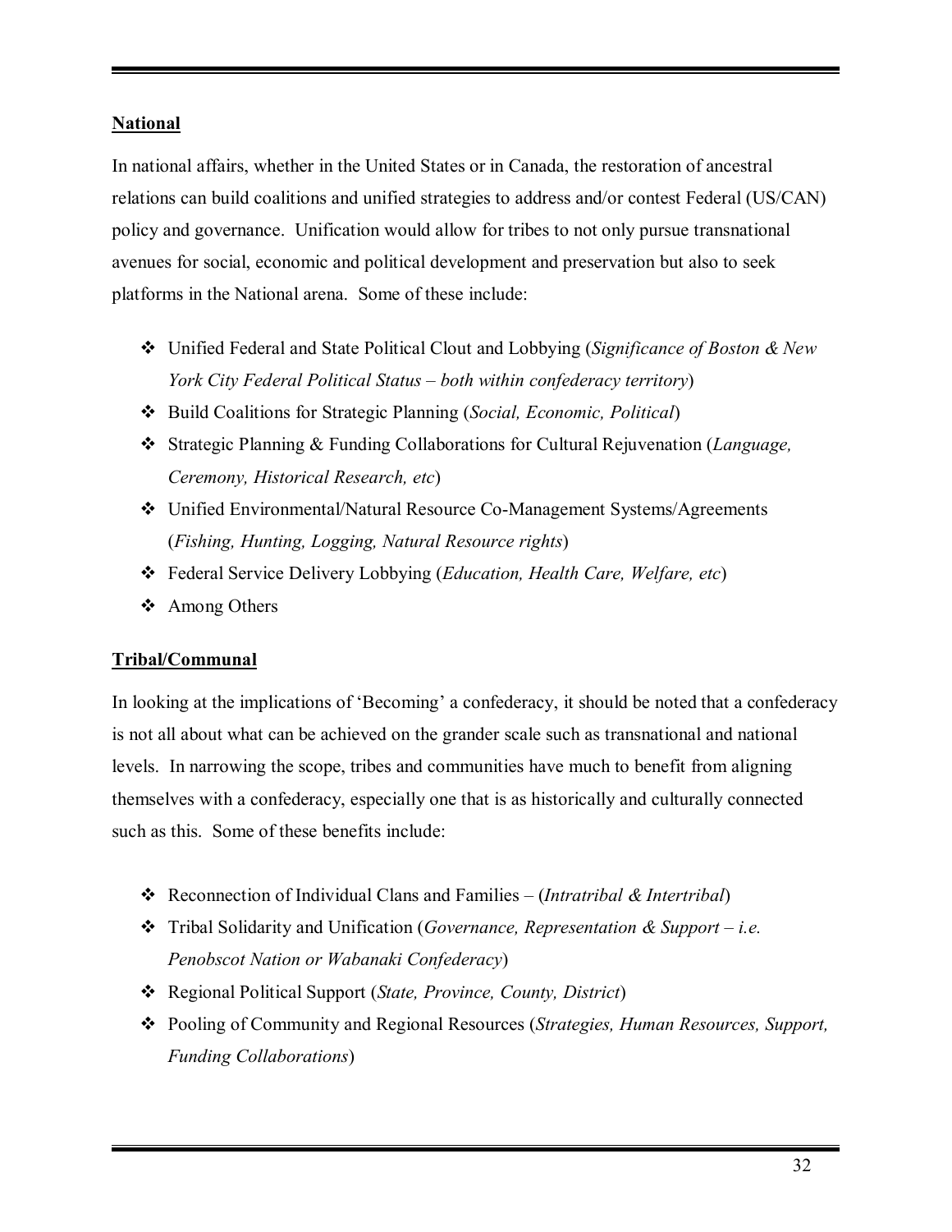# **National**

In national affairs, whether in the United States or in Canada, the restoration of ancestral relations can build coalitions and unified strategies to address and/or contest Federal (US/CAN) policy and governance. Unification would allow for tribes to not only pursue transnational avenues for social, economic and political development and preservation but also to seek platforms in the National arena. Some of these include:

- # Unified Federal and State Political Clout and Lobbying (*Significance of Boston & New York City Federal Political Status – both within confederacy territory*)
- # Build Coalitions for Strategic Planning (*Social, Economic, Political*)
- # Strategic Planning & Funding Collaborations for Cultural Rejuvenation (*Language, Ceremony, Historical Research, etc*)
- # Unified Environmental/Natural Resource Co-Management Systems/Agreements (*Fishing, Hunting, Logging, Natural Resource rights*)
- # Federal Service Delivery Lobbying (*Education, Health Care, Welfare, etc*)
- ❖ Among Others

# **Tribal/Communal**

In looking at the implications of 'Becoming' a confederacy, it should be noted that a confederacy is not all about what can be achieved on the grander scale such as transnational and national levels. In narrowing the scope, tribes and communities have much to benefit from aligning themselves with a confederacy, especially one that is as historically and culturally connected such as this. Some of these benefits include:

- $\triangle$  Reconnection of Individual Clans and Families (*Intratribal & Intertribal*)
- **❖** Tribal Solidarity and Unification (*Governance, Representation & Support i.e. Penobscot Nation or Wabanaki Confederacy*)
- # Regional Political Support (*State, Province, County, District*)
- # Pooling of Community and Regional Resources (*Strategies, Human Resources, Support, Funding Collaborations*)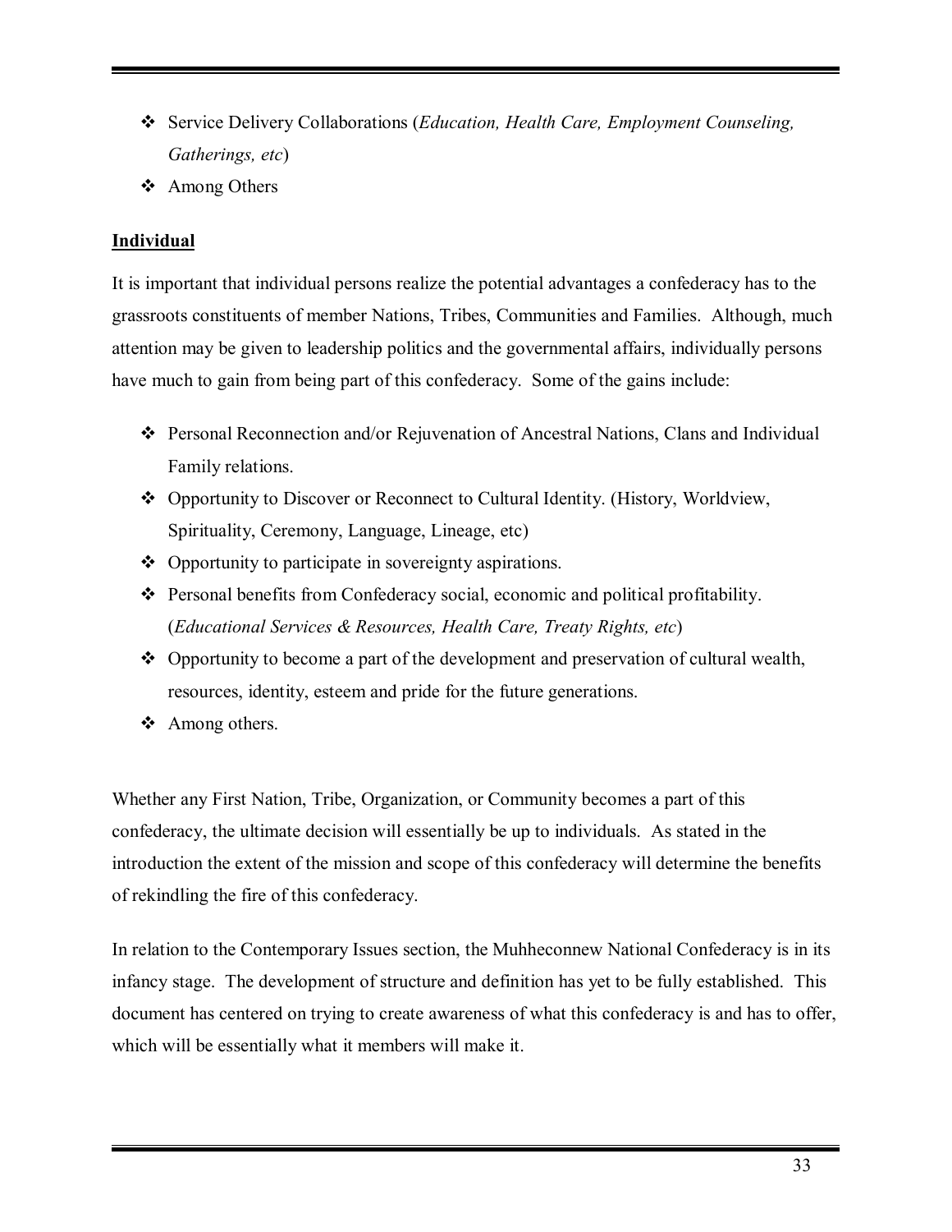- # Service Delivery Collaborations (*Education, Health Care, Employment Counseling, Gatherings, etc*)
- ❖ Among Others

# **Individual**

It is important that individual persons realize the potential advantages a confederacy has to the grassroots constituents of member Nations, Tribes, Communities and Families. Although, much attention may be given to leadership politics and the governmental affairs, individually persons have much to gain from being part of this confederacy. Some of the gains include:

- \* Personal Reconnection and/or Rejuvenation of Ancestral Nations, Clans and Individual Family relations.
- \* Opportunity to Discover or Reconnect to Cultural Identity. (History, Worldview, Spirituality, Ceremony, Language, Lineage, etc)
- $\triangle$  Opportunity to participate in sovereignty aspirations.
- \* Personal benefits from Confederacy social, economic and political profitability. (*Educational Services & Resources, Health Care, Treaty Rights, etc*)
- \* Opportunity to become a part of the development and preservation of cultural wealth, resources, identity, esteem and pride for the future generations.
- ❖ Among others.

Whether any First Nation, Tribe, Organization, or Community becomes a part of this confederacy, the ultimate decision will essentially be up to individuals. As stated in the introduction the extent of the mission and scope of this confederacy will determine the benefits of rekindling the fire of this confederacy.

In relation to the Contemporary Issues section, the Muhheconnew National Confederacy is in its infancy stage. The development of structure and definition has yet to be fully established. This document has centered on trying to create awareness of what this confederacy is and has to offer, which will be essentially what it members will make it.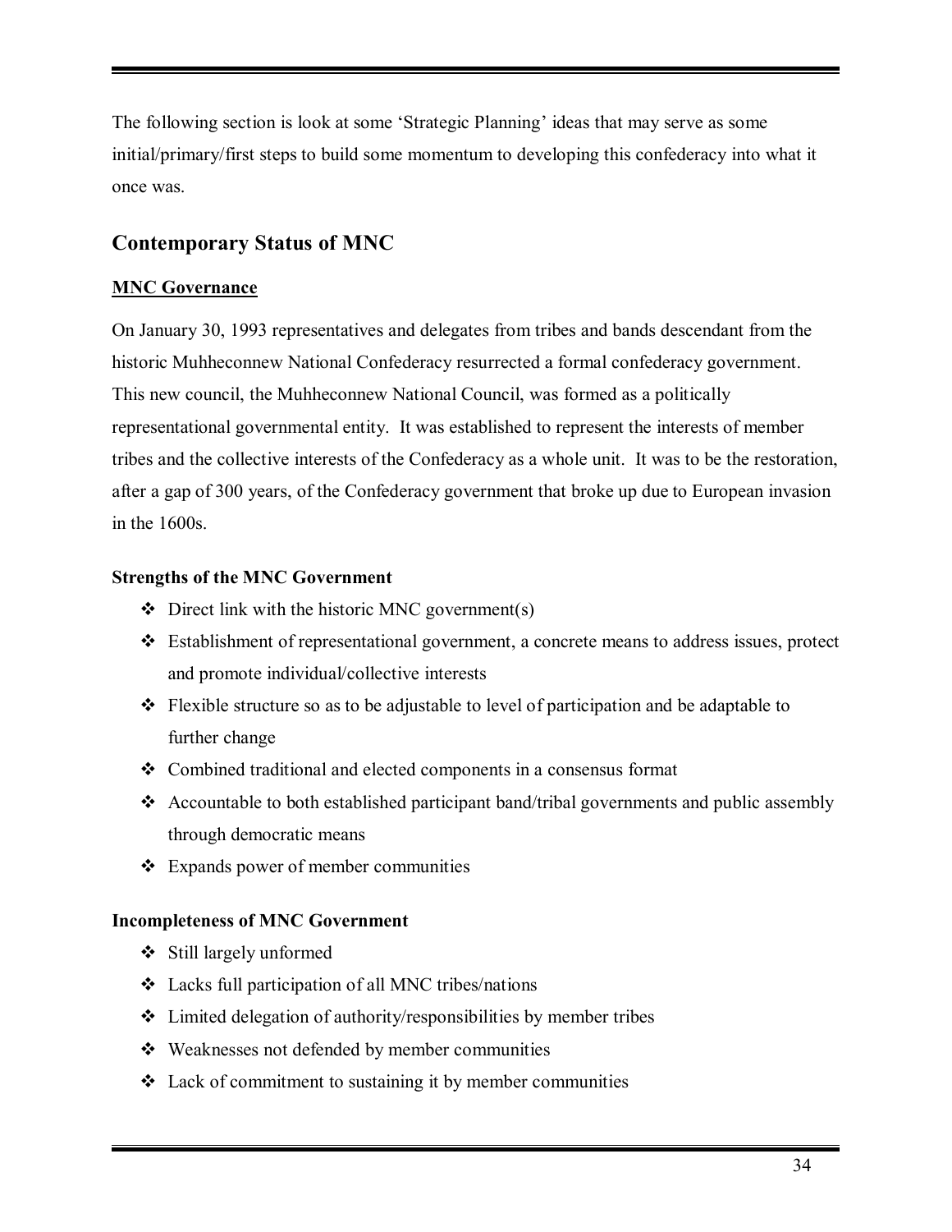The following section is look at some 'Strategic Planning' ideas that may serve as some initial/primary/first steps to build some momentum to developing this confederacy into what it once was.

# **Contemporary Status of MNC**

# **MNC Governance**

On January 30, 1993 representatives and delegates from tribes and bands descendant from the historic Muhheconnew National Confederacy resurrected a formal confederacy government. This new council, the Muhheconnew National Council, was formed as a politically representational governmental entity. It was established to represent the interests of member tribes and the collective interests of the Confederacy as a whole unit. It was to be the restoration, after a gap of 300 years, of the Confederacy government that broke up due to European invasion in the 1600s.

# **Strengths of the MNC Government**

- $\triangleleft$  Direct link with the historic MNC government(s)
- \* Establishment of representational government, a concrete means to address issues, protect and promote individual/collective interests
- $\triangle$  Flexible structure so as to be adjustable to level of participation and be adaptable to further change
- # Combined traditional and elected components in a consensus format
- $\triangleleft$  Accountable to both established participant band/tribal governments and public assembly through democratic means
- $\triangleleft$  Expands power of member communities

# **Incompleteness of MNC Government**

- $\div$  Still largely unformed
- # Lacks full participation of all MNC tribes/nations
- $\triangle$  Limited delegation of authority/responsibilities by member tribes
- # Weaknesses not defended by member communities
- $\triangleleft$  Lack of commitment to sustaining it by member communities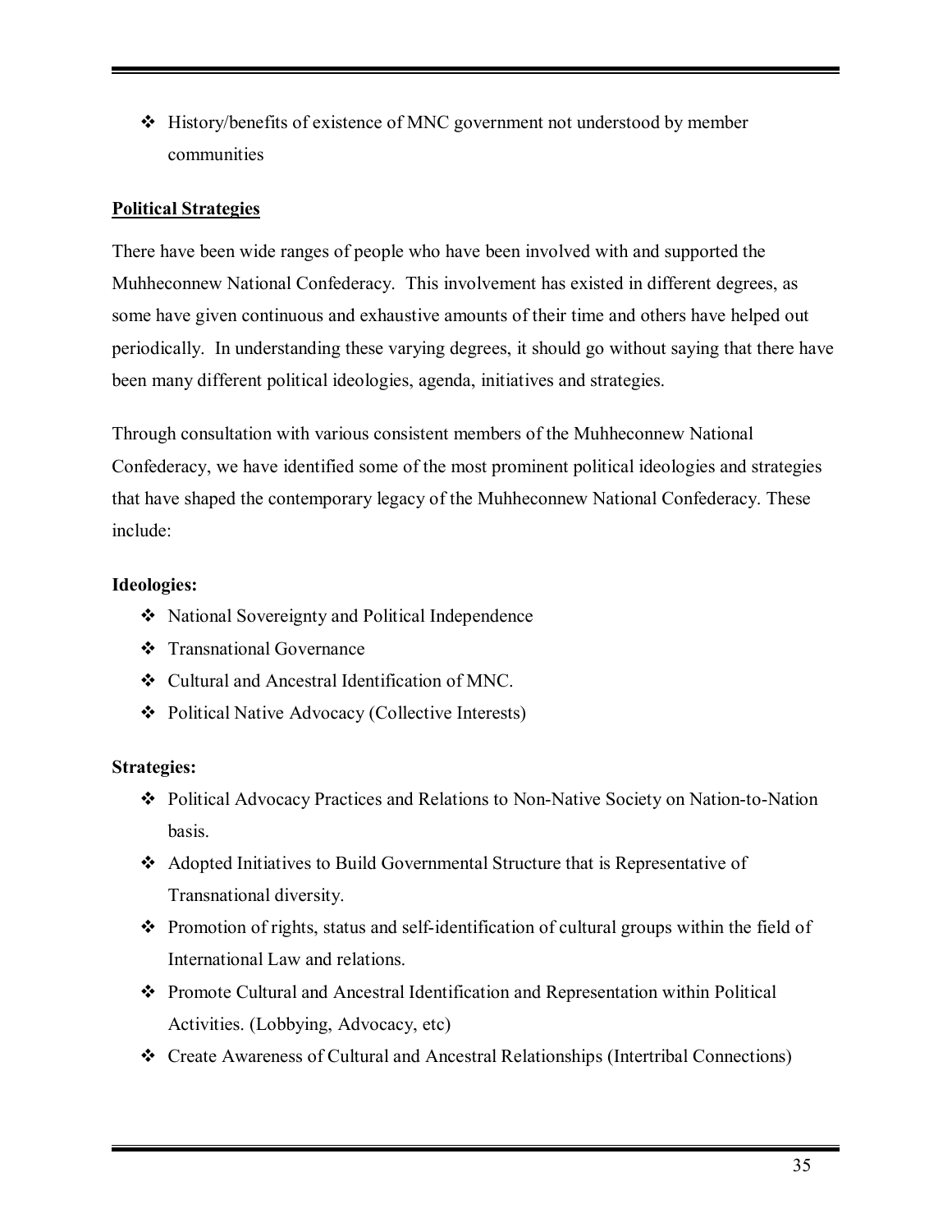$\div$  History/benefits of existence of MNC government not understood by member communities

# **Political Strategies**

There have been wide ranges of people who have been involved with and supported the Muhheconnew National Confederacy. This involvement has existed in different degrees, as some have given continuous and exhaustive amounts of their time and others have helped out periodically. In understanding these varying degrees, it should go without saying that there have been many different political ideologies, agenda, initiatives and strategies.

Through consultation with various consistent members of the Muhheconnew National Confederacy, we have identified some of the most prominent political ideologies and strategies that have shaped the contemporary legacy of the Muhheconnew National Confederacy. These include:

# **Ideologies:**

- ❖ National Sovereignty and Political Independence
- # Transnational Governance
- # Cultural and Ancestral Identification of MNC.
- # Political Native Advocacy (Collective Interests)

# **Strategies:**

- \* Political Advocacy Practices and Relations to Non-Native Society on Nation-to-Nation basis.
- \* Adopted Initiatives to Build Governmental Structure that is Representative of Transnational diversity.
- $\div$  Promotion of rights, status and self-identification of cultural groups within the field of International Law and relations.
- # Promote Cultural and Ancestral Identification and Representation within Political Activities. (Lobbying, Advocacy, etc)
- # Create Awareness of Cultural and Ancestral Relationships (Intertribal Connections)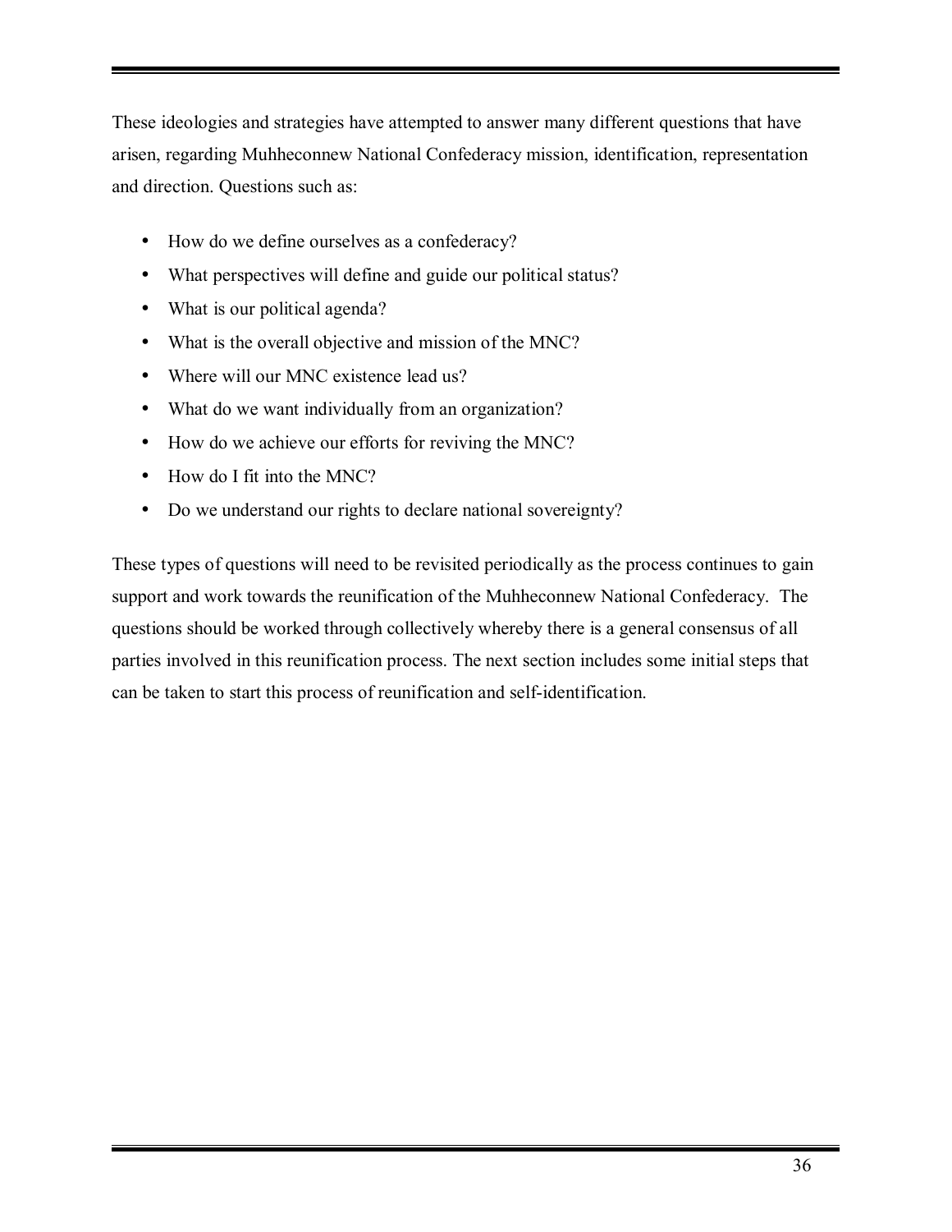These ideologies and strategies have attempted to answer many different questions that have arisen, regarding Muhheconnew National Confederacy mission, identification, representation and direction. Questions such as:

- How do we define ourselves as a confederacy?
- What perspectives will define and guide our political status?
- What is our political agenda?
- What is the overall objective and mission of the MNC?
- Where will our MNC existence lead us?
- What do we want individually from an organization?
- How do we achieve our efforts for reviving the MNC?
- How do I fit into the MNC?
- Do we understand our rights to declare national sovereignty?

These types of questions will need to be revisited periodically as the process continues to gain support and work towards the reunification of the Muhheconnew National Confederacy. The questions should be worked through collectively whereby there is a general consensus of all parties involved in this reunification process. The next section includes some initial steps that can be taken to start this process of reunification and self-identification.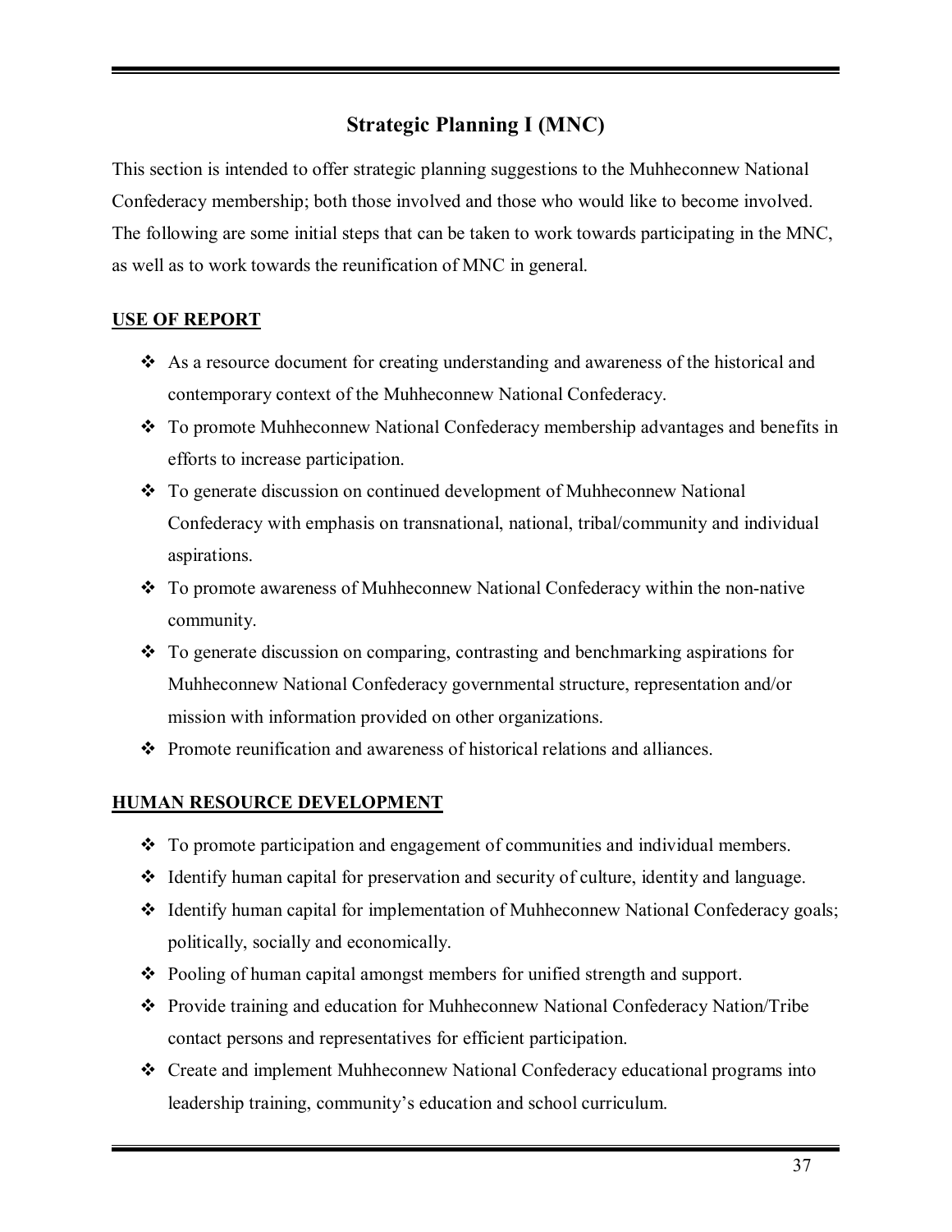# **Strategic Planning I (MNC)**

This section is intended to offer strategic planning suggestions to the Muhheconnew National Confederacy membership; both those involved and those who would like to become involved. The following are some initial steps that can be taken to work towards participating in the MNC, as well as to work towards the reunification of MNC in general.

# **USE OF REPORT**

- $\bullet$  As a resource document for creating understanding and awareness of the historical and contemporary context of the Muhheconnew National Confederacy.
- \* To promote Muhheconnew National Confederacy membership advantages and benefits in efforts to increase participation.
- To generate discussion on continued development of Muhheconnew National Confederacy with emphasis on transnational, national, tribal/community and individual aspirations.
- \* To promote awareness of Muhheconnew National Confederacy within the non-native community.
- $\cdot$  To generate discussion on comparing, contrasting and benchmarking aspirations for Muhheconnew National Confederacy governmental structure, representation and/or mission with information provided on other organizations.
- \* Promote reunification and awareness of historical relations and alliances.

# **HUMAN RESOURCE DEVELOPMENT**

- $\div$  To promote participation and engagement of communities and individual members.
- $\triangleleft$  Identify human capital for preservation and security of culture, identity and language.
- $\div$  Identify human capital for implementation of Muhheconnew National Confederacy goals; politically, socially and economically.
- \* Pooling of human capital amongst members for unified strength and support.
- \* Provide training and education for Muhheconnew National Confederacy Nation/Tribe contact persons and representatives for efficient participation.
- \* Create and implement Muhheconnew National Confederacy educational programs into leadership training, community's education and school curriculum.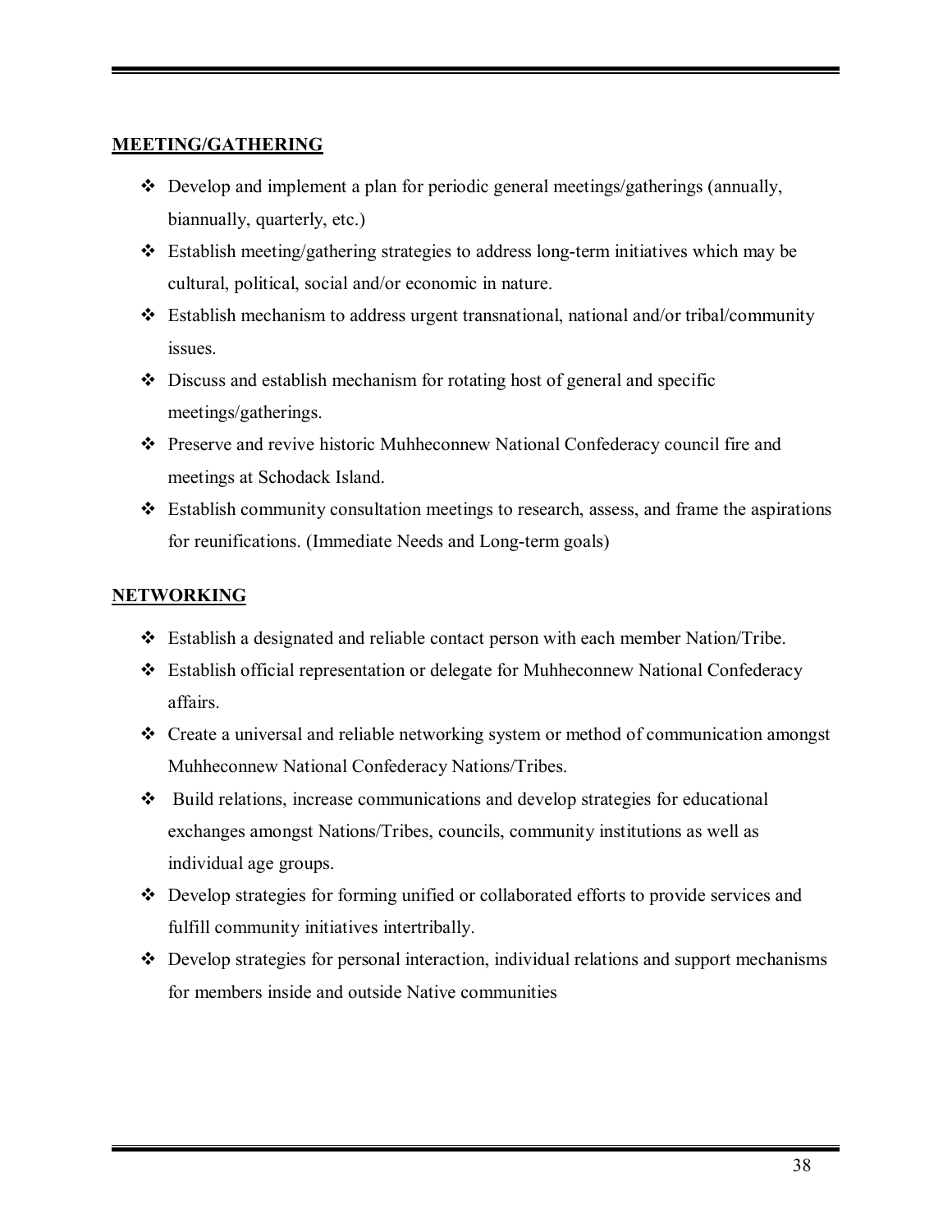# **MEETING/GATHERING**

- $\triangleleft$  Develop and implement a plan for periodic general meetings/gatherings (annually, biannually, quarterly, etc.)
- $\div$  Establish meeting/gathering strategies to address long-term initiatives which may be cultural, political, social and/or economic in nature.
- $\triangleleft$  Establish mechanism to address urgent transnational, national and/or tribal/community issues.
- $\triangle$  Discuss and establish mechanism for rotating host of general and specific meetings/gatherings.
- \* Preserve and revive historic Muhheconnew National Confederacy council fire and meetings at Schodack Island.
- $\div$  Establish community consultation meetings to research, assess, and frame the aspirations for reunifications. (Immediate Needs and Long-term goals)

# **NETWORKING**

- \* Establish a designated and reliable contact person with each member Nation/Tribe.
- # Establish official representation or delegate for Muhheconnew National Confederacy affairs.
- \* Create a universal and reliable networking system or method of communication amongst Muhheconnew National Confederacy Nations/Tribes.
- # Build relations, increase communications and develop strategies for educational exchanges amongst Nations/Tribes, councils, community institutions as well as individual age groups.
- \* Develop strategies for forming unified or collaborated efforts to provide services and fulfill community initiatives intertribally.
- $\triangle$  Develop strategies for personal interaction, individual relations and support mechanisms for members inside and outside Native communities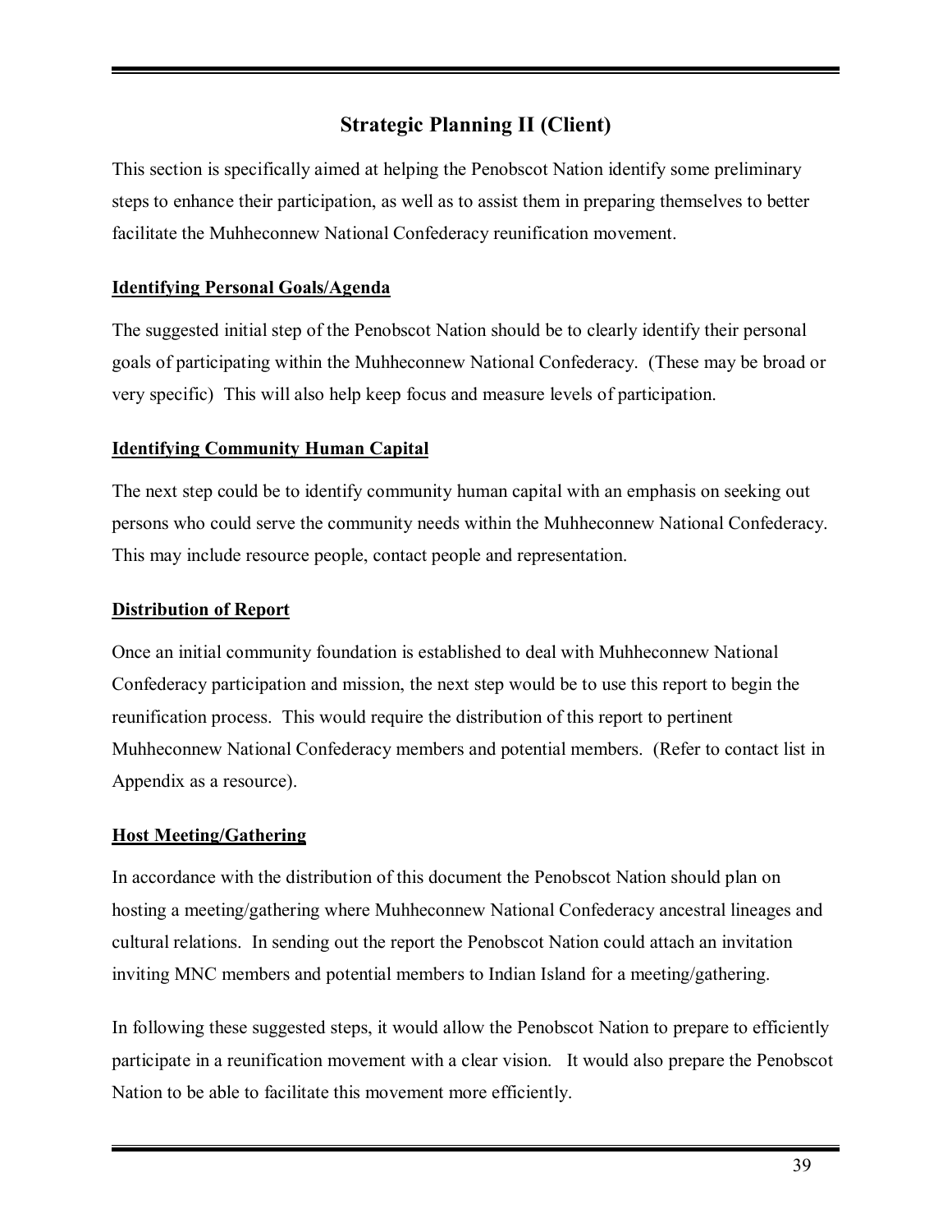# **Strategic Planning II (Client)**

This section is specifically aimed at helping the Penobscot Nation identify some preliminary steps to enhance their participation, as well as to assist them in preparing themselves to better facilitate the Muhheconnew National Confederacy reunification movement.

# **Identifying Personal Goals/Agenda**

The suggested initial step of the Penobscot Nation should be to clearly identify their personal goals of participating within the Muhheconnew National Confederacy. (These may be broad or very specific) This will also help keep focus and measure levels of participation.

# **Identifying Community Human Capital**

The next step could be to identify community human capital with an emphasis on seeking out persons who could serve the community needs within the Muhheconnew National Confederacy. This may include resource people, contact people and representation.

# **Distribution of Report**

Once an initial community foundation is established to deal with Muhheconnew National Confederacy participation and mission, the next step would be to use this report to begin the reunification process. This would require the distribution of this report to pertinent Muhheconnew National Confederacy members and potential members. (Refer to contact list in Appendix as a resource).

# **Host Meeting/Gathering**

In accordance with the distribution of this document the Penobscot Nation should plan on hosting a meeting/gathering where Muhheconnew National Confederacy ancestral lineages and cultural relations. In sending out the report the Penobscot Nation could attach an invitation inviting MNC members and potential members to Indian Island for a meeting/gathering.

In following these suggested steps, it would allow the Penobscot Nation to prepare to efficiently participate in a reunification movement with a clear vision. It would also prepare the Penobscot Nation to be able to facilitate this movement more efficiently.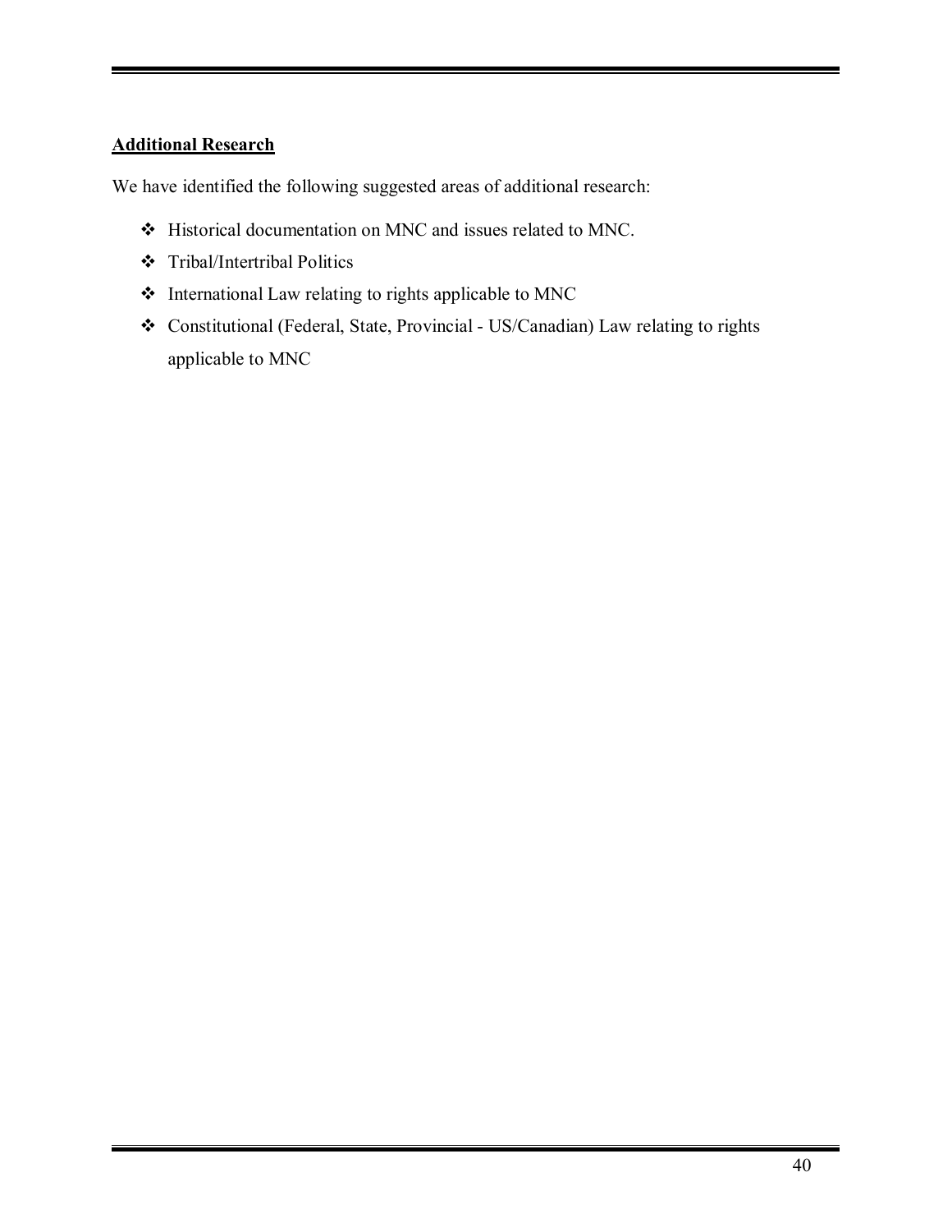# **Additional Research**

We have identified the following suggested areas of additional research:

- # Historical documentation on MNC and issues related to MNC.
- # Tribal/Intertribal Politics
- $\div$  International Law relating to rights applicable to MNC
- # Constitutional (Federal, State, Provincial US/Canadian) Law relating to rights applicable to MNC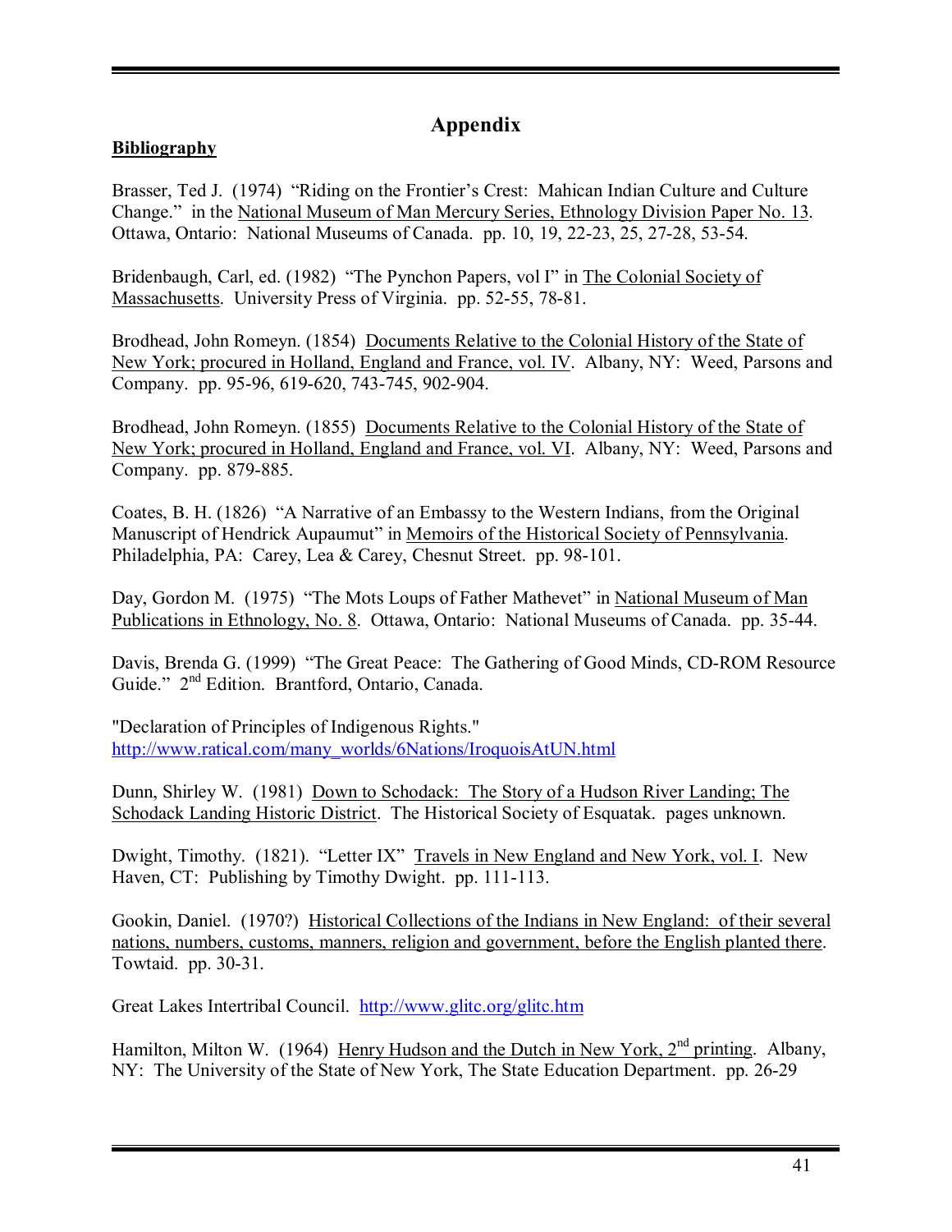# **Appendix**

# **Bibliography**

Brasser, Ted J. (1974) "Riding on the Frontier's Crest: Mahican Indian Culture and Culture Change." in the National Museum of Man Mercury Series, Ethnology Division Paper No. 13. Ottawa, Ontario: National Museums of Canada. pp. 10, 19, 22-23, 25, 27-28, 53-54.

Bridenbaugh, Carl, ed. (1982) "The Pynchon Papers, vol I" in The Colonial Society of Massachusetts. University Press of Virginia. pp. 52-55, 78-81.

Brodhead, John Romeyn. (1854) Documents Relative to the Colonial History of the State of New York; procured in Holland, England and France, vol. IV. Albany, NY: Weed, Parsons and Company. pp. 95-96, 619-620, 743-745, 902-904.

Brodhead, John Romeyn. (1855) Documents Relative to the Colonial History of the State of New York; procured in Holland, England and France, vol. VI. Albany, NY: Weed, Parsons and Company. pp. 879-885.

Coates, B. H. (1826) "A Narrative of an Embassy to the Western Indians, from the Original Manuscript of Hendrick Aupaumut" in Memoirs of the Historical Society of Pennsylvania. Philadelphia, PA: Carey, Lea & Carey, Chesnut Street. pp. 98-101.

Day, Gordon M. (1975) "The Mots Loups of Father Mathevet" in National Museum of Man Publications in Ethnology, No. 8. Ottawa, Ontario: National Museums of Canada. pp. 35-44.

Davis, Brenda G. (1999) "The Great Peace: The Gathering of Good Minds, CD-ROM Resource Guide.<sup>"</sup> 2<sup>nd</sup> Edition. Brantford, Ontario, Canada.

"Declaration of Principles of Indigenous Rights." http://www.ratical.com/many\_worlds/6Nations/IroquoisAtUN.html

Dunn, Shirley W. (1981) Down to Schodack: The Story of a Hudson River Landing; The Schodack Landing Historic District. The Historical Society of Esquatak. pages unknown.

Dwight, Timothy. (1821). "Letter IX" Travels in New England and New York, vol. I. New Haven, CT: Publishing by Timothy Dwight. pp. 111-113.

Gookin, Daniel. (1970?) Historical Collections of the Indians in New England: of their several nations, numbers, customs, manners, religion and government, before the English planted there. Towtaid. pp. 30-31.

Great Lakes Intertribal Council. http://www.glitc.org/glitc.htm

Hamilton, Milton W. (1964) Henry Hudson and the Dutch in New York,  $2<sup>nd</sup>$  printing. Albany, NY: The University of the State of New York, The State Education Department. pp. 26-29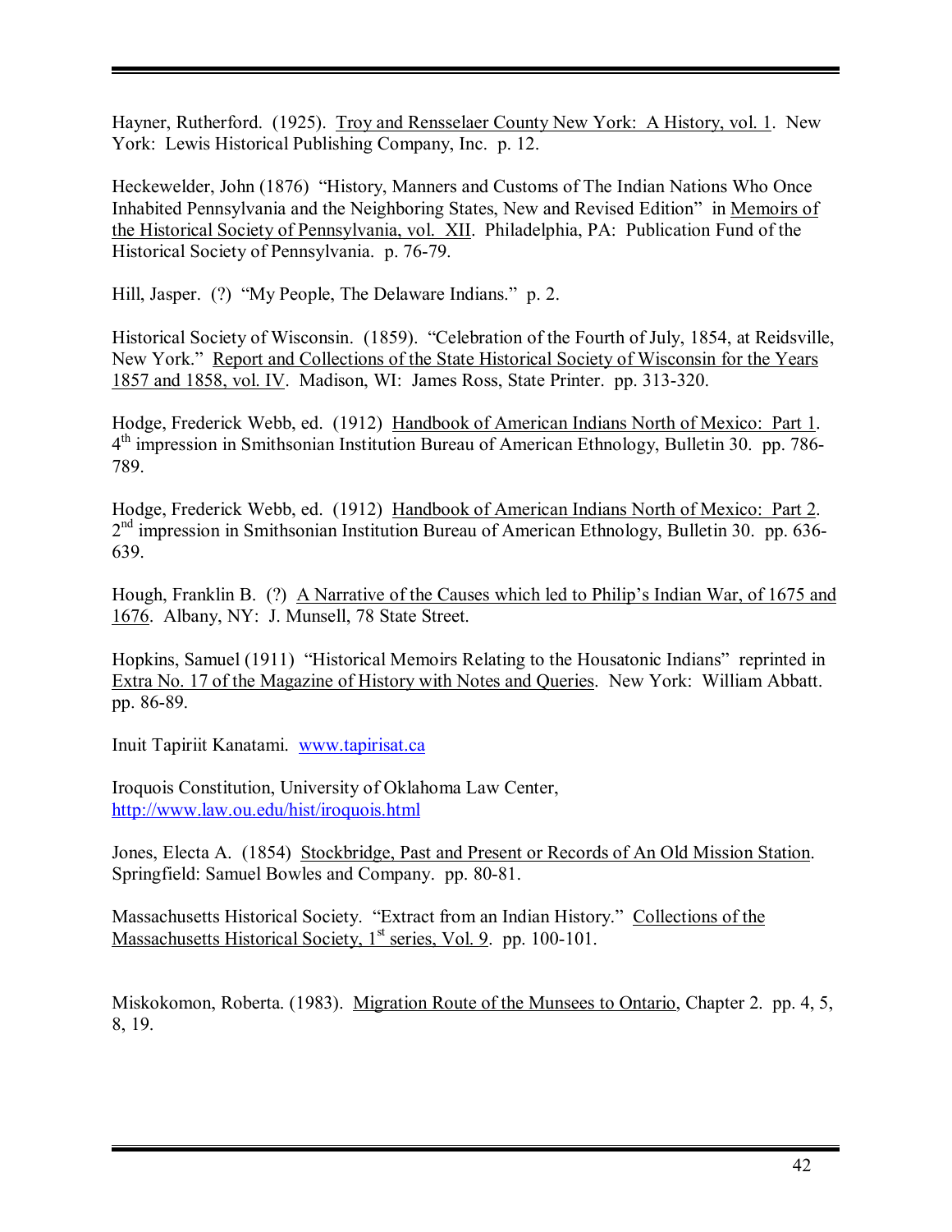Hayner, Rutherford. (1925). Troy and Rensselaer County New York: A History, vol. 1. New York: Lewis Historical Publishing Company, Inc. p. 12.

Heckewelder, John (1876) "History, Manners and Customs of The Indian Nations Who Once Inhabited Pennsylvania and the Neighboring States, New and Revised Edition<sup>n</sup> in Memoirs of the Historical Society of Pennsylvania, vol. XII. Philadelphia, PA: Publication Fund of the Historical Society of Pennsylvania. p. 76-79.

Hill, Jasper. (?) "My People, The Delaware Indians." p. 2.

Historical Society of Wisconsin. (1859). "Celebration of the Fourth of July, 1854, at Reidsville, New York." Report and Collections of the State Historical Society of Wisconsin for the Years 1857 and 1858, vol. IV. Madison, WI: James Ross, State Printer. pp. 313-320.

Hodge, Frederick Webb, ed. (1912) Handbook of American Indians North of Mexico: Part 1. 4th impression in Smithsonian Institution Bureau of American Ethnology, Bulletin 30. pp. 786- 789.

Hodge, Frederick Webb, ed. (1912) Handbook of American Indians North of Mexico: Part 2. 2<sup>nd</sup> impression in Smithsonian Institution Bureau of American Ethnology, Bulletin 30. pp. 636-639.

Hough, Franklin B. (?) A Narrative of the Causes which led to Philip's Indian War, of 1675 and 1676. Albany, NY: J. Munsell, 78 State Street.

Hopkins, Samuel (1911) "Historical Memoirs Relating to the Housatonic Indians" reprinted in Extra No. 17 of the Magazine of History with Notes and Queries. New York: William Abbatt. pp. 86-89.

Inuit Tapiriit Kanatami. www.tapirisat.ca

Iroquois Constitution, University of Oklahoma Law Center, http://www.law.ou.edu/hist/iroquois.html

Jones, Electa A. (1854) Stockbridge, Past and Present or Records of An Old Mission Station. Springfield: Samuel Bowles and Company. pp. 80-81.

Massachusetts Historical Society. "Extract from an Indian History." Collections of the Massachusetts Historical Society,  $1<sup>st</sup>$  series, Vol. 9. pp. 100-101.

Miskokomon, Roberta. (1983). Migration Route of the Munsees to Ontario, Chapter 2. pp. 4, 5, 8, 19.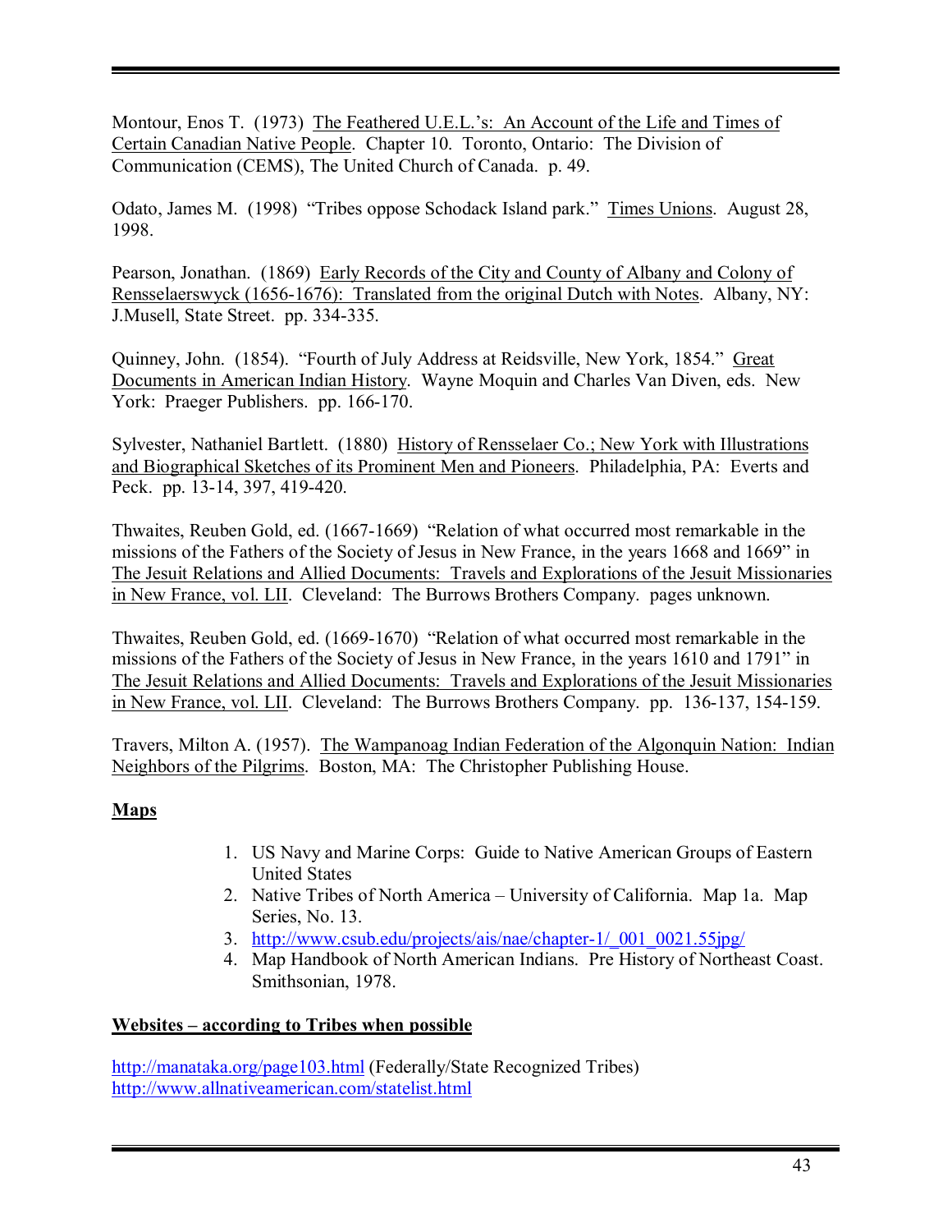Montour, Enos T. (1973) The Feathered U.E.L.'s: An Account of the Life and Times of Certain Canadian Native People. Chapter 10. Toronto, Ontario: The Division of Communication (CEMS), The United Church of Canada. p. 49.

Odato, James M. (1998) "Tribes oppose Schodack Island park." Times Unions. August 28, 1998.

Pearson, Jonathan. (1869) Early Records of the City and County of Albany and Colony of Rensselaerswyck (1656-1676): Translated from the original Dutch with Notes. Albany, NY: J.Musell, State Street. pp. 334-335.

Quinney, John. (1854). "Fourth of July Address at Reidsville, New York, 1854." Great Documents in American Indian History. Wayne Moquin and Charles Van Diven, eds. New York: Praeger Publishers. pp. 166-170.

Sylvester, Nathaniel Bartlett. (1880) History of Rensselaer Co.; New York with Illustrations and Biographical Sketches of its Prominent Men and Pioneers. Philadelphia, PA: Everts and Peck. pp. 13-14, 397, 419-420.

Thwaites, Reuben Gold, ed. (1667-1669) "Relation of what occurred most remarkable in the missions of the Fathers of the Society of Jesus in New France, in the years 1668 and 1669° in The Jesuit Relations and Allied Documents: Travels and Explorations of the Jesuit Missionaries in New France, vol. LII. Cleveland: The Burrows Brothers Company. pages unknown.

Thwaites, Reuben Gold, ed. (1669-1670) "Relation of what occurred most remarkable in the missions of the Fathers of the Society of Jesus in New France, in the years 1610 and 1791" in The Jesuit Relations and Allied Documents: Travels and Explorations of the Jesuit Missionaries in New France, vol. LII. Cleveland: The Burrows Brothers Company. pp. 136-137, 154-159.

Travers, Milton A. (1957). The Wampanoag Indian Federation of the Algonquin Nation: Indian Neighbors of the Pilgrims. Boston, MA: The Christopher Publishing House.

# **Maps**

- 1. US Navy and Marine Corps: Guide to Native American Groups of Eastern United States
- 2. Native Tribes of North America University of California. Map 1a. Map Series, No. 13.
- 3. http://www.csub.edu/projects/ais/nae/chapter-1/\_001\_0021.55jpg/
- 4. Map Handbook of North American Indians. Pre History of Northeast Coast. Smithsonian, 1978.

# **Websites – according to Tribes when possible**

http://manataka.org/page103.html (Federally/State Recognized Tribes) http://www.allnativeamerican.com/statelist.html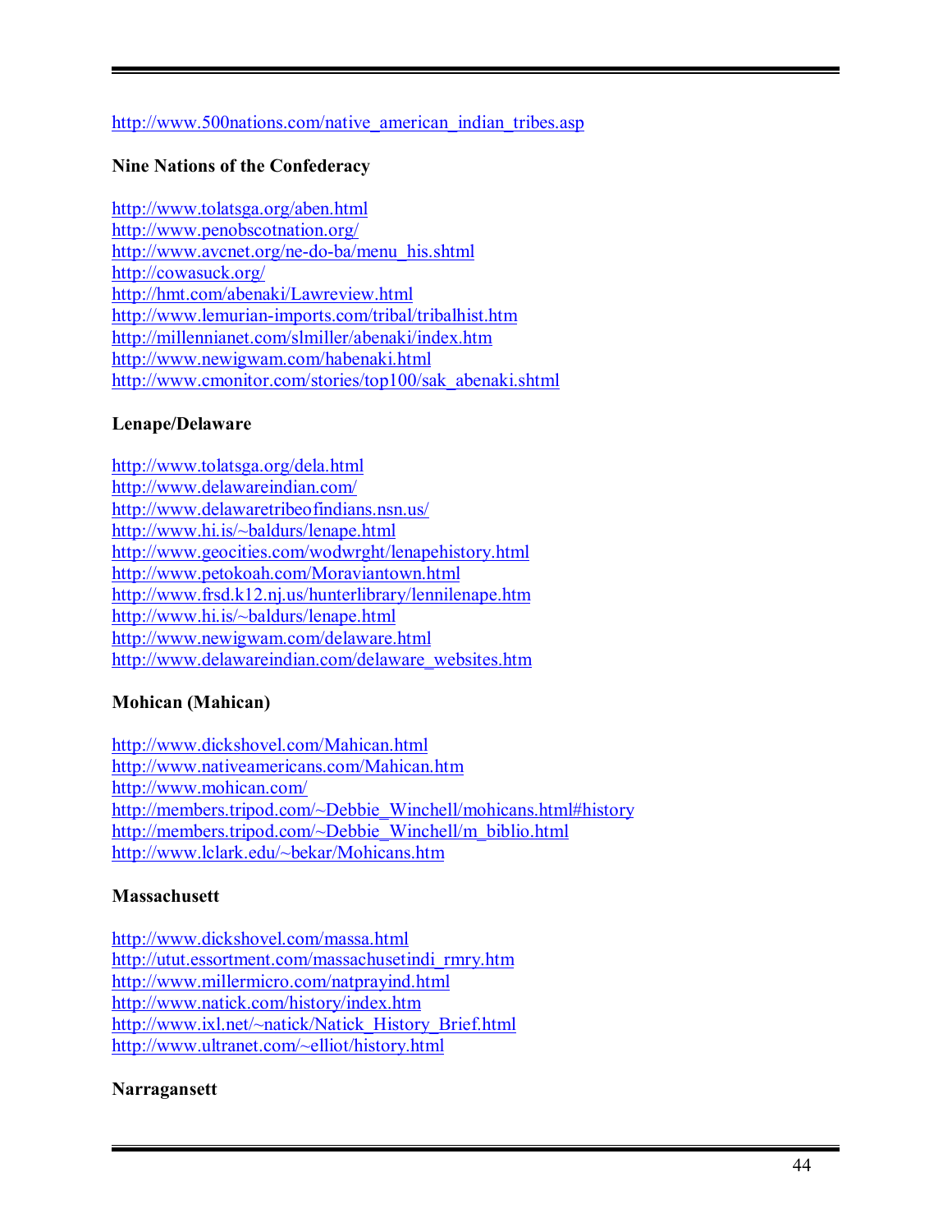#### http://www.500nations.com/native\_american\_indian\_tribes.asp

#### **Nine Nations of the Confederacy**

http://www.tolatsga.org/aben.html http://www.penobscotnation.org/ http://www.avcnet.org/ne-do-ba/menu\_his.shtml http://cowasuck.org/ http://hmt.com/abenaki/Lawreview.html http://www.lemurian-imports.com/tribal/tribalhist.htm http://millennianet.com/slmiller/abenaki/index.htm http://www.newigwam.com/habenaki.html http://www.cmonitor.com/stories/top100/sak\_abenaki.shtml

#### **Lenape/Delaware**

http://www.tolatsga.org/dela.html http://www.delawareindian.com/ http://www.delawaretribeofindians.nsn.us/ http://www.hi.is/~baldurs/lenape.html http://www.geocities.com/wodwrght/lenapehistory.html http://www.petokoah.com/Moraviantown.html http://www.frsd.k12.nj.us/hunterlibrary/lennilenape.htm http://www.hi.is/~baldurs/lenape.html http://www.newigwam.com/delaware.html http://www.delawareindian.com/delaware\_websites.htm

# **Mohican (Mahican)**

http://www.dickshovel.com/Mahican.html http://www.nativeamericans.com/Mahican.htm http://www.mohican.com/ http://members.tripod.com/~Debbie\_Winchell/mohicans.html#history http://members.tripod.com/~Debbie\_Winchell/m\_biblio.html http://www.lclark.edu/~bekar/Mohicans.htm

#### **Massachusett**

http://www.dickshovel.com/massa.html http://utut.essortment.com/massachusetindi\_rmry.htm http://www.millermicro.com/natprayind.html http://www.natick.com/history/index.htm http://www.ixl.net/~natick/Natick\_History\_Brief.html http://www.ultranet.com/~elliot/history.html

#### **Narragansett**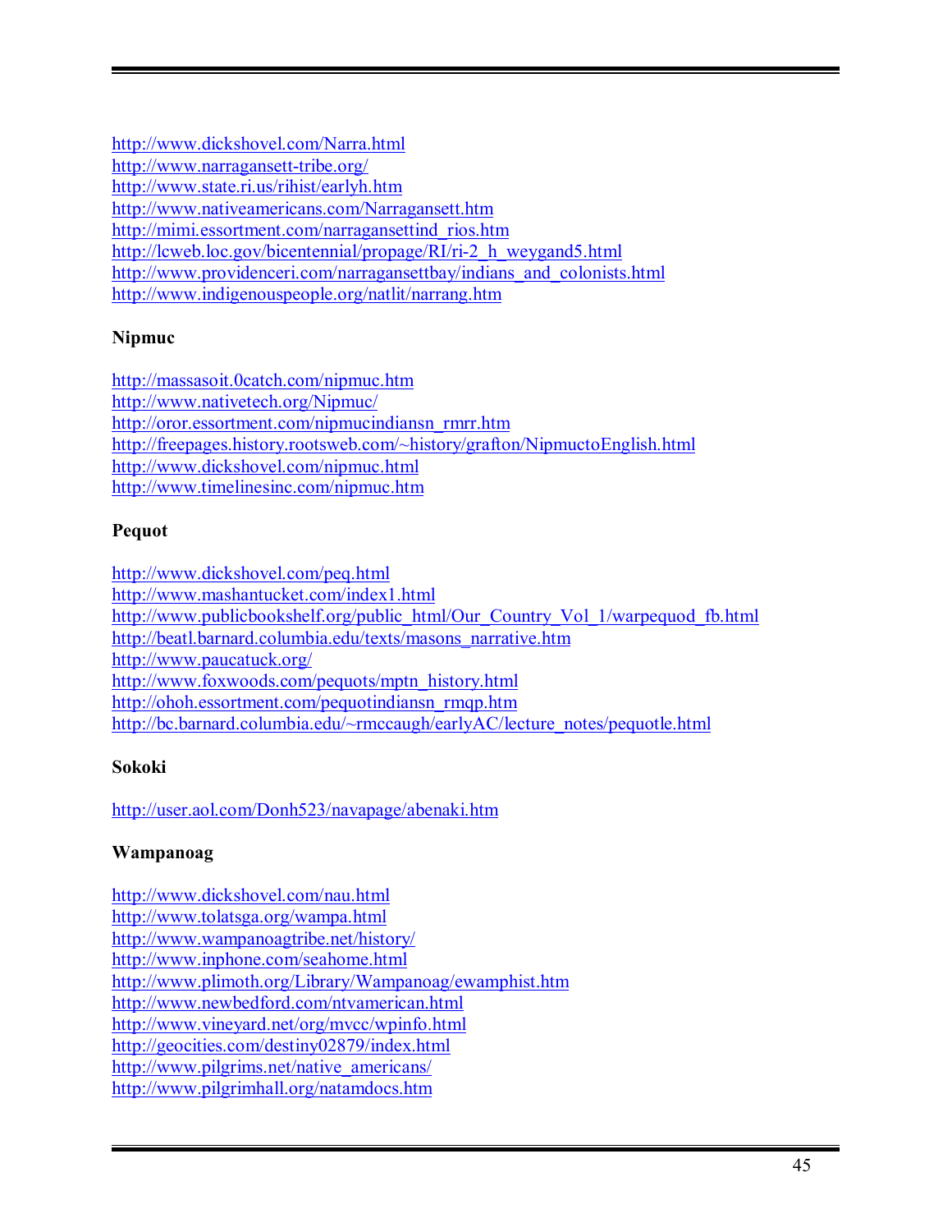http://www.dickshovel.com/Narra.html http://www.narragansett-tribe.org/ http://www.state.ri.us/rihist/earlyh.htm http://www.nativeamericans.com/Narragansett.htm http://mimi.essortment.com/narragansettind\_rios.htm http://lcweb.loc.gov/bicentennial/propage/RI/ri-2\_h\_weygand5.html http://www.providenceri.com/narragansettbay/indians\_and\_colonists.html http://www.indigenouspeople.org/natlit/narrang.htm

# **Nipmuc**

http://massasoit.0catch.com/nipmuc.htm http://www.nativetech.org/Nipmuc/ http://oror.essortment.com/nipmucindiansn\_rmrr.htm http://freepages.history.rootsweb.com/~history/grafton/NipmuctoEnglish.html http://www.dickshovel.com/nipmuc.html http://www.timelinesinc.com/nipmuc.htm

# **Pequot**

http://www.dickshovel.com/peq.html http://www.mashantucket.com/index1.html http://www.publicbookshelf.org/public\_html/Our\_Country\_Vol\_1/warpequod\_fb.html http://beatl.barnard.columbia.edu/texts/masons\_narrative.htm http://www.paucatuck.org/ http://www.foxwoods.com/pequots/mptn\_history.html http://ohoh.essortment.com/pequotindiansn\_rmqp.htm http://bc.barnard.columbia.edu/~rmccaugh/earlyAC/lecture\_notes/pequotle.html

# **Sokoki**

http://user.aol.com/Donh523/navapage/abenaki.htm

# **Wampanoag**

http://www.dickshovel.com/nau.html http://www.tolatsga.org/wampa.html http://www.wampanoagtribe.net/history/ http://www.inphone.com/seahome.html http://www.plimoth.org/Library/Wampanoag/ewamphist.htm http://www.newbedford.com/ntvamerican.html http://www.vineyard.net/org/mvcc/wpinfo.html http://geocities.com/destiny02879/index.html http://www.pilgrims.net/native\_americans/ http://www.pilgrimhall.org/natamdocs.htm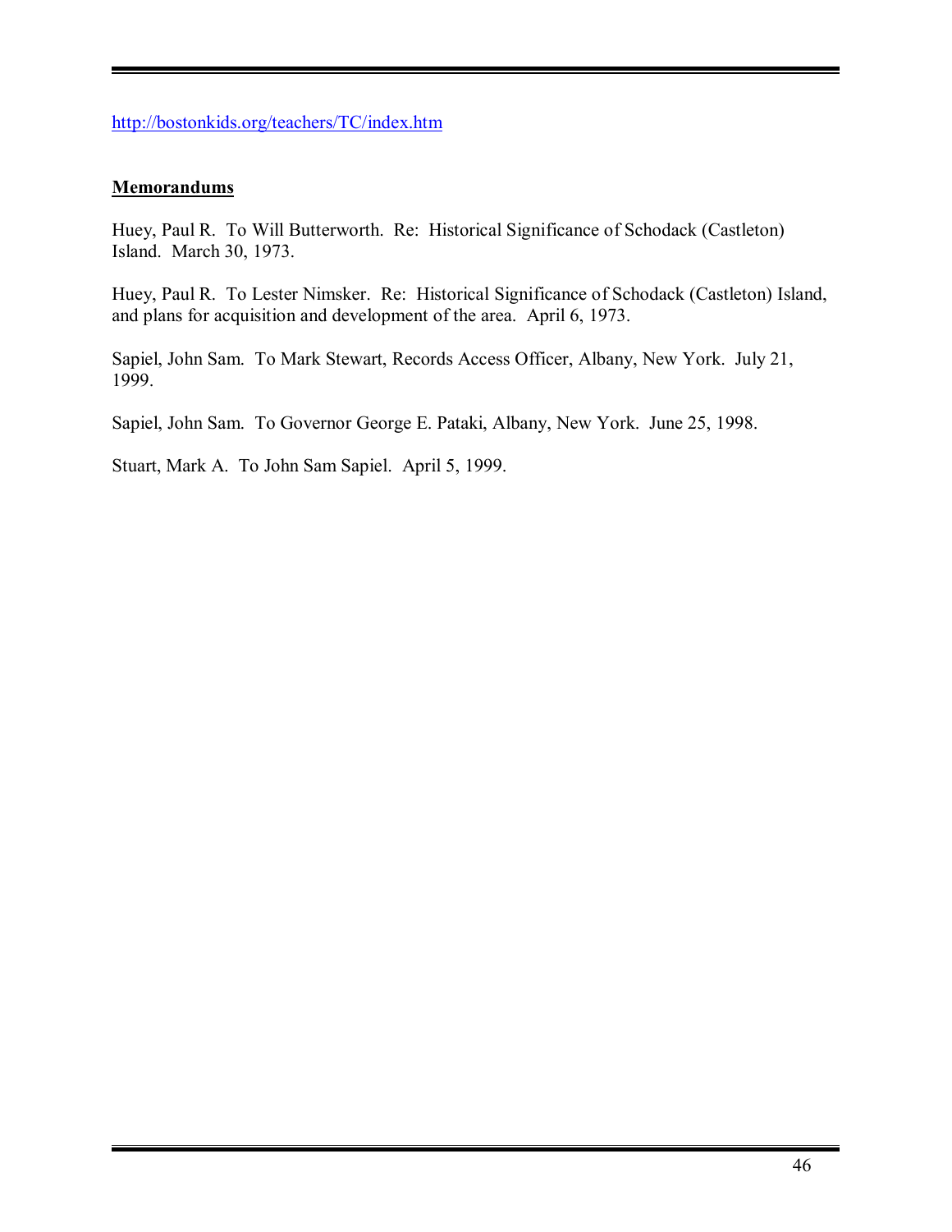http://bostonkids.org/teachers/TC/index.htm

# **Memorandums**

Huey, Paul R. To Will Butterworth. Re: Historical Significance of Schodack (Castleton) Island. March 30, 1973.

Huey, Paul R. To Lester Nimsker. Re: Historical Significance of Schodack (Castleton) Island, and plans for acquisition and development of the area. April 6, 1973.

Sapiel, John Sam. To Mark Stewart, Records Access Officer, Albany, New York. July 21, 1999.

Sapiel, John Sam. To Governor George E. Pataki, Albany, New York. June 25, 1998.

Stuart, Mark A. To John Sam Sapiel. April 5, 1999.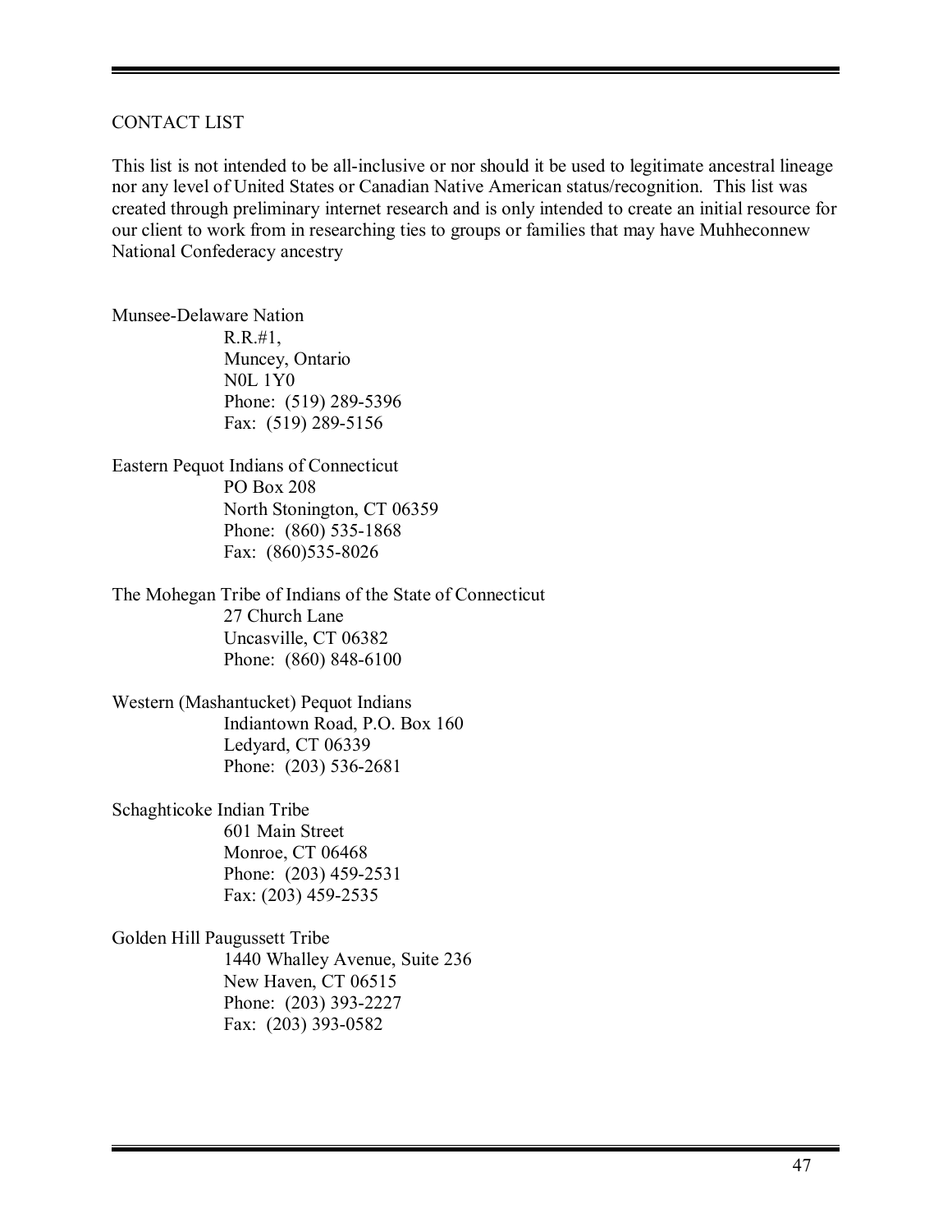#### CONTACT LIST

This list is not intended to be all-inclusive or nor should it be used to legitimate ancestral lineage nor any level of United States or Canadian Native American status/recognition. This list was created through preliminary internet research and is only intended to create an initial resource for our client to work from in researching ties to groups or families that may have Muhheconnew National Confederacy ancestry

Munsee-Delaware Nation R.R.#1, Muncey, Ontario N0L 1Y0

 Phone: (519) 289-5396 Fax: (519) 289-5156

Eastern Pequot Indians of Connecticut PO Box 208 North Stonington, CT 06359 Phone: (860) 535-1868 Fax: (860)535-8026

The Mohegan Tribe of Indians of the State of Connecticut 27 Church Lane Uncasville, CT 06382 Phone: (860) 848-6100

Western (Mashantucket) Pequot Indians Indiantown Road, P.O. Box 160 Ledyard, CT 06339 Phone: (203) 536-2681

Schaghticoke Indian Tribe 601 Main Street Monroe, CT 06468 Phone: (203) 459-2531 Fax: (203) 459-2535

Golden Hill Paugussett Tribe 1440 Whalley Avenue, Suite 236 New Haven, CT 06515 Phone: (203) 393-2227 Fax: (203) 393-0582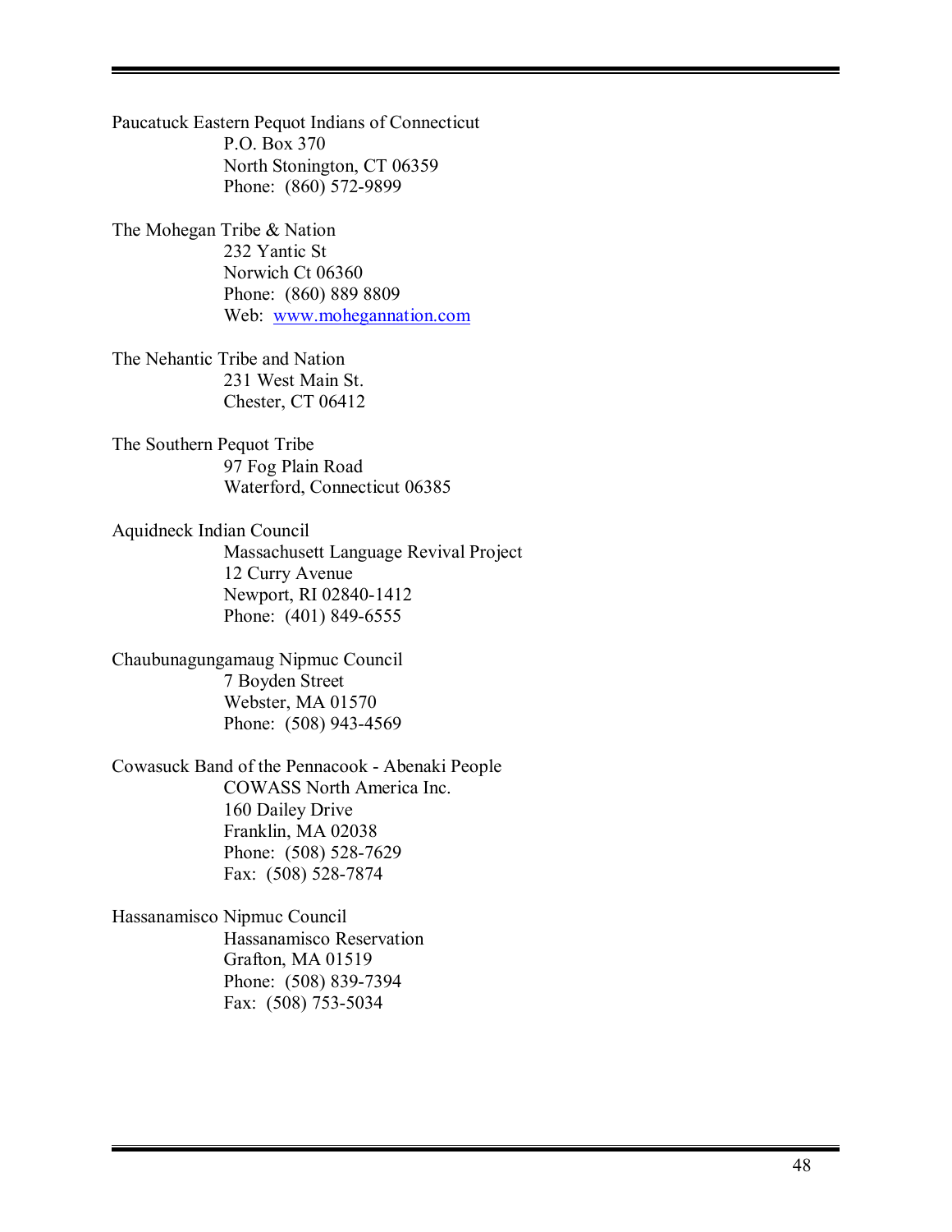Paucatuck Eastern Pequot Indians of Connecticut P.O. Box 370 North Stonington, CT 06359 Phone: (860) 572-9899

The Mohegan Tribe & Nation 232 Yantic St Norwich Ct 06360 Phone: (860) 889 8809 Web: www.mohegannation.com

The Nehantic Tribe and Nation 231 West Main St. Chester, CT 06412

The Southern Pequot Tribe 97 Fog Plain Road Waterford, Connecticut 06385

Aquidneck Indian Council Massachusett Language Revival Project 12 Curry Avenue Newport, RI 02840-1412 Phone: (401) 849-6555

Chaubunagungamaug Nipmuc Council 7 Boyden Street Webster, MA 01570 Phone: (508) 943-4569

Cowasuck Band of the Pennacook - Abenaki People COWASS North America Inc. 160 Dailey Drive Franklin, MA 02038 Phone: (508) 528-7629 Fax: (508) 528-7874

Hassanamisco Nipmuc Council Hassanamisco Reservation Grafton, MA 01519 Phone: (508) 839-7394 Fax: (508) 753-5034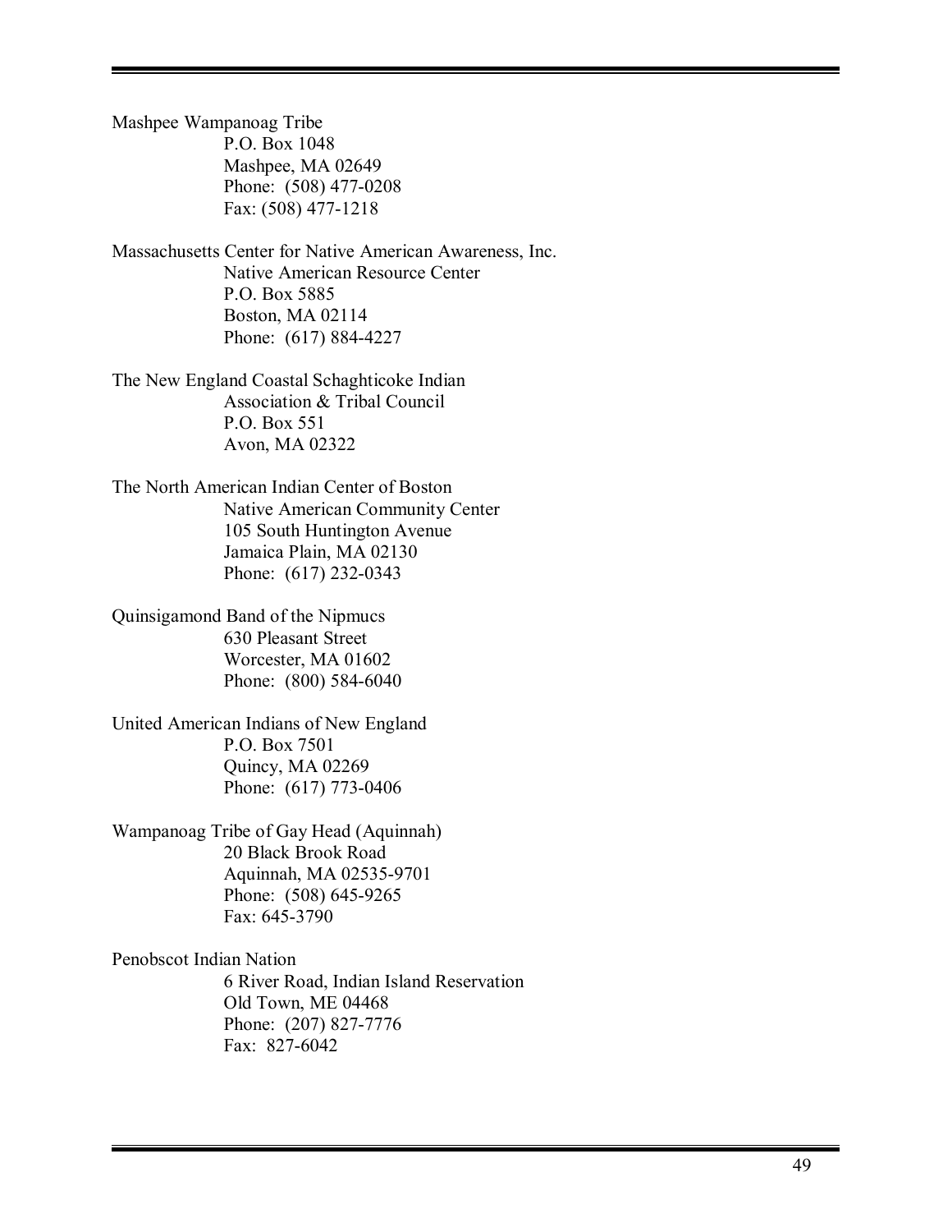Mashpee Wampanoag Tribe P.O. Box 1048 Mashpee, MA 02649 Phone: (508) 477-0208 Fax: (508) 477-1218

Massachusetts Center for Native American Awareness, Inc. Native American Resource Center P.O. Box 5885 Boston, MA 02114 Phone: (617) 884-4227

The New England Coastal Schaghticoke Indian Association & Tribal Council P.O. Box 551 Avon, MA 02322

The North American Indian Center of Boston Native American Community Center 105 South Huntington Avenue Jamaica Plain, MA 02130 Phone: (617) 232-0343

Quinsigamond Band of the Nipmucs 630 Pleasant Street Worcester, MA 01602 Phone: (800) 584-6040

United American Indians of New England P.O. Box 7501 Quincy, MA 02269 Phone: (617) 773-0406

Wampanoag Tribe of Gay Head (Aquinnah) 20 Black Brook Road Aquinnah, MA 02535-9701 Phone: (508) 645-9265 Fax: 645-3790

Penobscot Indian Nation 6 River Road, Indian Island Reservation Old Town, ME 04468 Phone: (207) 827-7776 Fax: 827-6042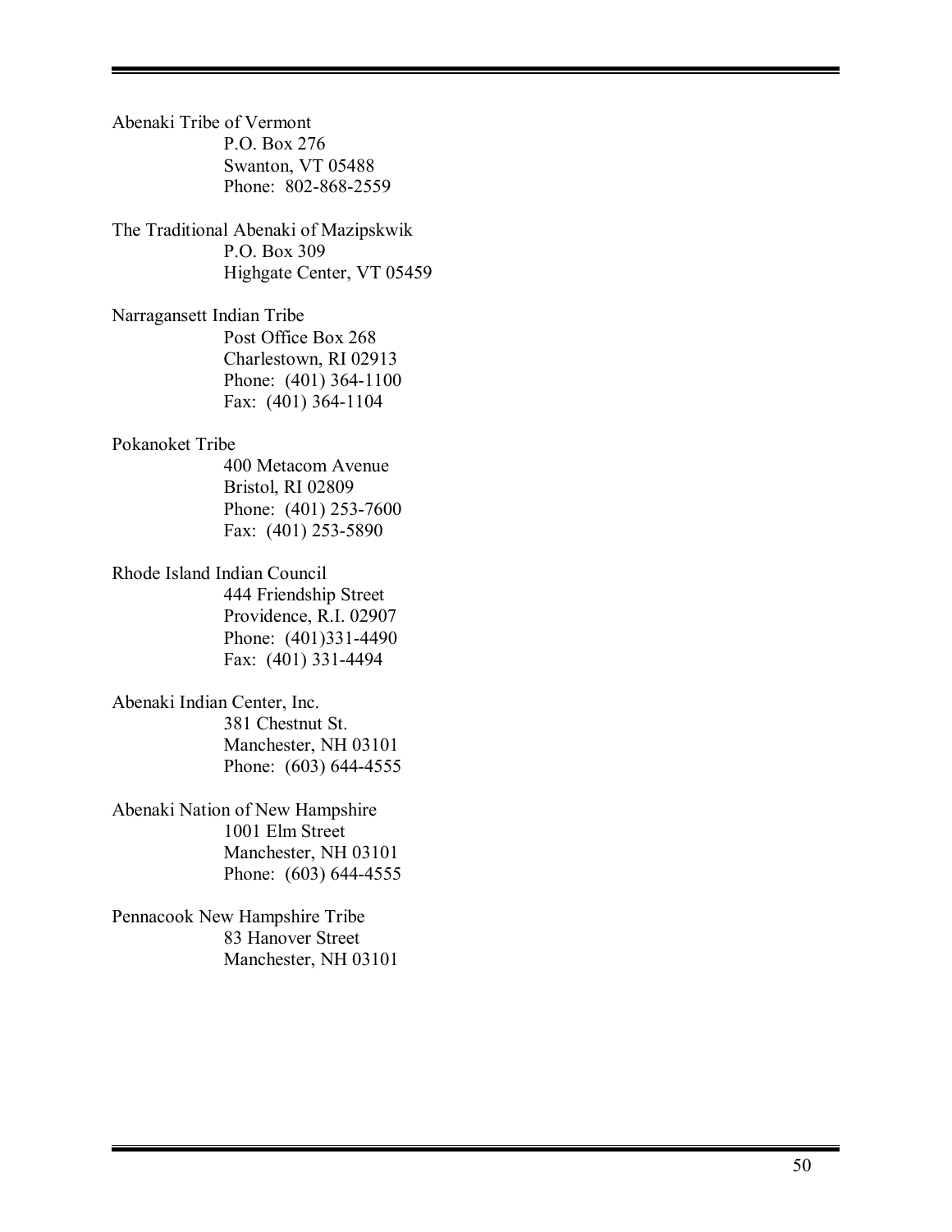Abenaki Tribe of Vermont P.O. Box 276 Swanton, VT 05488 Phone: 802-868-2559 The Traditional Abenaki of Mazipskwik P.O. Box 309 Highgate Center, VT 05459 Narragansett Indian Tribe Post Office Box 268 Charlestown, RI 02913 Phone: (401) 364-1100 Fax: (401) 364-1104 Pokanoket Tribe 400 Metacom Avenue Bristol, RI 02809 Phone: (401) 253-7600 Fax: (401) 253-5890 Rhode Island Indian Council 444 Friendship Street Providence, R.I. 02907 Phone: (401)331-4490 Fax: (401) 331-4494 Abenaki Indian Center, Inc. 381 Chestnut St. Manchester, NH 03101 Phone: (603) 644-4555 Abenaki Nation of New Hampshire 1001 Elm Street Manchester, NH 03101 Phone: (603) 644-4555 Pennacook New Hampshire Tribe 83 Hanover Street Manchester, NH 03101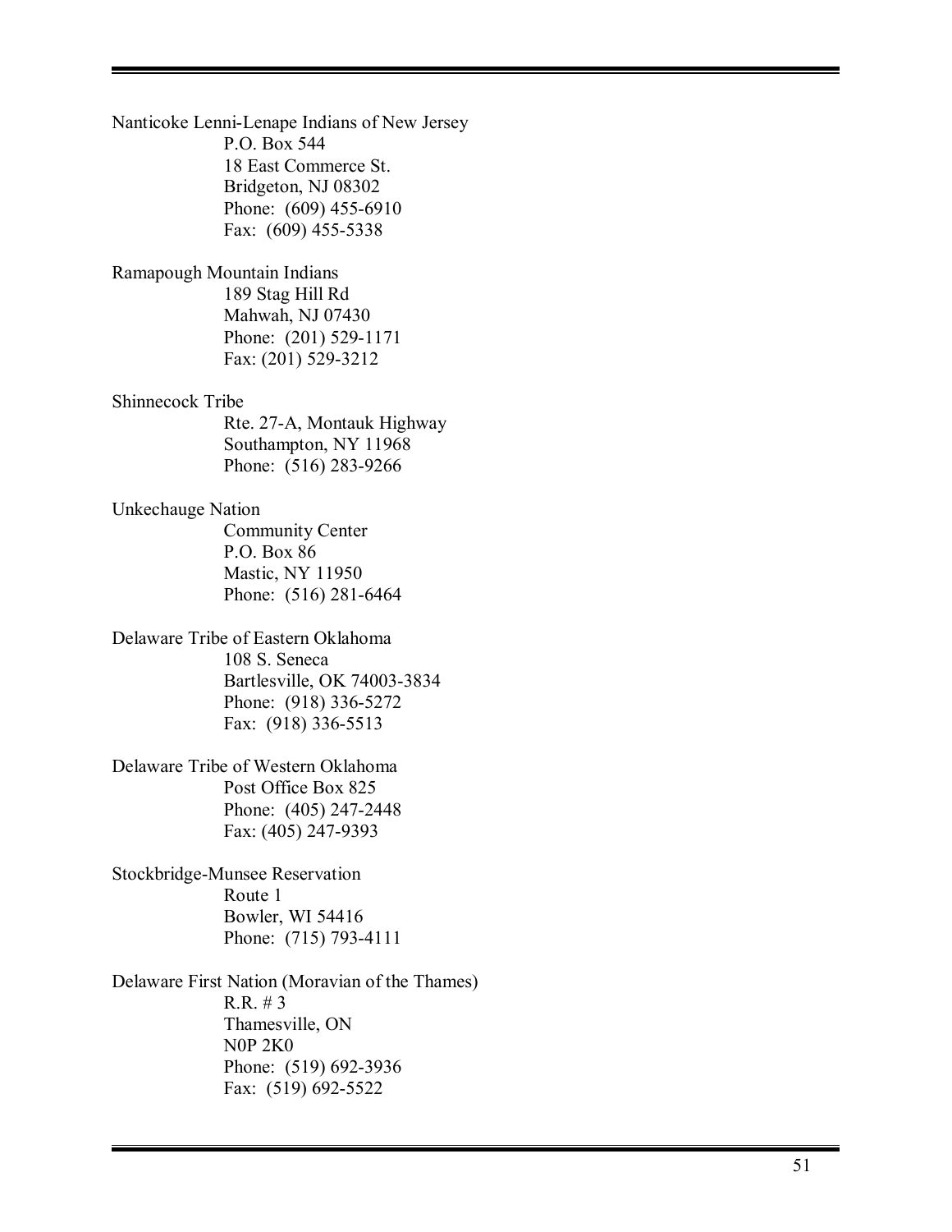Nanticoke Lenni-Lenape Indians of New Jersey P.O. Box 544 18 East Commerce St. Bridgeton, NJ 08302 Phone: (609) 455-6910 Fax: (609) 455-5338 Ramapough Mountain Indians 189 Stag Hill Rd Mahwah, NJ 07430 Phone: (201) 529-1171 Fax: (201) 529-3212 Shinnecock Tribe Rte. 27-A, Montauk Highway Southampton, NY 11968 Phone: (516) 283-9266 Unkechauge Nation Community Center P.O. Box 86 Mastic, NY 11950 Phone: (516) 281-6464 Delaware Tribe of Eastern Oklahoma 108 S. Seneca Bartlesville, OK 74003-3834 Phone: (918) 336-5272 Fax: (918) 336-5513 Delaware Tribe of Western Oklahoma Post Office Box 825 Phone: (405) 247-2448 Fax: (405) 247-9393 Stockbridge-Munsee Reservation Route 1 Bowler, WI 54416 Phone: (715) 793-4111 Delaware First Nation (Moravian of the Thames) R.R. # 3 Thamesville, ON N0P 2K0 Phone: (519) 692-3936

Fax: (519) 692-5522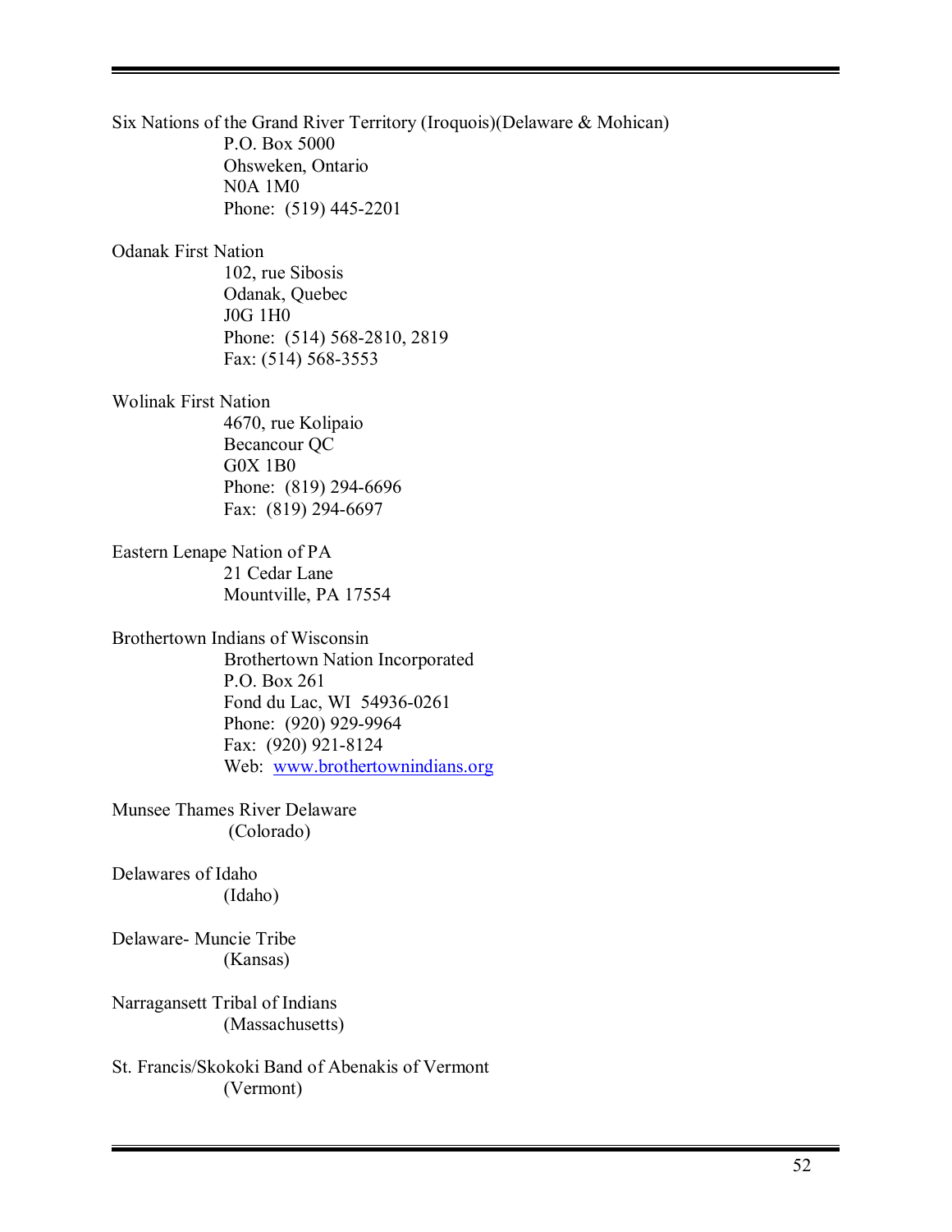Six Nations of the Grand River Territory (Iroquois)(Delaware & Mohican) P.O. Box 5000 Ohsweken, Ontario N0A 1M0 Phone: (519) 445-2201 Odanak First Nation 102, rue Sibosis Odanak, Quebec J0G 1H0 Phone: (514) 568-2810, 2819 Fax: (514) 568-3553 Wolinak First Nation 4670, rue Kolipaio Becancour QC G0X 1B0 Phone: (819) 294-6696 Fax: (819) 294-6697 Eastern Lenape Nation of PA 21 Cedar Lane Mountville, PA 17554 Brothertown Indians of Wisconsin Brothertown Nation Incorporated P.O. Box 261 Fond du Lac, WI 54936-0261 Phone: (920) 929-9964 Fax: (920) 921-8124 Web: www.brothertownindians.org Munsee Thames River Delaware (Colorado) Delawares of Idaho (Idaho) Delaware- Muncie Tribe (Kansas) Narragansett Tribal of Indians

(Massachusetts)

St. Francis/Skokoki Band of Abenakis of Vermont (Vermont)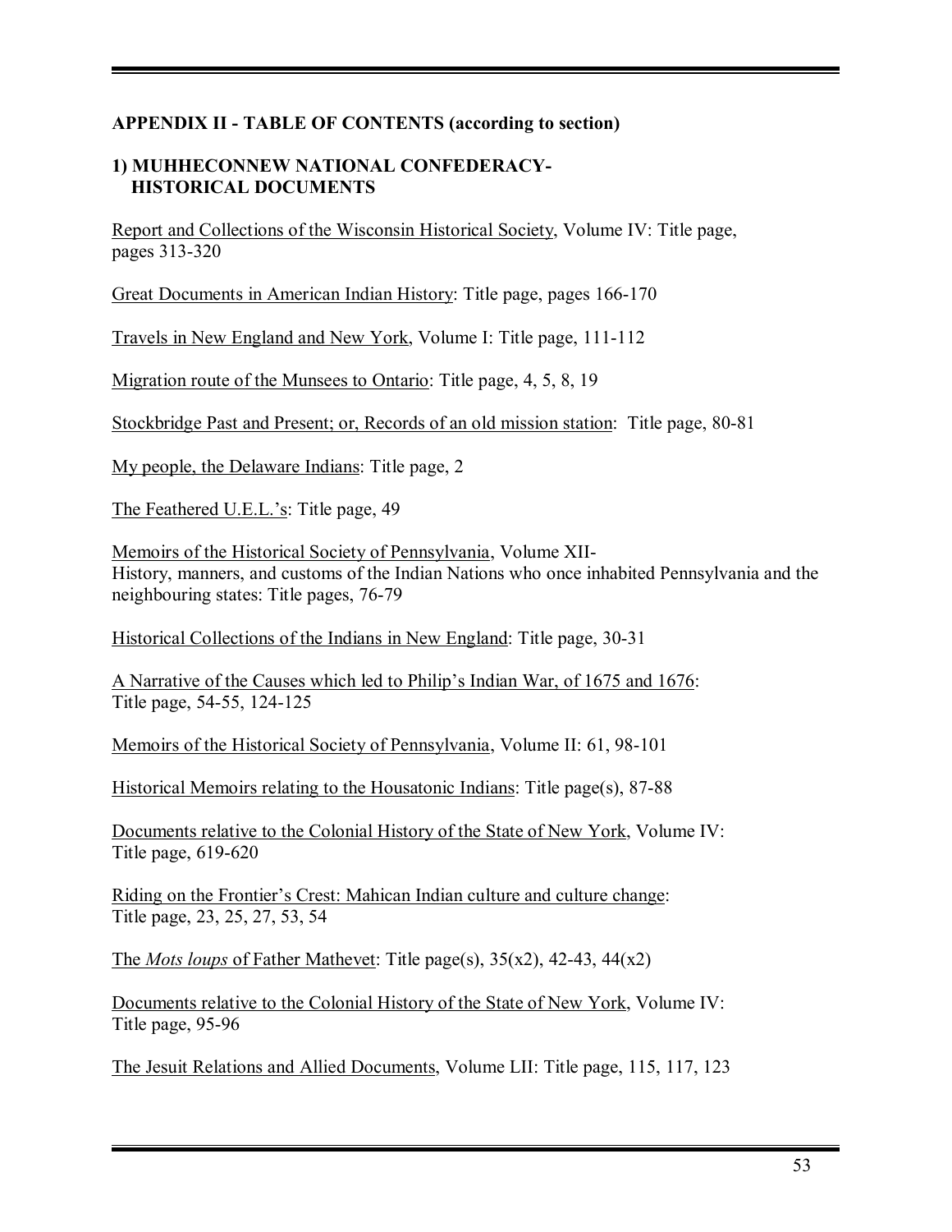# **APPENDIX II - TABLE OF CONTENTS (according to section)**

#### **1) MUHHECONNEW NATIONAL CONFEDERACY- HISTORICAL DOCUMENTS**

Report and Collections of the Wisconsin Historical Society, Volume IV: Title page, pages 313-320

Great Documents in American Indian History: Title page, pages 166-170

Travels in New England and New York, Volume I: Title page, 111-112

Migration route of the Munsees to Ontario: Title page, 4, 5, 8, 19

Stockbridge Past and Present; or, Records of an old mission station: Title page, 80-81

My people, the Delaware Indians: Title page, 2

The Feathered U.E.L.'s: Title page, 49

Memoirs of the Historical Society of Pennsylvania, Volume XII-History, manners, and customs of the Indian Nations who once inhabited Pennsylvania and the neighbouring states: Title pages, 76-79

Historical Collections of the Indians in New England: Title page, 30-31

A Narrative of the Causes which led to Philip's Indian War, of 1675 and 1676: Title page, 54-55, 124-125

Memoirs of the Historical Society of Pennsylvania, Volume II: 61, 98-101

Historical Memoirs relating to the Housatonic Indians: Title page(s), 87-88

Documents relative to the Colonial History of the State of New York, Volume IV: Title page, 619-620

Riding on the Frontier's Crest: Mahican Indian culture and culture change: Title page, 23, 25, 27, 53, 54

The *Mots loups* of Father Mathevet: Title page(s), 35(x2), 42-43, 44(x2)

Documents relative to the Colonial History of the State of New York, Volume IV: Title page, 95-96

The Jesuit Relations and Allied Documents, Volume LII: Title page, 115, 117, 123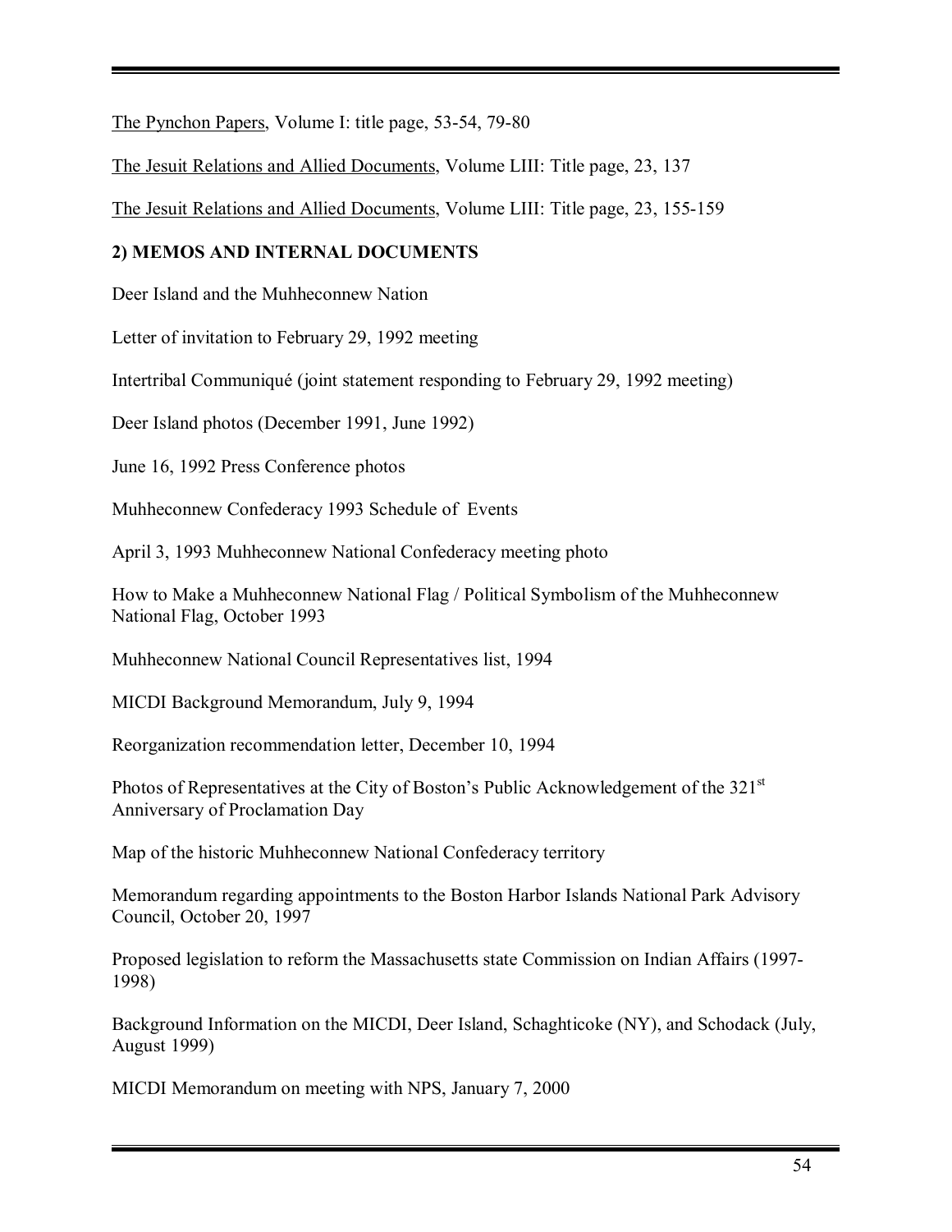The Pynchon Papers, Volume I: title page, 53-54, 79-80

The Jesuit Relations and Allied Documents, Volume LIII: Title page, 23, 137

The Jesuit Relations and Allied Documents, Volume LIII: Title page, 23, 155-159

# **2) MEMOS AND INTERNAL DOCUMENTS**

Deer Island and the Muhheconnew Nation

Letter of invitation to February 29, 1992 meeting

Intertribal CommuniquÈ (joint statement responding to February 29, 1992 meeting)

Deer Island photos (December 1991, June 1992)

June 16, 1992 Press Conference photos

Muhheconnew Confederacy 1993 Schedule of Events

April 3, 1993 Muhheconnew National Confederacy meeting photo

How to Make a Muhheconnew National Flag / Political Symbolism of the Muhheconnew National Flag, October 1993

Muhheconnew National Council Representatives list, 1994

MICDI Background Memorandum, July 9, 1994

Reorganization recommendation letter, December 10, 1994

Photos of Representatives at the City of Boston's Public Acknowledgement of the 321<sup>st</sup> Anniversary of Proclamation Day

Map of the historic Muhheconnew National Confederacy territory

Memorandum regarding appointments to the Boston Harbor Islands National Park Advisory Council, October 20, 1997

Proposed legislation to reform the Massachusetts state Commission on Indian Affairs (1997- 1998)

Background Information on the MICDI, Deer Island, Schaghticoke (NY), and Schodack (July, August 1999)

MICDI Memorandum on meeting with NPS, January 7, 2000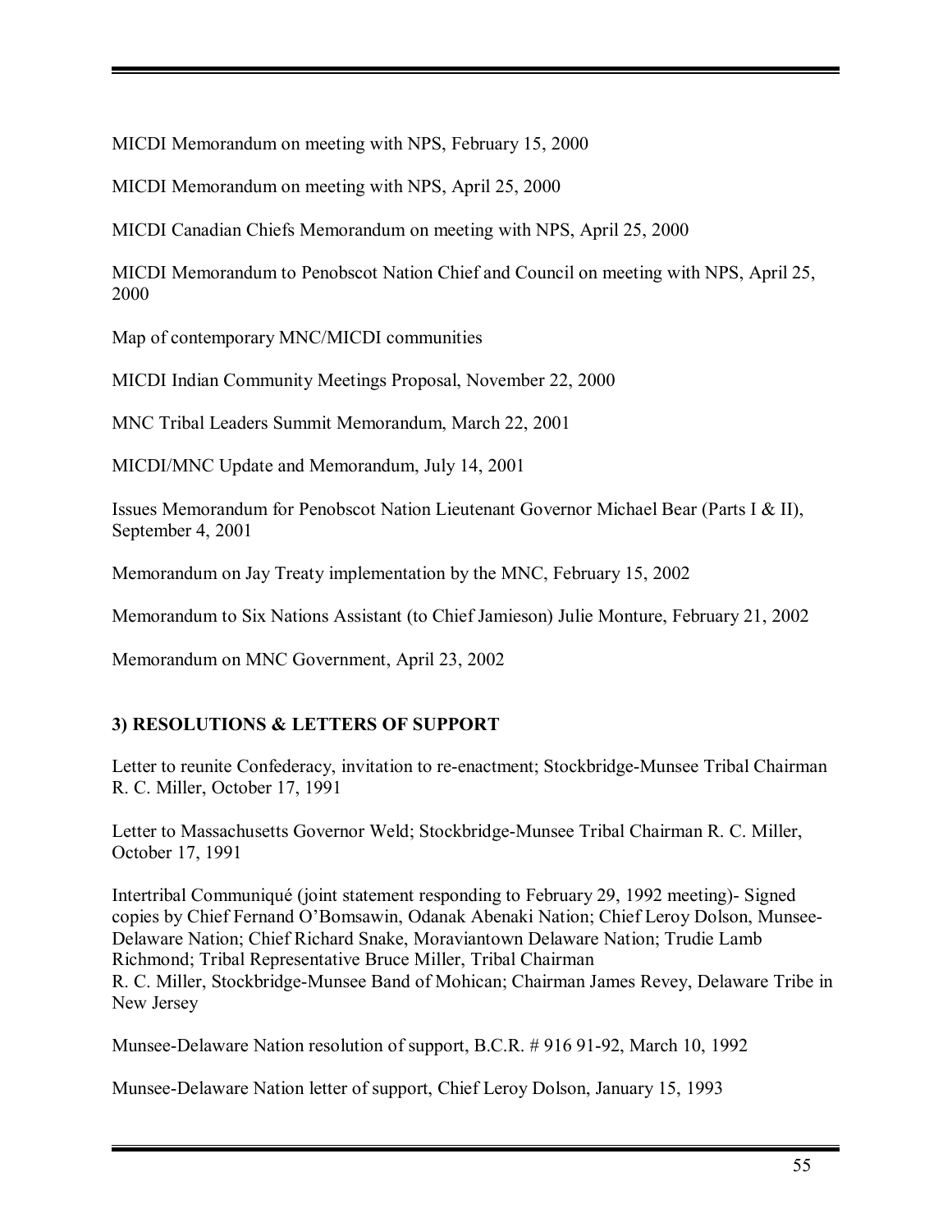MICDI Memorandum on meeting with NPS, February 15, 2000

MICDI Memorandum on meeting with NPS, April 25, 2000

MICDI Canadian Chiefs Memorandum on meeting with NPS, April 25, 2000

MICDI Memorandum to Penobscot Nation Chief and Council on meeting with NPS, April 25, 2000

Map of contemporary MNC/MICDI communities

MICDI Indian Community Meetings Proposal, November 22, 2000

MNC Tribal Leaders Summit Memorandum, March 22, 2001

MICDI/MNC Update and Memorandum, July 14, 2001

Issues Memorandum for Penobscot Nation Lieutenant Governor Michael Bear (Parts I & II), September 4, 2001

Memorandum on Jay Treaty implementation by the MNC, February 15, 2002

Memorandum to Six Nations Assistant (to Chief Jamieson) Julie Monture, February 21, 2002

Memorandum on MNC Government, April 23, 2002

# **3) RESOLUTIONS & LETTERS OF SUPPORT**

Letter to reunite Confederacy, invitation to re-enactment; Stockbridge-Munsee Tribal Chairman R. C. Miller, October 17, 1991

Letter to Massachusetts Governor Weld; Stockbridge-Munsee Tribal Chairman R. C. Miller, October 17, 1991

Intertribal Communiqué (joint statement responding to February 29, 1992 meeting)- Signed copies by Chief Fernand O'Bomsawin, Odanak Abenaki Nation; Chief Leroy Dolson, Munsee-Delaware Nation; Chief Richard Snake, Moraviantown Delaware Nation; Trudie Lamb Richmond; Tribal Representative Bruce Miller, Tribal Chairman R. C. Miller, Stockbridge-Munsee Band of Mohican; Chairman James Revey, Delaware Tribe in New Jersey

Munsee-Delaware Nation resolution of support, B.C.R. # 916 91-92, March 10, 1992

Munsee-Delaware Nation letter of support, Chief Leroy Dolson, January 15, 1993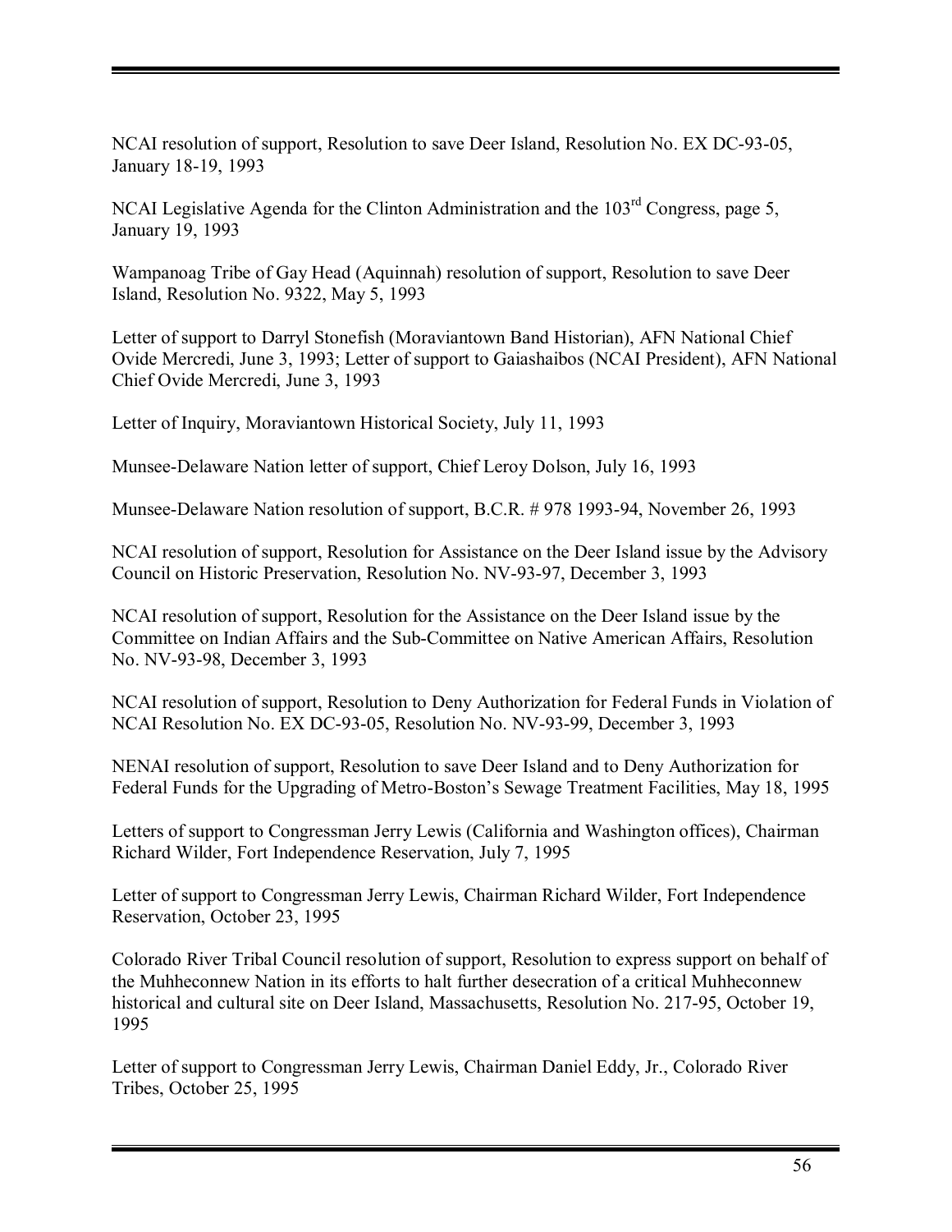NCAI resolution of support, Resolution to save Deer Island, Resolution No. EX DC-93-05, January 18-19, 1993

NCAI Legislative Agenda for the Clinton Administration and the  $103<sup>rd</sup>$  Congress, page 5, January 19, 1993

Wampanoag Tribe of Gay Head (Aquinnah) resolution of support, Resolution to save Deer Island, Resolution No. 9322, May 5, 1993

Letter of support to Darryl Stonefish (Moraviantown Band Historian), AFN National Chief Ovide Mercredi, June 3, 1993; Letter of support to Gaiashaibos (NCAI President), AFN National Chief Ovide Mercredi, June 3, 1993

Letter of Inquiry, Moraviantown Historical Society, July 11, 1993

Munsee-Delaware Nation letter of support, Chief Leroy Dolson, July 16, 1993

Munsee-Delaware Nation resolution of support, B.C.R. # 978 1993-94, November 26, 1993

NCAI resolution of support, Resolution for Assistance on the Deer Island issue by the Advisory Council on Historic Preservation, Resolution No. NV-93-97, December 3, 1993

NCAI resolution of support, Resolution for the Assistance on the Deer Island issue by the Committee on Indian Affairs and the Sub-Committee on Native American Affairs, Resolution No. NV-93-98, December 3, 1993

NCAI resolution of support, Resolution to Deny Authorization for Federal Funds in Violation of NCAI Resolution No. EX DC-93-05, Resolution No. NV-93-99, December 3, 1993

NENAI resolution of support, Resolution to save Deer Island and to Deny Authorization for Federal Funds for the Upgrading of Metro-Boston's Sewage Treatment Facilities, May 18, 1995

Letters of support to Congressman Jerry Lewis (California and Washington offices), Chairman Richard Wilder, Fort Independence Reservation, July 7, 1995

Letter of support to Congressman Jerry Lewis, Chairman Richard Wilder, Fort Independence Reservation, October 23, 1995

Colorado River Tribal Council resolution of support, Resolution to express support on behalf of the Muhheconnew Nation in its efforts to halt further desecration of a critical Muhheconnew historical and cultural site on Deer Island, Massachusetts, Resolution No. 217-95, October 19, 1995

Letter of support to Congressman Jerry Lewis, Chairman Daniel Eddy, Jr., Colorado River Tribes, October 25, 1995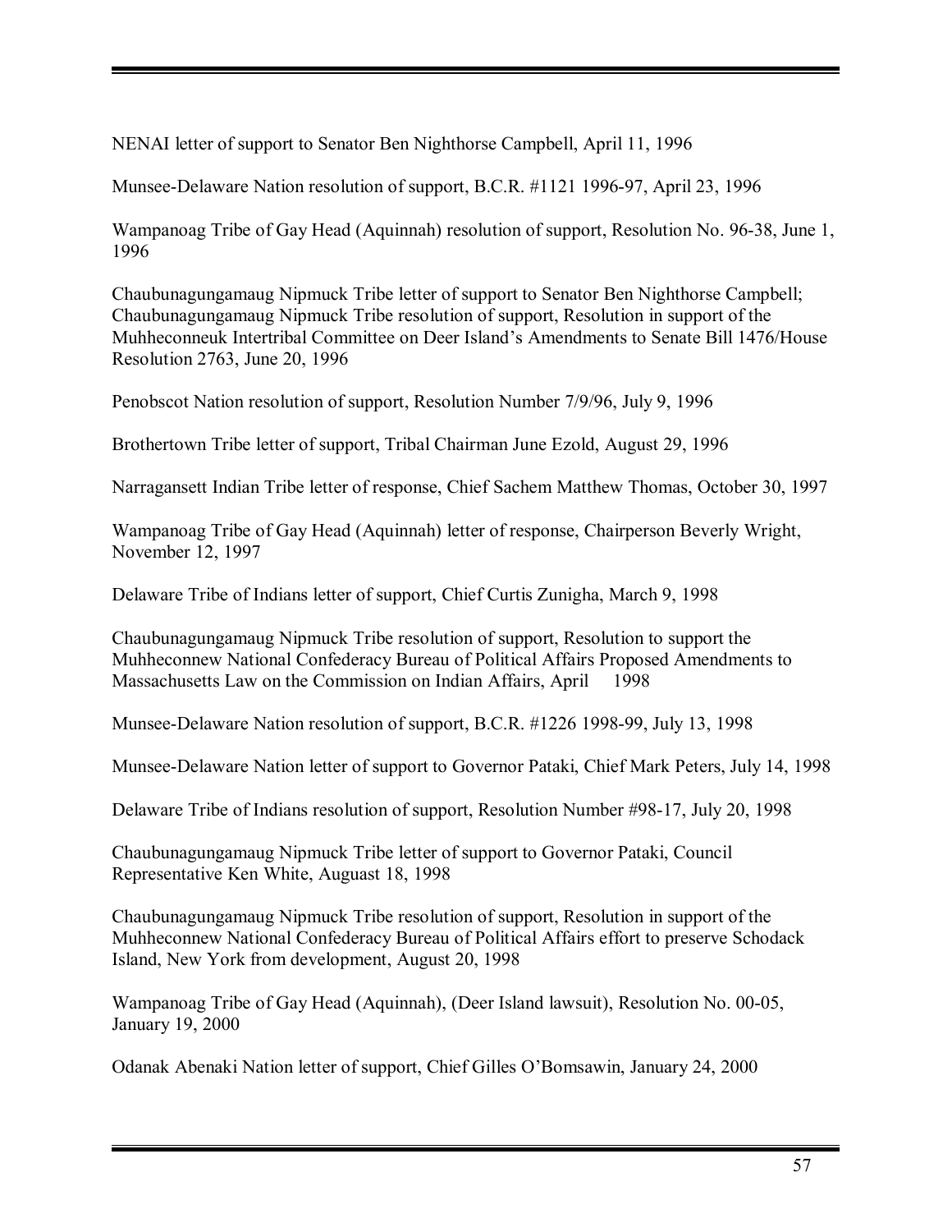NENAI letter of support to Senator Ben Nighthorse Campbell, April 11, 1996

Munsee-Delaware Nation resolution of support, B.C.R. #1121 1996-97, April 23, 1996

Wampanoag Tribe of Gay Head (Aquinnah) resolution of support, Resolution No. 96-38, June 1, 1996

Chaubunagungamaug Nipmuck Tribe letter of support to Senator Ben Nighthorse Campbell; Chaubunagungamaug Nipmuck Tribe resolution of support, Resolution in support of the Muhheconneuk Intertribal Committee on Deer Island's Amendments to Senate Bill 1476/House Resolution 2763, June 20, 1996

Penobscot Nation resolution of support, Resolution Number 7/9/96, July 9, 1996

Brothertown Tribe letter of support, Tribal Chairman June Ezold, August 29, 1996

Narragansett Indian Tribe letter of response, Chief Sachem Matthew Thomas, October 30, 1997

Wampanoag Tribe of Gay Head (Aquinnah) letter of response, Chairperson Beverly Wright, November 12, 1997

Delaware Tribe of Indians letter of support, Chief Curtis Zunigha, March 9, 1998

Chaubunagungamaug Nipmuck Tribe resolution of support, Resolution to support the Muhheconnew National Confederacy Bureau of Political Affairs Proposed Amendments to Massachusetts Law on the Commission on Indian Affairs, April 1998

Munsee-Delaware Nation resolution of support, B.C.R. #1226 1998-99, July 13, 1998

Munsee-Delaware Nation letter of support to Governor Pataki, Chief Mark Peters, July 14, 1998

Delaware Tribe of Indians resolution of support, Resolution Number #98-17, July 20, 1998

Chaubunagungamaug Nipmuck Tribe letter of support to Governor Pataki, Council Representative Ken White, Auguast 18, 1998

Chaubunagungamaug Nipmuck Tribe resolution of support, Resolution in support of the Muhheconnew National Confederacy Bureau of Political Affairs effort to preserve Schodack Island, New York from development, August 20, 1998

Wampanoag Tribe of Gay Head (Aquinnah), (Deer Island lawsuit), Resolution No. 00-05, January 19, 2000

Odanak Abenaki Nation letter of support, Chief Gilles OíBomsawin, January 24, 2000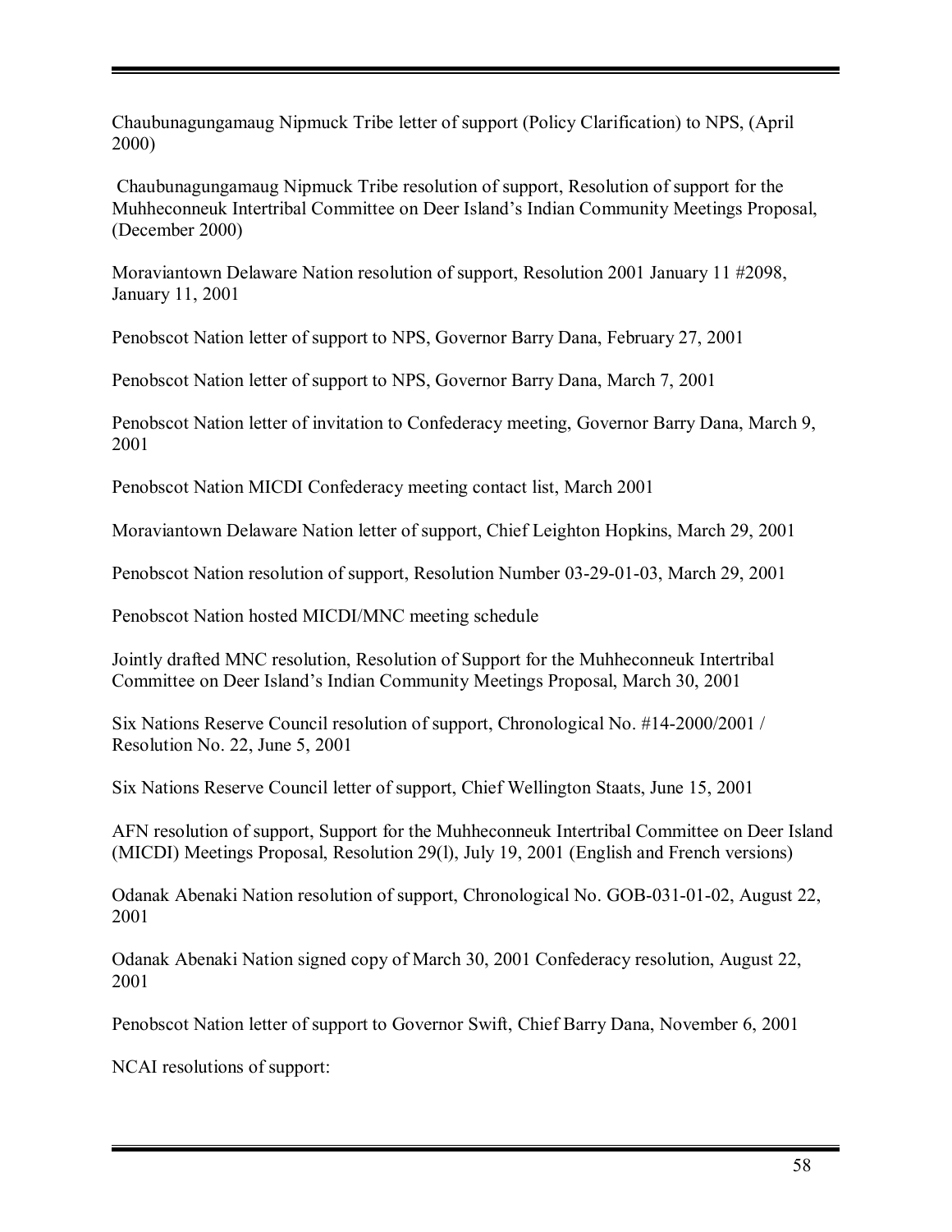Chaubunagungamaug Nipmuck Tribe letter of support (Policy Clarification) to NPS, (April 2000)

 Chaubunagungamaug Nipmuck Tribe resolution of support, Resolution of support for the Muhheconneuk Intertribal Committee on Deer Island's Indian Community Meetings Proposal. (December 2000)

Moraviantown Delaware Nation resolution of support, Resolution 2001 January 11 #2098, January 11, 2001

Penobscot Nation letter of support to NPS, Governor Barry Dana, February 27, 2001

Penobscot Nation letter of support to NPS, Governor Barry Dana, March 7, 2001

Penobscot Nation letter of invitation to Confederacy meeting, Governor Barry Dana, March 9, 2001

Penobscot Nation MICDI Confederacy meeting contact list, March 2001

Moraviantown Delaware Nation letter of support, Chief Leighton Hopkins, March 29, 2001

Penobscot Nation resolution of support, Resolution Number 03-29-01-03, March 29, 2001

Penobscot Nation hosted MICDI/MNC meeting schedule

Jointly drafted MNC resolution, Resolution of Support for the Muhheconneuk Intertribal Committee on Deer Island's Indian Community Meetings Proposal, March 30, 2001

Six Nations Reserve Council resolution of support, Chronological No. #14-2000/2001 / Resolution No. 22, June 5, 2001

Six Nations Reserve Council letter of support, Chief Wellington Staats, June 15, 2001

AFN resolution of support, Support for the Muhheconneuk Intertribal Committee on Deer Island (MICDI) Meetings Proposal, Resolution 29(l), July 19, 2001 (English and French versions)

Odanak Abenaki Nation resolution of support, Chronological No. GOB-031-01-02, August 22, 2001

Odanak Abenaki Nation signed copy of March 30, 2001 Confederacy resolution, August 22, 2001

Penobscot Nation letter of support to Governor Swift, Chief Barry Dana, November 6, 2001

NCAI resolutions of support: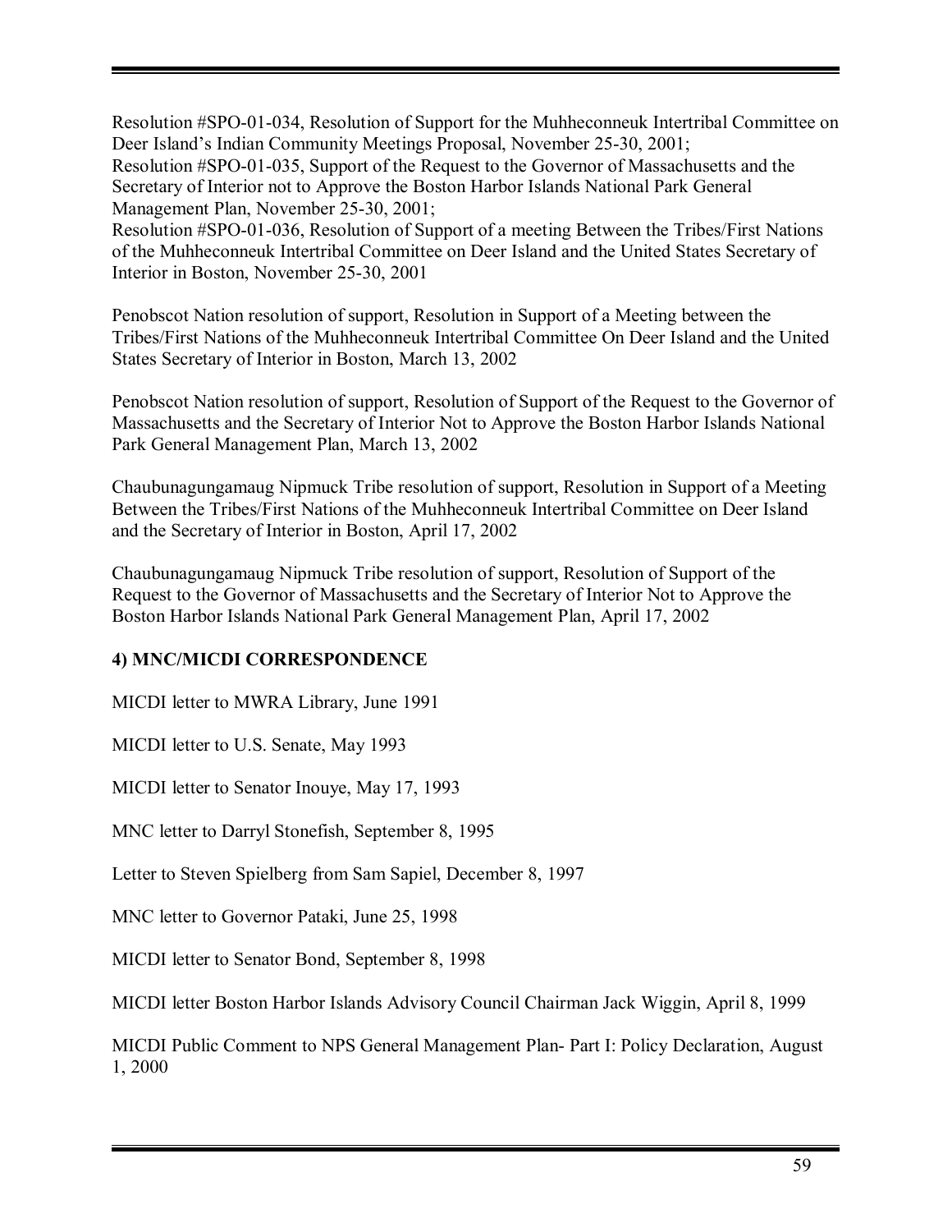Resolution #SPO-01-034, Resolution of Support for the Muhheconneuk Intertribal Committee on Deer Island's Indian Community Meetings Proposal, November 25-30, 2001;

Resolution #SPO-01-035, Support of the Request to the Governor of Massachusetts and the Secretary of Interior not to Approve the Boston Harbor Islands National Park General Management Plan, November 25-30, 2001;

Resolution #SPO-01-036, Resolution of Support of a meeting Between the Tribes/First Nations of the Muhheconneuk Intertribal Committee on Deer Island and the United States Secretary of Interior in Boston, November 25-30, 2001

Penobscot Nation resolution of support, Resolution in Support of a Meeting between the Tribes/First Nations of the Muhheconneuk Intertribal Committee On Deer Island and the United States Secretary of Interior in Boston, March 13, 2002

Penobscot Nation resolution of support, Resolution of Support of the Request to the Governor of Massachusetts and the Secretary of Interior Not to Approve the Boston Harbor Islands National Park General Management Plan, March 13, 2002

Chaubunagungamaug Nipmuck Tribe resolution of support, Resolution in Support of a Meeting Between the Tribes/First Nations of the Muhheconneuk Intertribal Committee on Deer Island and the Secretary of Interior in Boston, April 17, 2002

Chaubunagungamaug Nipmuck Tribe resolution of support, Resolution of Support of the Request to the Governor of Massachusetts and the Secretary of Interior Not to Approve the Boston Harbor Islands National Park General Management Plan, April 17, 2002

# **4) MNC/MICDI CORRESPONDENCE**

MICDI letter to MWRA Library, June 1991

MICDI letter to U.S. Senate, May 1993

MICDI letter to Senator Inouye, May 17, 1993

MNC letter to Darryl Stonefish, September 8, 1995

Letter to Steven Spielberg from Sam Sapiel, December 8, 1997

MNC letter to Governor Pataki, June 25, 1998

MICDI letter to Senator Bond, September 8, 1998

MICDI letter Boston Harbor Islands Advisory Council Chairman Jack Wiggin, April 8, 1999

MICDI Public Comment to NPS General Management Plan- Part I: Policy Declaration, August 1, 2000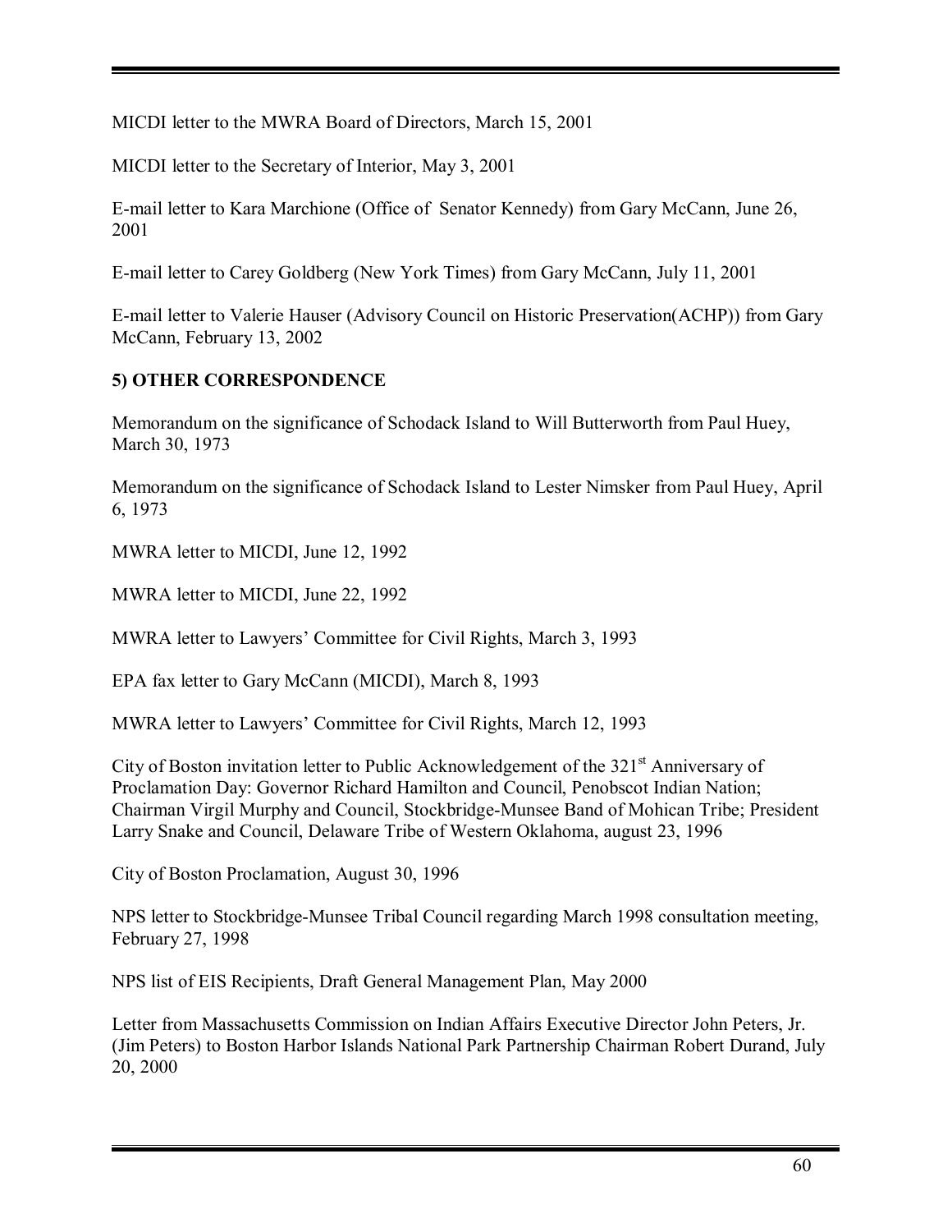MICDI letter to the MWRA Board of Directors, March 15, 2001

MICDI letter to the Secretary of Interior, May 3, 2001

E-mail letter to Kara Marchione (Office of Senator Kennedy) from Gary McCann, June 26, 2001

E-mail letter to Carey Goldberg (New York Times) from Gary McCann, July 11, 2001

E-mail letter to Valerie Hauser (Advisory Council on Historic Preservation(ACHP)) from Gary McCann, February 13, 2002

# **5) OTHER CORRESPONDENCE**

Memorandum on the significance of Schodack Island to Will Butterworth from Paul Huey, March 30, 1973

Memorandum on the significance of Schodack Island to Lester Nimsker from Paul Huey, April 6, 1973

MWRA letter to MICDI, June 12, 1992

MWRA letter to MICDI, June 22, 1992

MWRA letter to Lawyers' Committee for Civil Rights, March 3, 1993

EPA fax letter to Gary McCann (MICDI), March 8, 1993

MWRA letter to Lawyers' Committee for Civil Rights, March 12, 1993

City of Boston invitation letter to Public Acknowledgement of the  $321<sup>st</sup>$  Anniversary of Proclamation Day: Governor Richard Hamilton and Council, Penobscot Indian Nation; Chairman Virgil Murphy and Council, Stockbridge-Munsee Band of Mohican Tribe; President Larry Snake and Council, Delaware Tribe of Western Oklahoma, august 23, 1996

City of Boston Proclamation, August 30, 1996

NPS letter to Stockbridge-Munsee Tribal Council regarding March 1998 consultation meeting, February 27, 1998

NPS list of EIS Recipients, Draft General Management Plan, May 2000

Letter from Massachusetts Commission on Indian Affairs Executive Director John Peters, Jr. (Jim Peters) to Boston Harbor Islands National Park Partnership Chairman Robert Durand, July 20, 2000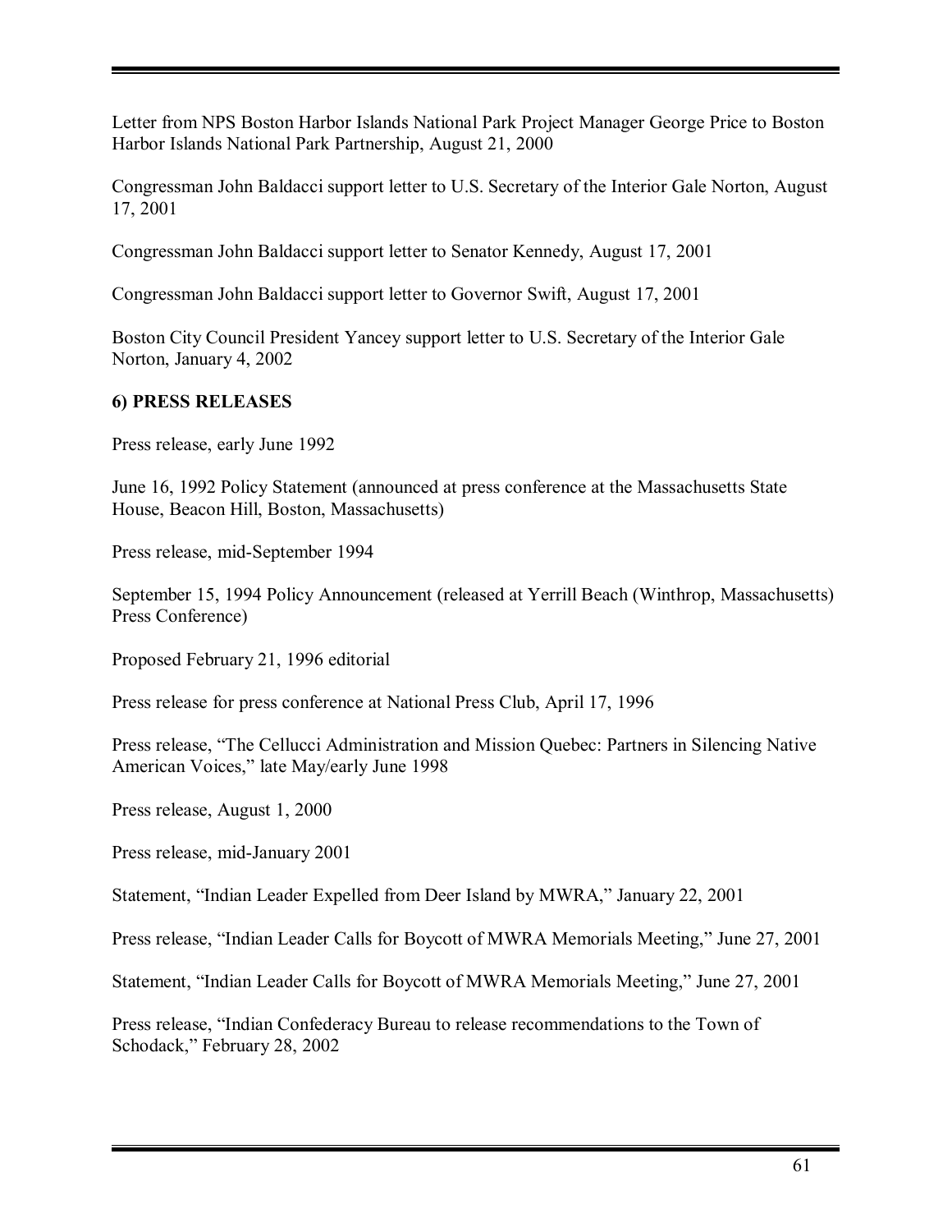Letter from NPS Boston Harbor Islands National Park Project Manager George Price to Boston Harbor Islands National Park Partnership, August 21, 2000

Congressman John Baldacci support letter to U.S. Secretary of the Interior Gale Norton, August 17, 2001

Congressman John Baldacci support letter to Senator Kennedy, August 17, 2001

Congressman John Baldacci support letter to Governor Swift, August 17, 2001

Boston City Council President Yancey support letter to U.S. Secretary of the Interior Gale Norton, January 4, 2002

# **6) PRESS RELEASES**

Press release, early June 1992

June 16, 1992 Policy Statement (announced at press conference at the Massachusetts State House, Beacon Hill, Boston, Massachusetts)

Press release, mid-September 1994

September 15, 1994 Policy Announcement (released at Yerrill Beach (Winthrop, Massachusetts) Press Conference)

Proposed February 21, 1996 editorial

Press release for press conference at National Press Club, April 17, 1996

Press release, "The Cellucci Administration and Mission Quebec: Partners in Silencing Native American Voices," late May/early June 1998

Press release, August 1, 2000

Press release, mid-January 2001

Statement, "Indian Leader Expelled from Deer Island by MWRA," January 22, 2001

Press release, "Indian Leader Calls for Boycott of MWRA Memorials Meeting," June 27, 2001

Statement, "Indian Leader Calls for Boycott of MWRA Memorials Meeting," June 27, 2001

Press release, "Indian Confederacy Bureau to release recommendations to the Town of Schodack," February 28, 2002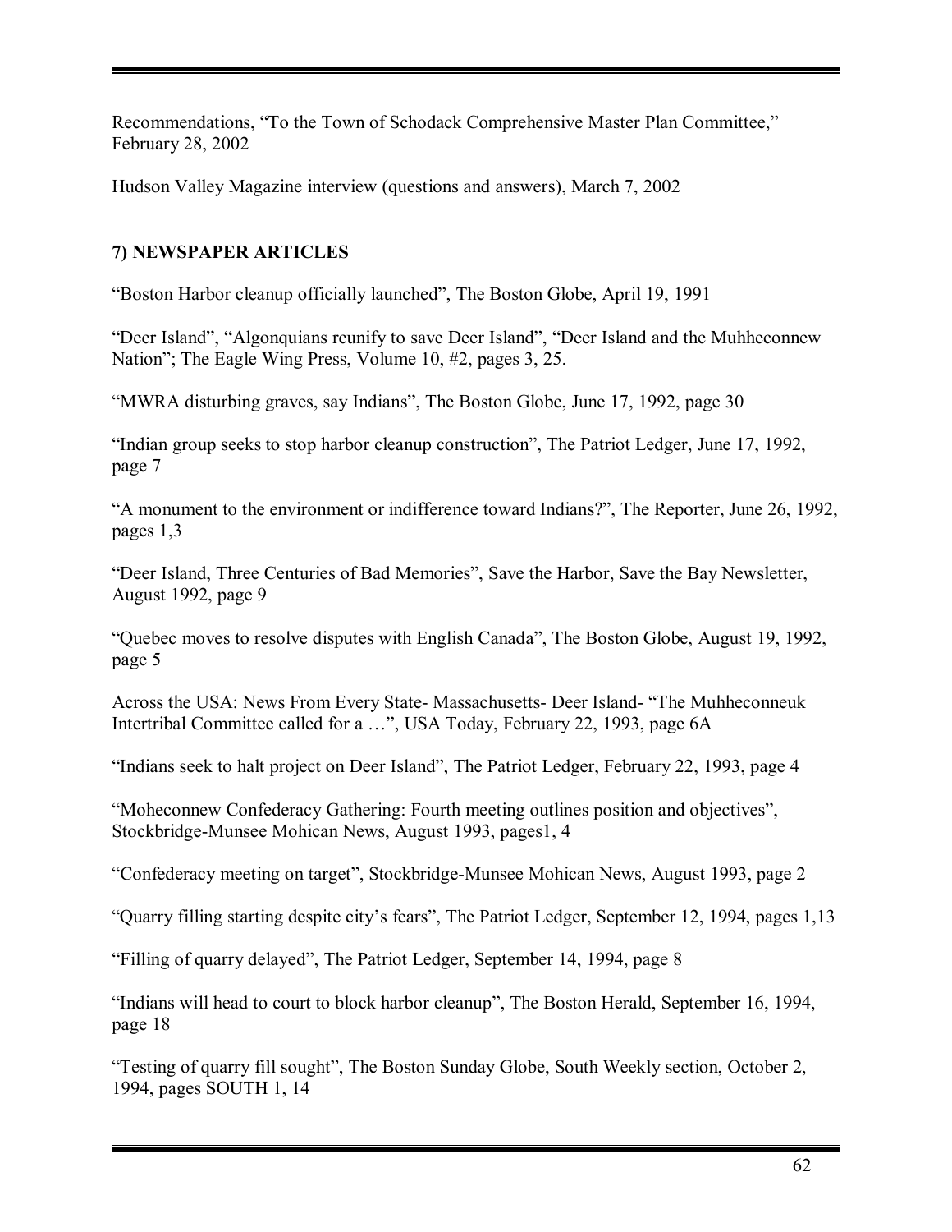Recommendations, "To the Town of Schodack Comprehensive Master Plan Committee." February 28, 2002

Hudson Valley Magazine interview (questions and answers), March 7, 2002

# **7) NEWSPAPER ARTICLES**

ìBoston Harbor cleanup officially launchedî, The Boston Globe, April 19, 1991

"Deer Island", "Algonquians reunify to save Deer Island", "Deer Island and the Muhheconnew Nation"; The Eagle Wing Press, Volume 10, #2, pages 3, 25.

ìMWRA disturbing graves, say Indiansî, The Boston Globe, June 17, 1992, page 30

"Indian group seeks to stop harbor cleanup construction", The Patriot Ledger, June 17, 1992, page 7

ìA monument to the environment or indifference toward Indians?î, The Reporter, June 26, 1992, pages 1,3

ìDeer Island, Three Centuries of Bad Memoriesî, Save the Harbor, Save the Bay Newsletter, August 1992, page 9

ìQuebec moves to resolve disputes with English Canadaî, The Boston Globe, August 19, 1992, page 5

Across the USA: News From Every State- Massachusetts- Deer Island- "The Muhheconneuk Intertribal Committee called for a ...", USA Today, February 22, 1993, page 6A

"Indians seek to halt project on Deer Island", The Patriot Ledger, February 22, 1993, page 4

*i*Moheconnew Confederacy Gathering: Fourth meeting outlines position and objectives<sup>*n*</sup>, Stockbridge-Munsee Mohican News, August 1993, pages1, 4

ìConfederacy meeting on targetî, Stockbridge-Munsee Mohican News, August 1993, page 2

ìQuarry filling starting despite cityís fearsî, The Patriot Ledger, September 12, 1994, pages 1,13

ìFilling of quarry delayedî, The Patriot Ledger, September 14, 1994, page 8

"Indians will head to court to block harbor cleanup", The Boston Herald, September 16, 1994, page 18

 $\degree$ Testing of quarry fill sought", The Boston Sunday Globe, South Weekly section, October 2, 1994, pages SOUTH 1, 14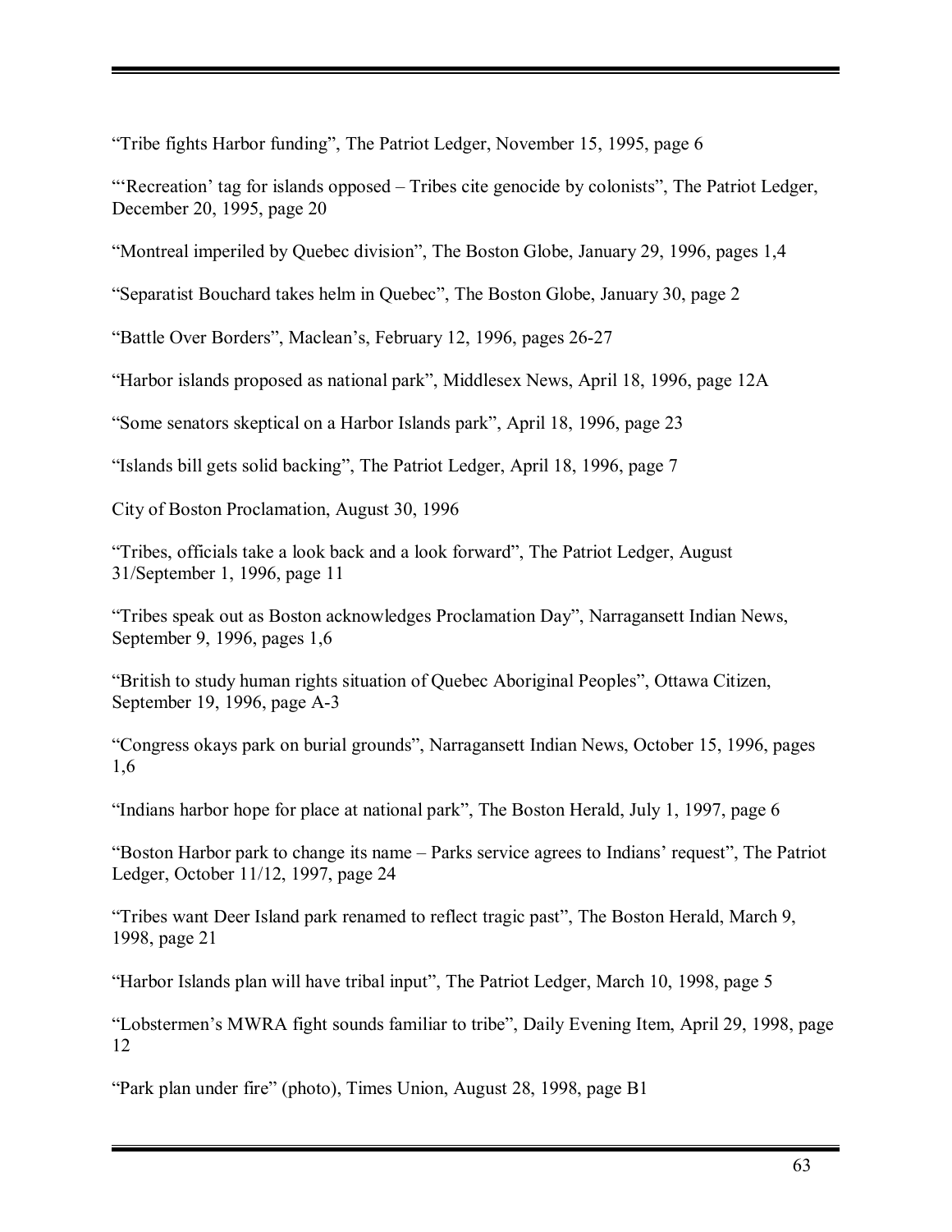"Tribe fights Harbor funding", The Patriot Ledger, November 15, 1995, page 6

**Exercation** tag for islands opposed – Tribes cite genocide by colonists", The Patriot Ledger, December 20, 1995, page 20

ìMontreal imperiled by Quebec divisionî, The Boston Globe, January 29, 1996, pages 1,4

"Separatist Bouchard takes helm in Quebec", The Boston Globe, January 30, page 2

ìBattle Over Bordersî, Macleanís, February 12, 1996, pages 26-27

ìHarbor islands proposed as national parkî, Middlesex News, April 18, 1996, page 12A

"Some senators skeptical on a Harbor Islands park", April 18, 1996, page 23

"Islands bill gets solid backing", The Patriot Ledger, April 18, 1996, page 7

City of Boston Proclamation, August 30, 1996

"Tribes, officials take a look back and a look forward", The Patriot Ledger, August 31/September 1, 1996, page 11

"Tribes speak out as Boston acknowledges Proclamation Day", Narragansett Indian News, September 9, 1996, pages 1,6

ìBritish to study human rights situation of Quebec Aboriginal Peoplesî, Ottawa Citizen, September 19, 1996, page A-3

ìCongress okays park on burial groundsî, Narragansett Indian News, October 15, 1996, pages 1,6

"Indians harbor hope for place at national park", The Boston Herald, July 1, 1997, page 6

"Boston Harbor park to change its name – Parks service agrees to Indians' request", The Patriot Ledger, October 11/12, 1997, page 24

"Tribes want Deer Island park renamed to reflect tragic past", The Boston Herald, March 9, 1998, page 21

"Harbor Islands plan will have tribal input", The Patriot Ledger, March 10, 1998, page 5

ìLobstermenís MWRA fight sounds familiar to tribeî, Daily Evening Item, April 29, 1998, page 12

ìPark plan under fireî (photo), Times Union, August 28, 1998, page B1